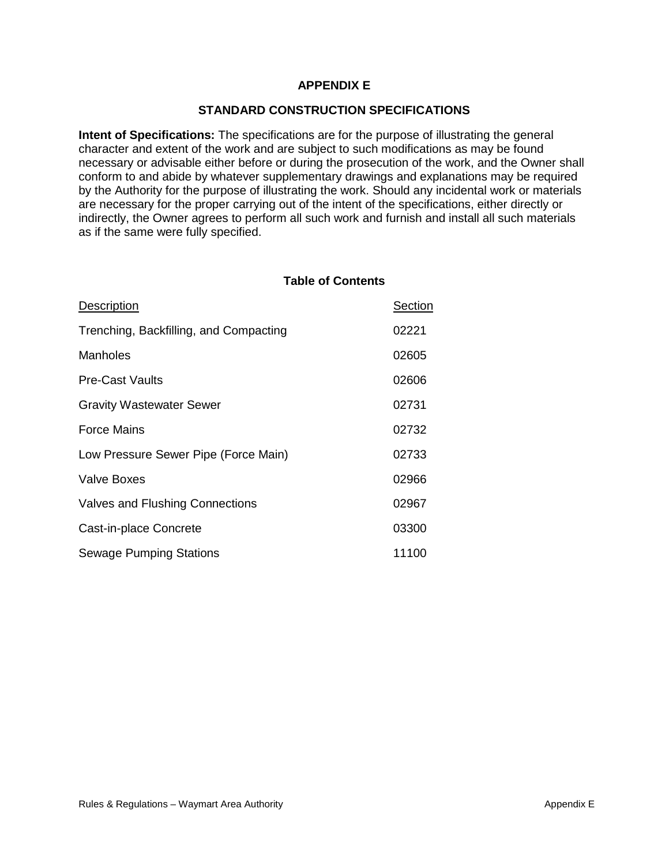# **APPENDIX E**

# **STANDARD CONSTRUCTION SPECIFICATIONS**

**Intent of Specifications:** The specifications are for the purpose of illustrating the general character and extent of the work and are subject to such modifications as may be found necessary or advisable either before or during the prosecution of the work, and the Owner shall conform to and abide by whatever supplementary drawings and explanations may be required by the Authority for the purpose of illustrating the work. Should any incidental work or materials are necessary for the proper carrying out of the intent of the specifications, either directly or indirectly, the Owner agrees to perform all such work and furnish and install all such materials as if the same were fully specified.

#### **Table of Contents**

| Description                            | Section |
|----------------------------------------|---------|
| Trenching, Backfilling, and Compacting | 02221   |
| <b>Manholes</b>                        | 02605   |
| <b>Pre-Cast Vaults</b>                 | 02606   |
| <b>Gravity Wastewater Sewer</b>        | 02731   |
| <b>Force Mains</b>                     | 02732   |
| Low Pressure Sewer Pipe (Force Main)   | 02733   |
| <b>Valve Boxes</b>                     | 02966   |
| Valves and Flushing Connections        | 02967   |
| Cast-in-place Concrete                 | 03300   |
| <b>Sewage Pumping Stations</b>         | 11100   |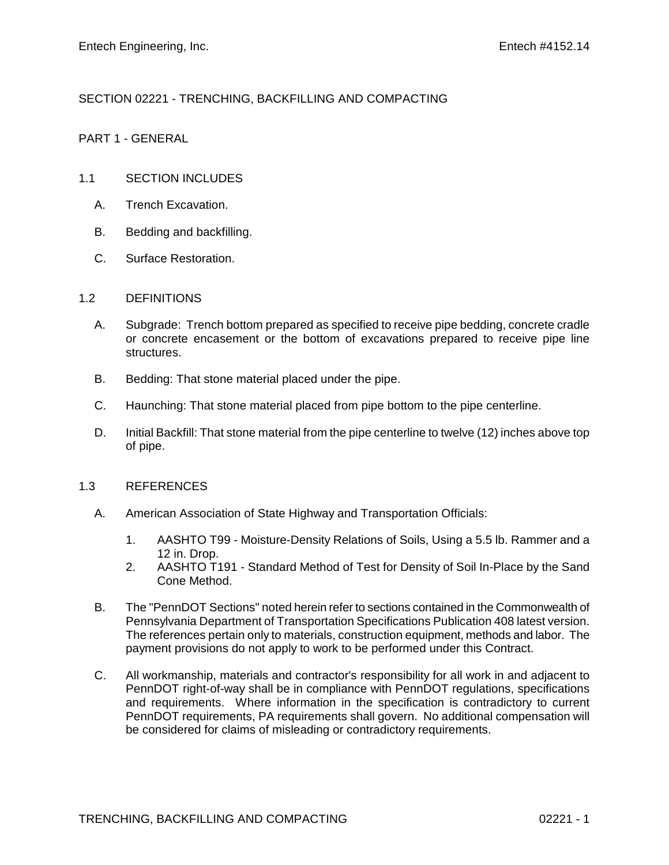# SECTION 02221 - TRENCHING, BACKFILLING AND COMPACTING

# PART 1 - GENERAL

# 1.1 SECTION INCLUDES

- A. Trench Excavation.
- B. Bedding and backfilling.
- C. Surface Restoration.

#### 1.2 DEFINITIONS

- A. Subgrade: Trench bottom prepared as specified to receive pipe bedding, concrete cradle or concrete encasement or the bottom of excavations prepared to receive pipe line structures.
- B. Bedding: That stone material placed under the pipe.
- C. Haunching: That stone material placed from pipe bottom to the pipe centerline.
- D. Initial Backfill: That stone material from the pipe centerline to twelve (12) inches above top of pipe.

## 1.3 REFERENCES

- A. American Association of State Highway and Transportation Officials:
	- 1. AASHTO T99 Moisture-Density Relations of Soils, Using a 5.5 lb. Rammer and a 12 in. Drop.
	- 2. AASHTO T191 Standard Method of Test for Density of Soil In-Place by the Sand Cone Method.
- B. The "PennDOT Sections" noted herein refer to sections contained in the Commonwealth of Pennsylvania Department of Transportation Specifications Publication 408 latest version. The references pertain only to materials, construction equipment, methods and labor. The payment provisions do not apply to work to be performed under this Contract.
- C. All workmanship, materials and contractor's responsibility for all work in and adjacent to PennDOT right-of-way shall be in compliance with PennDOT regulations, specifications and requirements. Where information in the specification is contradictory to current PennDOT requirements, PA requirements shall govern. No additional compensation will be considered for claims of misleading or contradictory requirements.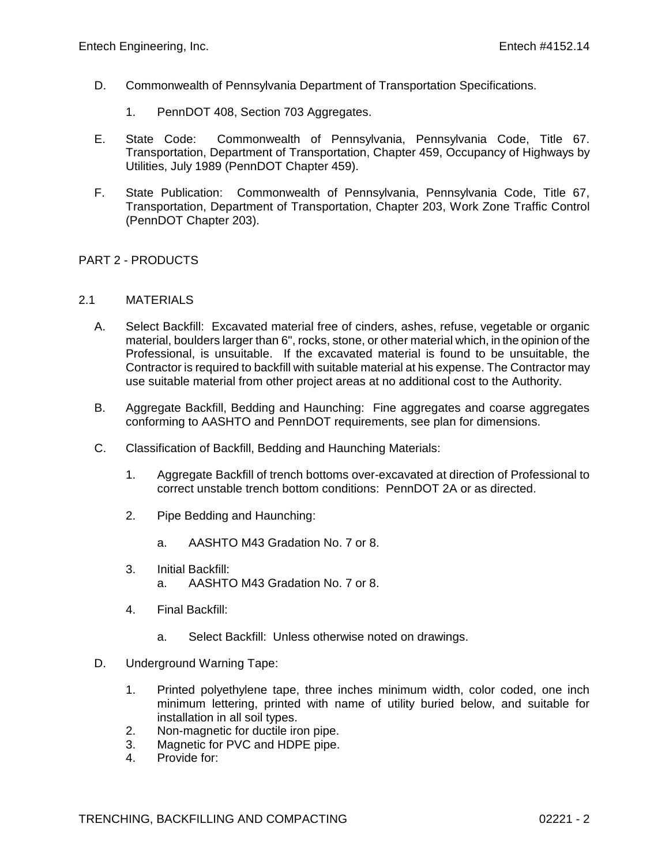- D. Commonwealth of Pennsylvania Department of Transportation Specifications.
	- 1. PennDOT 408, Section 703 Aggregates.
- E. State Code: Commonwealth of Pennsylvania, Pennsylvania Code, Title 67. Transportation, Department of Transportation, Chapter 459, Occupancy of Highways by Utilities, July 1989 (PennDOT Chapter 459).
- F. State Publication: Commonwealth of Pennsylvania, Pennsylvania Code, Title 67, Transportation, Department of Transportation, Chapter 203, Work Zone Traffic Control (PennDOT Chapter 203).

## PART 2 - PRODUCTS

#### 2.1 MATERIALS

- A. Select Backfill: Excavated material free of cinders, ashes, refuse, vegetable or organic material, boulders larger than 6", rocks, stone, or other material which, in the opinion of the Professional, is unsuitable. If the excavated material is found to be unsuitable, the Contractor is required to backfill with suitable material at his expense. The Contractor may use suitable material from other project areas at no additional cost to the Authority.
- B. Aggregate Backfill, Bedding and Haunching: Fine aggregates and coarse aggregates conforming to AASHTO and PennDOT requirements, see plan for dimensions.
- C. Classification of Backfill, Bedding and Haunching Materials:
	- 1. Aggregate Backfill of trench bottoms over-excavated at direction of Professional to correct unstable trench bottom conditions: PennDOT 2A or as directed.
	- 2. Pipe Bedding and Haunching:
		- a. AASHTO M43 Gradation No. 7 or 8.
	- 3. Initial Backfill:
		- a. AASHTO M43 Gradation No. 7 or 8.
	- 4. Final Backfill:
		- a. Select Backfill: Unless otherwise noted on drawings.
- D. Underground Warning Tape:
	- 1. Printed polyethylene tape, three inches minimum width, color coded, one inch minimum lettering, printed with name of utility buried below, and suitable for installation in all soil types.
	- 2. Non-magnetic for ductile iron pipe.
	- 3. Magnetic for PVC and HDPE pipe.
	- 4. Provide for: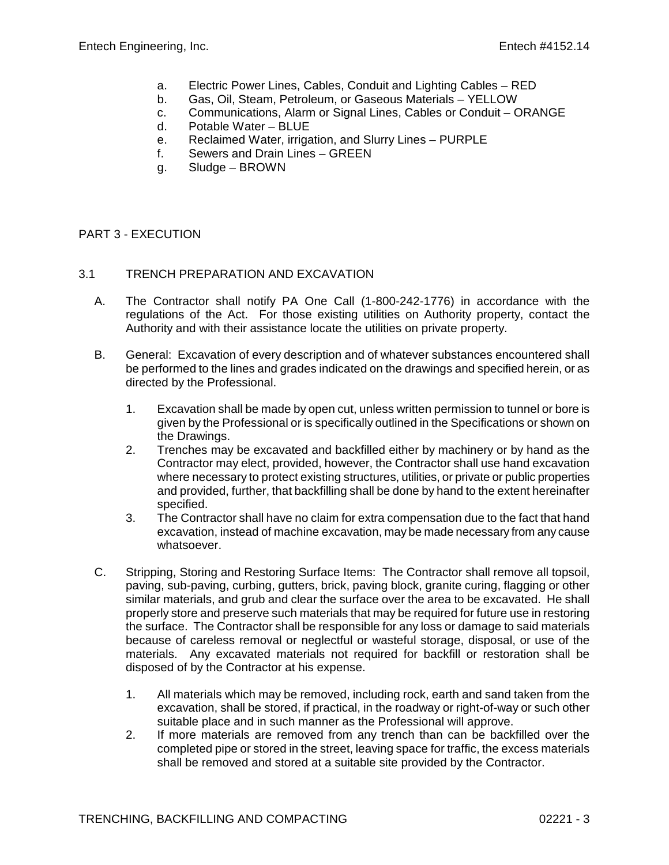- a. Electric Power Lines, Cables, Conduit and Lighting Cables RED
- b. Gas, Oil, Steam, Petroleum, or Gaseous Materials YELLOW
- c. Communications, Alarm or Signal Lines, Cables or Conduit ORANGE
- d. Potable Water BLUE
- e. Reclaimed Water, irrigation, and Slurry Lines PURPLE
- f. Sewers and Drain Lines GREEN
- g. Sludge BROWN

## PART 3 - EXECUTION

#### 3.1 TRENCH PREPARATION AND EXCAVATION

- A. The Contractor shall notify PA One Call (1-800-242-1776) in accordance with the regulations of the Act. For those existing utilities on Authority property, contact the Authority and with their assistance locate the utilities on private property.
- B. General: Excavation of every description and of whatever substances encountered shall be performed to the lines and grades indicated on the drawings and specified herein, or as directed by the Professional.
	- 1. Excavation shall be made by open cut, unless written permission to tunnel or bore is given by the Professional or is specifically outlined in the Specifications or shown on the Drawings.
	- 2. Trenches may be excavated and backfilled either by machinery or by hand as the Contractor may elect, provided, however, the Contractor shall use hand excavation where necessary to protect existing structures, utilities, or private or public properties and provided, further, that backfilling shall be done by hand to the extent hereinafter specified.
	- 3. The Contractor shall have no claim for extra compensation due to the fact that hand excavation, instead of machine excavation, may be made necessary from any cause whatsoever.
- C. Stripping, Storing and Restoring Surface Items: The Contractor shall remove all topsoil, paving, sub-paving, curbing, gutters, brick, paving block, granite curing, flagging or other similar materials, and grub and clear the surface over the area to be excavated. He shall properly store and preserve such materials that may be required for future use in restoring the surface. The Contractor shall be responsible for any loss or damage to said materials because of careless removal or neglectful or wasteful storage, disposal, or use of the materials. Any excavated materials not required for backfill or restoration shall be disposed of by the Contractor at his expense.
	- 1. All materials which may be removed, including rock, earth and sand taken from the excavation, shall be stored, if practical, in the roadway or right-of-way or such other suitable place and in such manner as the Professional will approve.
	- 2. If more materials are removed from any trench than can be backfilled over the completed pipe or stored in the street, leaving space for traffic, the excess materials shall be removed and stored at a suitable site provided by the Contractor.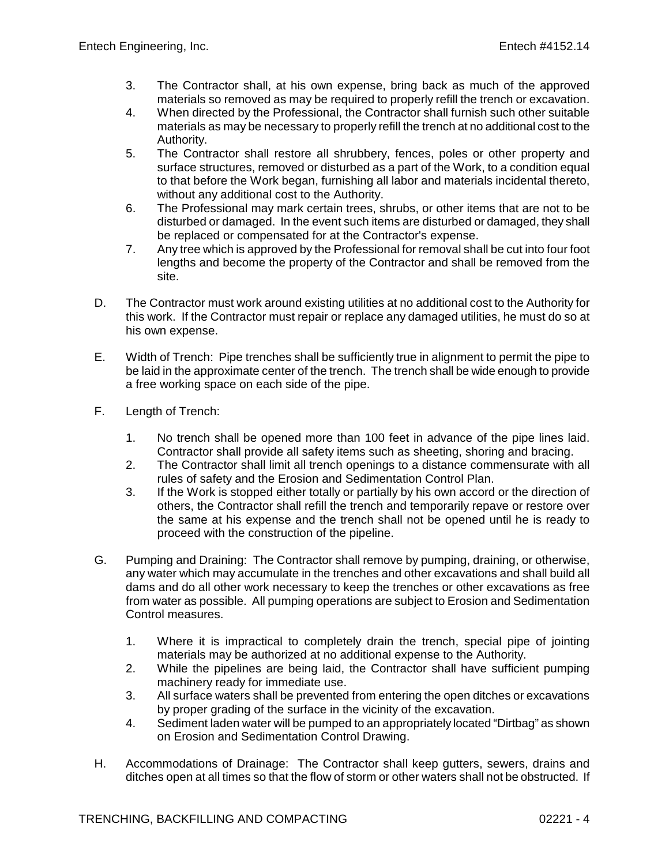- 3. The Contractor shall, at his own expense, bring back as much of the approved materials so removed as may be required to properly refill the trench or excavation.
- 4. When directed by the Professional, the Contractor shall furnish such other suitable materials as may be necessary to properly refill the trench at no additional cost to the Authority.
- 5. The Contractor shall restore all shrubbery, fences, poles or other property and surface structures, removed or disturbed as a part of the Work, to a condition equal to that before the Work began, furnishing all labor and materials incidental thereto, without any additional cost to the Authority.
- 6. The Professional may mark certain trees, shrubs, or other items that are not to be disturbed or damaged. In the event such items are disturbed or damaged, they shall be replaced or compensated for at the Contractor's expense.
- 7. Any tree which is approved by the Professional for removal shall be cut into four foot lengths and become the property of the Contractor and shall be removed from the site.
- D. The Contractor must work around existing utilities at no additional cost to the Authority for this work. If the Contractor must repair or replace any damaged utilities, he must do so at his own expense.
- E. Width of Trench: Pipe trenches shall be sufficiently true in alignment to permit the pipe to be laid in the approximate center of the trench. The trench shall be wide enough to provide a free working space on each side of the pipe.
- F. Length of Trench:
	- 1. No trench shall be opened more than 100 feet in advance of the pipe lines laid. Contractor shall provide all safety items such as sheeting, shoring and bracing.
	- 2. The Contractor shall limit all trench openings to a distance commensurate with all rules of safety and the Erosion and Sedimentation Control Plan.
	- 3. If the Work is stopped either totally or partially by his own accord or the direction of others, the Contractor shall refill the trench and temporarily repave or restore over the same at his expense and the trench shall not be opened until he is ready to proceed with the construction of the pipeline.
- G. Pumping and Draining: The Contractor shall remove by pumping, draining, or otherwise, any water which may accumulate in the trenches and other excavations and shall build all dams and do all other work necessary to keep the trenches or other excavations as free from water as possible. All pumping operations are subject to Erosion and Sedimentation Control measures.
	- 1. Where it is impractical to completely drain the trench, special pipe of jointing materials may be authorized at no additional expense to the Authority.
	- 2. While the pipelines are being laid, the Contractor shall have sufficient pumping machinery ready for immediate use.
	- 3. All surface waters shall be prevented from entering the open ditches or excavations by proper grading of the surface in the vicinity of the excavation.
	- 4. Sediment laden water will be pumped to an appropriately located "Dirtbag" as shown on Erosion and Sedimentation Control Drawing.
- H. Accommodations of Drainage: The Contractor shall keep gutters, sewers, drains and ditches open at all times so that the flow of storm or other waters shall not be obstructed. If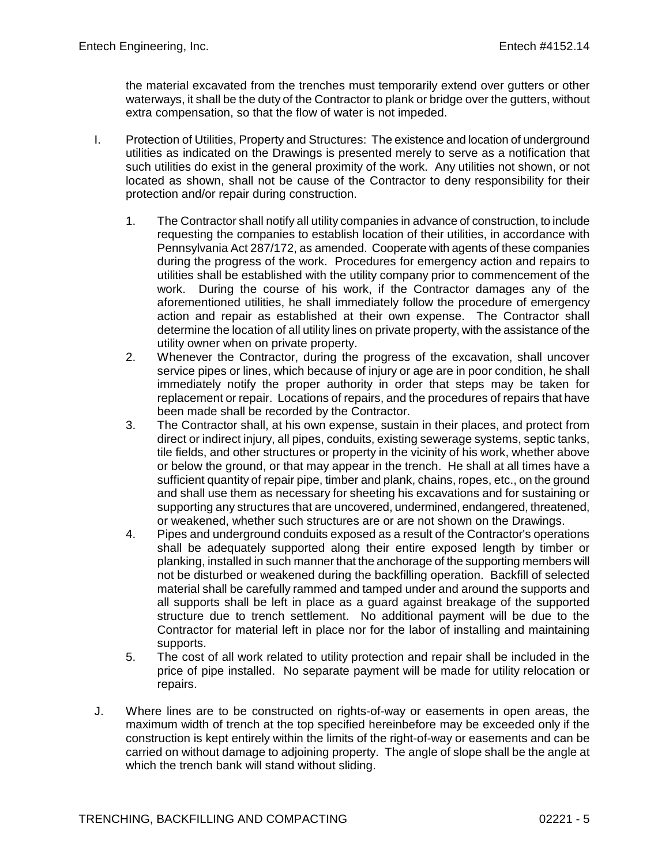the material excavated from the trenches must temporarily extend over gutters or other waterways, it shall be the duty of the Contractor to plank or bridge over the gutters, without extra compensation, so that the flow of water is not impeded.

- I. Protection of Utilities, Property and Structures: The existence and location of underground utilities as indicated on the Drawings is presented merely to serve as a notification that such utilities do exist in the general proximity of the work. Any utilities not shown, or not located as shown, shall not be cause of the Contractor to deny responsibility for their protection and/or repair during construction.
	- 1. The Contractor shall notify all utility companies in advance of construction, to include requesting the companies to establish location of their utilities, in accordance with Pennsylvania Act 287/172, as amended. Cooperate with agents of these companies during the progress of the work. Procedures for emergency action and repairs to utilities shall be established with the utility company prior to commencement of the work. During the course of his work, if the Contractor damages any of the aforementioned utilities, he shall immediately follow the procedure of emergency action and repair as established at their own expense. The Contractor shall determine the location of all utility lines on private property, with the assistance of the utility owner when on private property.
	- 2. Whenever the Contractor, during the progress of the excavation, shall uncover service pipes or lines, which because of injury or age are in poor condition, he shall immediately notify the proper authority in order that steps may be taken for replacement or repair. Locations of repairs, and the procedures of repairs that have been made shall be recorded by the Contractor.
	- 3. The Contractor shall, at his own expense, sustain in their places, and protect from direct or indirect injury, all pipes, conduits, existing sewerage systems, septic tanks, tile fields, and other structures or property in the vicinity of his work, whether above or below the ground, or that may appear in the trench. He shall at all times have a sufficient quantity of repair pipe, timber and plank, chains, ropes, etc., on the ground and shall use them as necessary for sheeting his excavations and for sustaining or supporting any structures that are uncovered, undermined, endangered, threatened, or weakened, whether such structures are or are not shown on the Drawings.
	- 4. Pipes and underground conduits exposed as a result of the Contractor's operations shall be adequately supported along their entire exposed length by timber or planking, installed in such manner that the anchorage of the supporting members will not be disturbed or weakened during the backfilling operation. Backfill of selected material shall be carefully rammed and tamped under and around the supports and all supports shall be left in place as a guard against breakage of the supported structure due to trench settlement. No additional payment will be due to the Contractor for material left in place nor for the labor of installing and maintaining supports.
	- 5. The cost of all work related to utility protection and repair shall be included in the price of pipe installed. No separate payment will be made for utility relocation or repairs.
- J. Where lines are to be constructed on rights-of-way or easements in open areas, the maximum width of trench at the top specified hereinbefore may be exceeded only if the construction is kept entirely within the limits of the right-of-way or easements and can be carried on without damage to adjoining property. The angle of slope shall be the angle at which the trench bank will stand without sliding.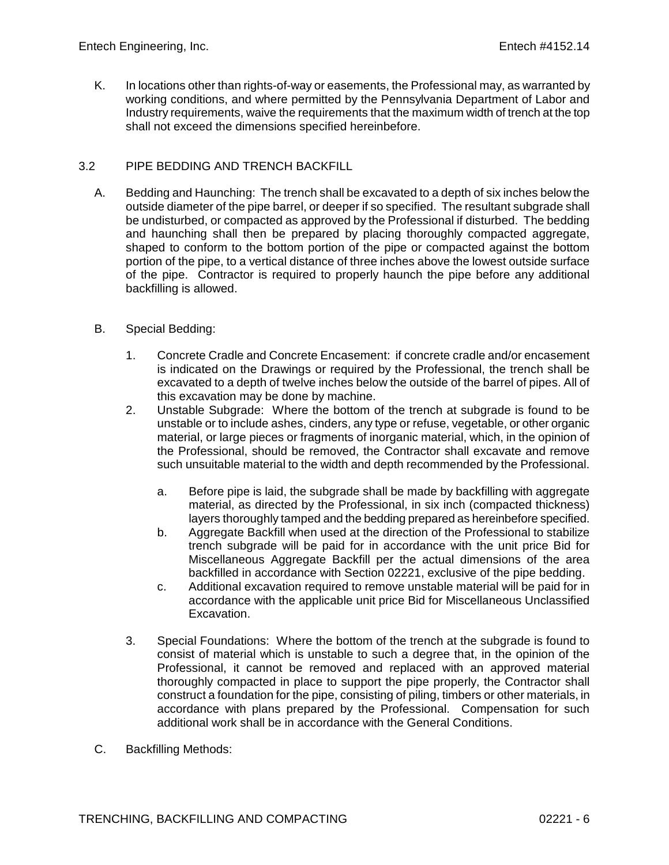K. In locations other than rights-of-way or easements, the Professional may, as warranted by working conditions, and where permitted by the Pennsylvania Department of Labor and Industry requirements, waive the requirements that the maximum width of trench at the top shall not exceed the dimensions specified hereinbefore.

# 3.2 PIPE BEDDING AND TRENCH BACKFILL

- A. Bedding and Haunching: The trench shall be excavated to a depth of six inches below the outside diameter of the pipe barrel, or deeper if so specified. The resultant subgrade shall be undisturbed, or compacted as approved by the Professional if disturbed. The bedding and haunching shall then be prepared by placing thoroughly compacted aggregate, shaped to conform to the bottom portion of the pipe or compacted against the bottom portion of the pipe, to a vertical distance of three inches above the lowest outside surface of the pipe. Contractor is required to properly haunch the pipe before any additional backfilling is allowed.
- B. Special Bedding:
	- 1. Concrete Cradle and Concrete Encasement: if concrete cradle and/or encasement is indicated on the Drawings or required by the Professional, the trench shall be excavated to a depth of twelve inches below the outside of the barrel of pipes. All of this excavation may be done by machine.
	- 2. Unstable Subgrade: Where the bottom of the trench at subgrade is found to be unstable or to include ashes, cinders, any type or refuse, vegetable, or other organic material, or large pieces or fragments of inorganic material, which, in the opinion of the Professional, should be removed, the Contractor shall excavate and remove such unsuitable material to the width and depth recommended by the Professional.
		- a. Before pipe is laid, the subgrade shall be made by backfilling with aggregate material, as directed by the Professional, in six inch (compacted thickness) layers thoroughly tamped and the bedding prepared as hereinbefore specified.
		- b. Aggregate Backfill when used at the direction of the Professional to stabilize trench subgrade will be paid for in accordance with the unit price Bid for Miscellaneous Aggregate Backfill per the actual dimensions of the area backfilled in accordance with Section 02221, exclusive of the pipe bedding.
		- c. Additional excavation required to remove unstable material will be paid for in accordance with the applicable unit price Bid for Miscellaneous Unclassified Excavation.
	- 3. Special Foundations: Where the bottom of the trench at the subgrade is found to consist of material which is unstable to such a degree that, in the opinion of the Professional, it cannot be removed and replaced with an approved material thoroughly compacted in place to support the pipe properly, the Contractor shall construct a foundation for the pipe, consisting of piling, timbers or other materials, in accordance with plans prepared by the Professional. Compensation for such additional work shall be in accordance with the General Conditions.
- C. Backfilling Methods: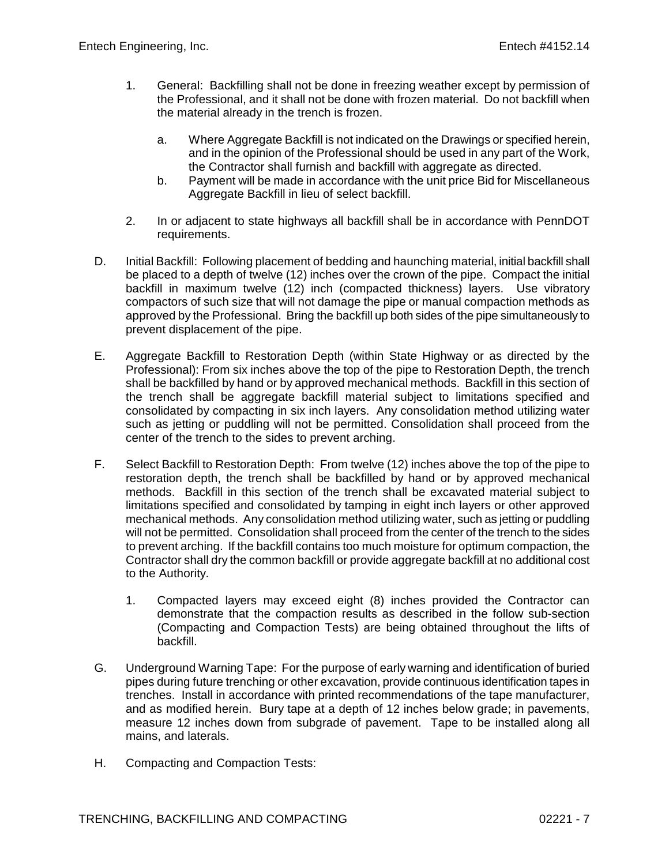- 1. General: Backfilling shall not be done in freezing weather except by permission of the Professional, and it shall not be done with frozen material. Do not backfill when the material already in the trench is frozen.
	- a. Where Aggregate Backfill is not indicated on the Drawings or specified herein, and in the opinion of the Professional should be used in any part of the Work, the Contractor shall furnish and backfill with aggregate as directed.
	- b. Payment will be made in accordance with the unit price Bid for Miscellaneous Aggregate Backfill in lieu of select backfill.
- 2. In or adjacent to state highways all backfill shall be in accordance with PennDOT requirements.
- D. Initial Backfill: Following placement of bedding and haunching material, initial backfill shall be placed to a depth of twelve (12) inches over the crown of the pipe. Compact the initial backfill in maximum twelve (12) inch (compacted thickness) layers. Use vibratory compactors of such size that will not damage the pipe or manual compaction methods as approved by the Professional. Bring the backfill up both sides of the pipe simultaneously to prevent displacement of the pipe.
- E. Aggregate Backfill to Restoration Depth (within State Highway or as directed by the Professional): From six inches above the top of the pipe to Restoration Depth, the trench shall be backfilled by hand or by approved mechanical methods. Backfill in this section of the trench shall be aggregate backfill material subject to limitations specified and consolidated by compacting in six inch layers. Any consolidation method utilizing water such as jetting or puddling will not be permitted. Consolidation shall proceed from the center of the trench to the sides to prevent arching.
- F. Select Backfill to Restoration Depth: From twelve (12) inches above the top of the pipe to restoration depth, the trench shall be backfilled by hand or by approved mechanical methods. Backfill in this section of the trench shall be excavated material subject to limitations specified and consolidated by tamping in eight inch layers or other approved mechanical methods. Any consolidation method utilizing water, such as jetting or puddling will not be permitted. Consolidation shall proceed from the center of the trench to the sides to prevent arching. If the backfill contains too much moisture for optimum compaction, the Contractor shall dry the common backfill or provide aggregate backfill at no additional cost to the Authority.
	- 1. Compacted layers may exceed eight (8) inches provided the Contractor can demonstrate that the compaction results as described in the follow sub-section (Compacting and Compaction Tests) are being obtained throughout the lifts of backfill.
- G. Underground Warning Tape: For the purpose of early warning and identification of buried pipes during future trenching or other excavation, provide continuous identification tapes in trenches. Install in accordance with printed recommendations of the tape manufacturer, and as modified herein. Bury tape at a depth of 12 inches below grade; in pavements, measure 12 inches down from subgrade of pavement. Tape to be installed along all mains, and laterals.
- H. Compacting and Compaction Tests: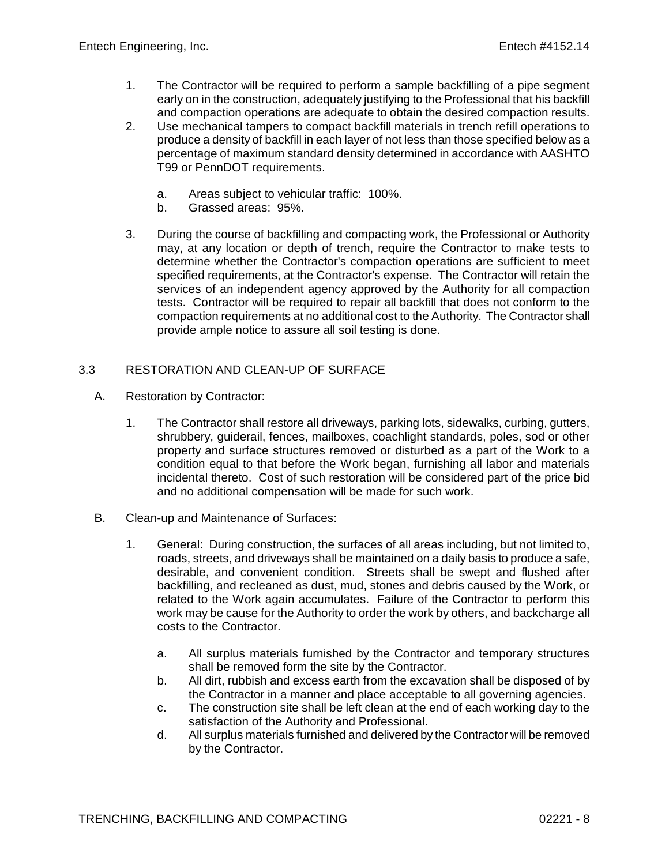- 1. The Contractor will be required to perform a sample backfilling of a pipe segment early on in the construction, adequately justifying to the Professional that his backfill and compaction operations are adequate to obtain the desired compaction results.
- 2. Use mechanical tampers to compact backfill materials in trench refill operations to produce a density of backfill in each layer of not less than those specified below as a percentage of maximum standard density determined in accordance with AASHTO T99 or PennDOT requirements.
	- a. Areas subject to vehicular traffic: 100%.
	- b. Grassed areas: 95%.
- 3. During the course of backfilling and compacting work, the Professional or Authority may, at any location or depth of trench, require the Contractor to make tests to determine whether the Contractor's compaction operations are sufficient to meet specified requirements, at the Contractor's expense. The Contractor will retain the services of an independent agency approved by the Authority for all compaction tests. Contractor will be required to repair all backfill that does not conform to the compaction requirements at no additional cost to the Authority. The Contractor shall provide ample notice to assure all soil testing is done.

## 3.3 RESTORATION AND CLEAN-UP OF SURFACE

- A. Restoration by Contractor:
	- 1. The Contractor shall restore all driveways, parking lots, sidewalks, curbing, gutters, shrubbery, guiderail, fences, mailboxes, coachlight standards, poles, sod or other property and surface structures removed or disturbed as a part of the Work to a condition equal to that before the Work began, furnishing all labor and materials incidental thereto. Cost of such restoration will be considered part of the price bid and no additional compensation will be made for such work.
- B. Clean-up and Maintenance of Surfaces:
	- 1. General: During construction, the surfaces of all areas including, but not limited to, roads, streets, and driveways shall be maintained on a daily basis to produce a safe, desirable, and convenient condition. Streets shall be swept and flushed after backfilling, and recleaned as dust, mud, stones and debris caused by the Work, or related to the Work again accumulates. Failure of the Contractor to perform this work may be cause for the Authority to order the work by others, and backcharge all costs to the Contractor.
		- a. All surplus materials furnished by the Contractor and temporary structures shall be removed form the site by the Contractor.
		- b. All dirt, rubbish and excess earth from the excavation shall be disposed of by the Contractor in a manner and place acceptable to all governing agencies.
		- c. The construction site shall be left clean at the end of each working day to the satisfaction of the Authority and Professional.
		- d. All surplus materials furnished and delivered by the Contractor will be removed by the Contractor.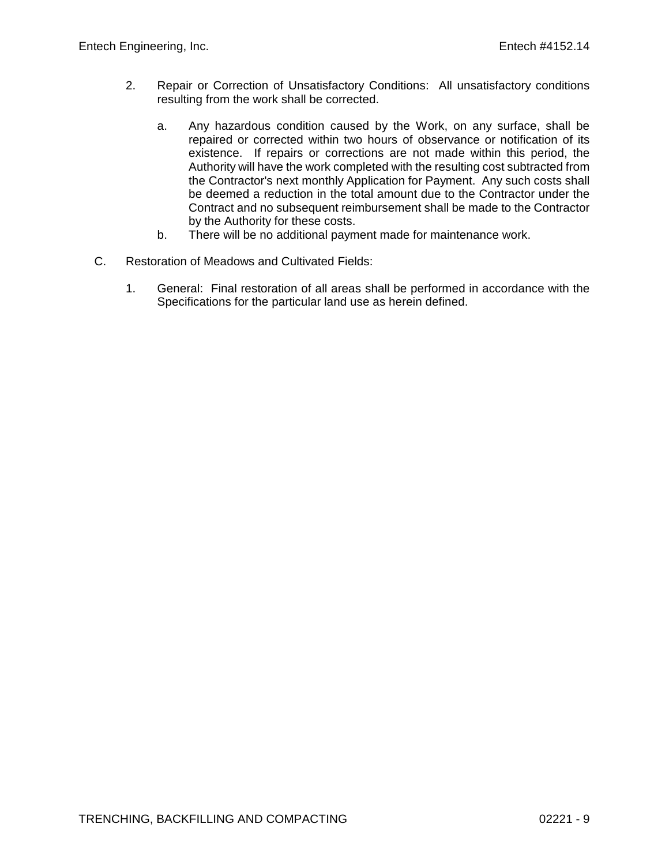- 2. Repair or Correction of Unsatisfactory Conditions: All unsatisfactory conditions resulting from the work shall be corrected.
	- a. Any hazardous condition caused by the Work, on any surface, shall be repaired or corrected within two hours of observance or notification of its existence. If repairs or corrections are not made within this period, the Authority will have the work completed with the resulting cost subtracted from the Contractor's next monthly Application for Payment. Any such costs shall be deemed a reduction in the total amount due to the Contractor under the Contract and no subsequent reimbursement shall be made to the Contractor by the Authority for these costs.
	- b. There will be no additional payment made for maintenance work.
- C. Restoration of Meadows and Cultivated Fields:
	- 1. General: Final restoration of all areas shall be performed in accordance with the Specifications for the particular land use as herein defined.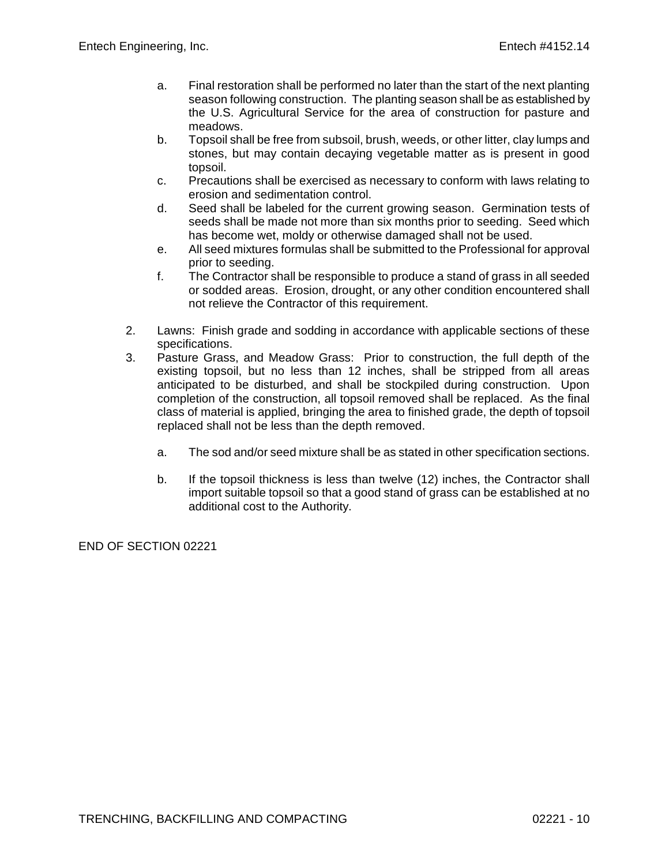- a. Final restoration shall be performed no later than the start of the next planting season following construction. The planting season shall be as established by the U.S. Agricultural Service for the area of construction for pasture and meadows.
- b. Topsoil shall be free from subsoil, brush, weeds, or other litter, clay lumps and stones, but may contain decaying vegetable matter as is present in good topsoil.
- c. Precautions shall be exercised as necessary to conform with laws relating to erosion and sedimentation control.
- d. Seed shall be labeled for the current growing season. Germination tests of seeds shall be made not more than six months prior to seeding. Seed which has become wet, moldy or otherwise damaged shall not be used.
- e. All seed mixtures formulas shall be submitted to the Professional for approval prior to seeding.
- f. The Contractor shall be responsible to produce a stand of grass in all seeded or sodded areas. Erosion, drought, or any other condition encountered shall not relieve the Contractor of this requirement.
- 2. Lawns: Finish grade and sodding in accordance with applicable sections of these specifications.
- 3. Pasture Grass, and Meadow Grass: Prior to construction, the full depth of the existing topsoil, but no less than 12 inches, shall be stripped from all areas anticipated to be disturbed, and shall be stockpiled during construction. Upon completion of the construction, all topsoil removed shall be replaced. As the final class of material is applied, bringing the area to finished grade, the depth of topsoil replaced shall not be less than the depth removed.
	- a. The sod and/or seed mixture shall be as stated in other specification sections.
	- b. If the topsoil thickness is less than twelve (12) inches, the Contractor shall import suitable topsoil so that a good stand of grass can be established at no additional cost to the Authority.

END OF SECTION 02221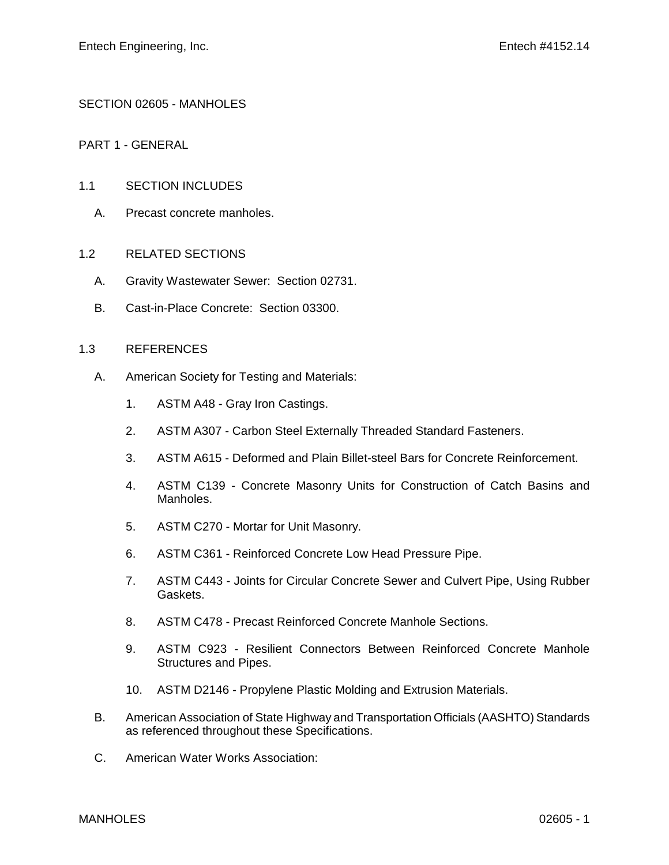SECTION 02605 - MANHOLES

PART 1 - GENERAL

#### 1.1 SECTION INCLUDES

A. Precast concrete manholes.

#### 1.2 RELATED SECTIONS

- A. Gravity Wastewater Sewer: Section 02731.
- B. Cast-in-Place Concrete: Section 03300.

#### 1.3 REFERENCES

- A. American Society for Testing and Materials:
	- 1. ASTM A48 Gray Iron Castings.
	- 2. ASTM A307 Carbon Steel Externally Threaded Standard Fasteners.
	- 3. ASTM A615 Deformed and Plain Billet-steel Bars for Concrete Reinforcement.
	- 4. ASTM C139 Concrete Masonry Units for Construction of Catch Basins and Manholes.
	- 5. ASTM C270 Mortar for Unit Masonry.
	- 6. ASTM C361 Reinforced Concrete Low Head Pressure Pipe.
	- 7. ASTM C443 Joints for Circular Concrete Sewer and Culvert Pipe, Using Rubber Gaskets.
	- 8. ASTM C478 Precast Reinforced Concrete Manhole Sections.
	- 9. ASTM C923 Resilient Connectors Between Reinforced Concrete Manhole Structures and Pipes.
	- 10. ASTM D2146 Propylene Plastic Molding and Extrusion Materials.
- B. American Association of State Highway and Transportation Officials (AASHTO) Standards as referenced throughout these Specifications.
- C. American Water Works Association: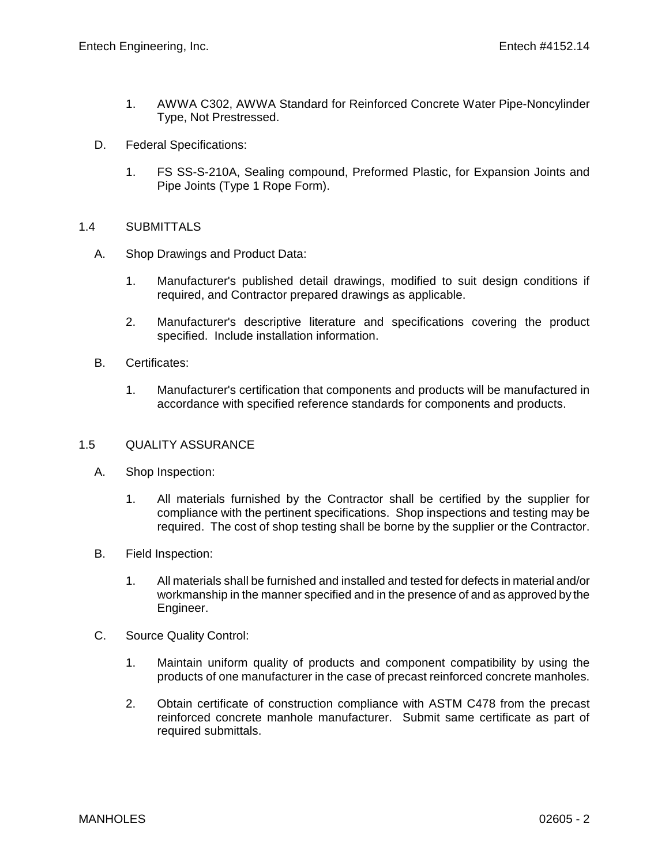- 1. AWWA C302, AWWA Standard for Reinforced Concrete Water Pipe-Noncylinder Type, Not Prestressed.
- D. Federal Specifications:
	- 1. FS SS-S-210A, Sealing compound, Preformed Plastic, for Expansion Joints and Pipe Joints (Type 1 Rope Form).

## 1.4 SUBMITTALS

- A. Shop Drawings and Product Data:
	- 1. Manufacturer's published detail drawings, modified to suit design conditions if required, and Contractor prepared drawings as applicable.
	- 2. Manufacturer's descriptive literature and specifications covering the product specified. Include installation information.
- B. Certificates:
	- 1. Manufacturer's certification that components and products will be manufactured in accordance with specified reference standards for components and products.

#### 1.5 QUALITY ASSURANCE

- A. Shop Inspection:
	- 1. All materials furnished by the Contractor shall be certified by the supplier for compliance with the pertinent specifications. Shop inspections and testing may be required. The cost of shop testing shall be borne by the supplier or the Contractor.
- B. Field Inspection:
	- 1. All materials shall be furnished and installed and tested for defects in material and/or workmanship in the manner specified and in the presence of and as approved by the Engineer.
- C. Source Quality Control:
	- 1. Maintain uniform quality of products and component compatibility by using the products of one manufacturer in the case of precast reinforced concrete manholes.
	- 2. Obtain certificate of construction compliance with ASTM C478 from the precast reinforced concrete manhole manufacturer. Submit same certificate as part of required submittals.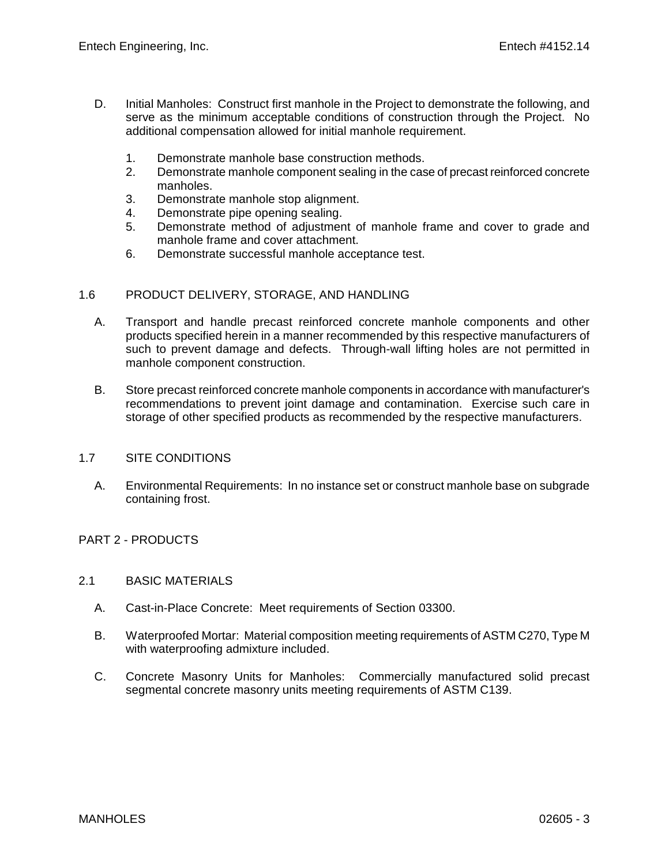- D. Initial Manholes: Construct first manhole in the Project to demonstrate the following, and serve as the minimum acceptable conditions of construction through the Project. No additional compensation allowed for initial manhole requirement.
	- 1. Demonstrate manhole base construction methods.
	- 2. Demonstrate manhole component sealing in the case of precast reinforced concrete manholes.
	- 3. Demonstrate manhole stop alignment.
	- 4. Demonstrate pipe opening sealing.
	- 5. Demonstrate method of adjustment of manhole frame and cover to grade and manhole frame and cover attachment.
	- 6. Demonstrate successful manhole acceptance test.

## 1.6 PRODUCT DELIVERY, STORAGE, AND HANDLING

- A. Transport and handle precast reinforced concrete manhole components and other products specified herein in a manner recommended by this respective manufacturers of such to prevent damage and defects. Through-wall lifting holes are not permitted in manhole component construction.
- B. Store precast reinforced concrete manhole components in accordance with manufacturer's recommendations to prevent joint damage and contamination. Exercise such care in storage of other specified products as recommended by the respective manufacturers.

## 1.7 SITE CONDITIONS

A. Environmental Requirements: In no instance set or construct manhole base on subgrade containing frost.

#### PART 2 - PRODUCTS

- 2.1 BASIC MATERIALS
	- A. Cast-in-Place Concrete: Meet requirements of Section 03300.
	- B. Waterproofed Mortar: Material composition meeting requirements of ASTM C270, Type M with waterproofing admixture included.
	- C. Concrete Masonry Units for Manholes: Commercially manufactured solid precast segmental concrete masonry units meeting requirements of ASTM C139.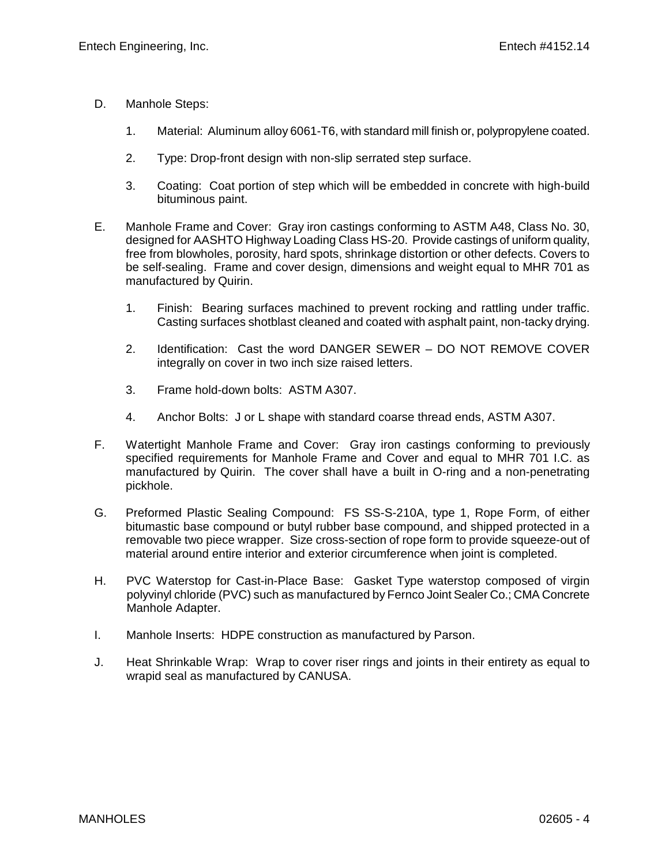- D. Manhole Steps:
	- 1. Material: Aluminum alloy 6061-T6, with standard mill finish or, polypropylene coated.
	- 2. Type: Drop-front design with non-slip serrated step surface.
	- 3. Coating: Coat portion of step which will be embedded in concrete with high-build bituminous paint.
- E. Manhole Frame and Cover: Gray iron castings conforming to ASTM A48, Class No. 30, designed for AASHTO Highway Loading Class HS-20. Provide castings of uniform quality, free from blowholes, porosity, hard spots, shrinkage distortion or other defects. Covers to be self-sealing. Frame and cover design, dimensions and weight equal to MHR 701 as manufactured by Quirin.
	- 1. Finish: Bearing surfaces machined to prevent rocking and rattling under traffic. Casting surfaces shotblast cleaned and coated with asphalt paint, non-tacky drying.
	- 2. Identification: Cast the word DANGER SEWER DO NOT REMOVE COVER integrally on cover in two inch size raised letters.
	- 3. Frame hold-down bolts: ASTM A307.
	- 4. Anchor Bolts: J or L shape with standard coarse thread ends, ASTM A307.
- F. Watertight Manhole Frame and Cover: Gray iron castings conforming to previously specified requirements for Manhole Frame and Cover and equal to MHR 701 I.C. as manufactured by Quirin. The cover shall have a built in O-ring and a non-penetrating pickhole.
- G. Preformed Plastic Sealing Compound: FS SS-S-210A, type 1, Rope Form, of either bitumastic base compound or butyl rubber base compound, and shipped protected in a removable two piece wrapper. Size cross-section of rope form to provide squeeze-out of material around entire interior and exterior circumference when joint is completed.
- H. PVC Waterstop for Cast-in-Place Base: Gasket Type waterstop composed of virgin polyvinyl chloride (PVC) such as manufactured by Fernco Joint Sealer Co.; CMA Concrete Manhole Adapter.
- I. Manhole Inserts: HDPE construction as manufactured by Parson.
- J. Heat Shrinkable Wrap: Wrap to cover riser rings and joints in their entirety as equal to wrapid seal as manufactured by CANUSA.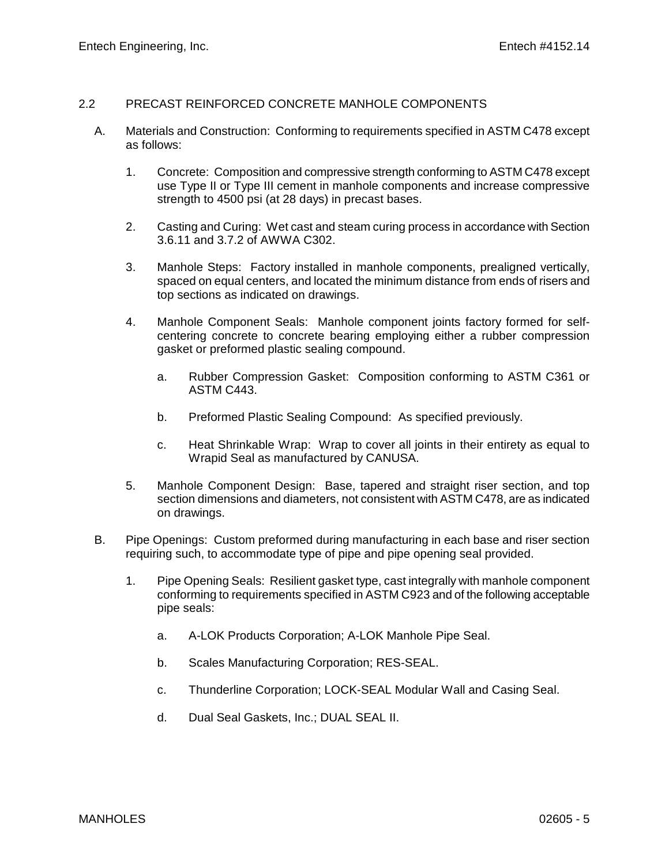## 2.2 PRECAST REINFORCED CONCRETE MANHOLE COMPONENTS

- A. Materials and Construction: Conforming to requirements specified in ASTM C478 except as follows:
	- 1. Concrete: Composition and compressive strength conforming to ASTM C478 except use Type II or Type III cement in manhole components and increase compressive strength to 4500 psi (at 28 days) in precast bases.
	- 2. Casting and Curing: Wet cast and steam curing process in accordance with Section 3.6.11 and 3.7.2 of AWWA C302.
	- 3. Manhole Steps: Factory installed in manhole components, prealigned vertically, spaced on equal centers, and located the minimum distance from ends of risers and top sections as indicated on drawings.
	- 4. Manhole Component Seals: Manhole component joints factory formed for selfcentering concrete to concrete bearing employing either a rubber compression gasket or preformed plastic sealing compound.
		- a. Rubber Compression Gasket: Composition conforming to ASTM C361 or ASTM C443.
		- b. Preformed Plastic Sealing Compound: As specified previously.
		- c. Heat Shrinkable Wrap: Wrap to cover all joints in their entirety as equal to Wrapid Seal as manufactured by CANUSA.
	- 5. Manhole Component Design: Base, tapered and straight riser section, and top section dimensions and diameters, not consistent with ASTM C478, are as indicated on drawings.
- B. Pipe Openings: Custom preformed during manufacturing in each base and riser section requiring such, to accommodate type of pipe and pipe opening seal provided.
	- 1. Pipe Opening Seals: Resilient gasket type, cast integrally with manhole component conforming to requirements specified in ASTM C923 and of the following acceptable pipe seals:
		- a. A-LOK Products Corporation; A-LOK Manhole Pipe Seal.
		- b. Scales Manufacturing Corporation; RES-SEAL.
		- c. Thunderline Corporation; LOCK-SEAL Modular Wall and Casing Seal.
		- d. Dual Seal Gaskets, Inc.; DUAL SEAL II.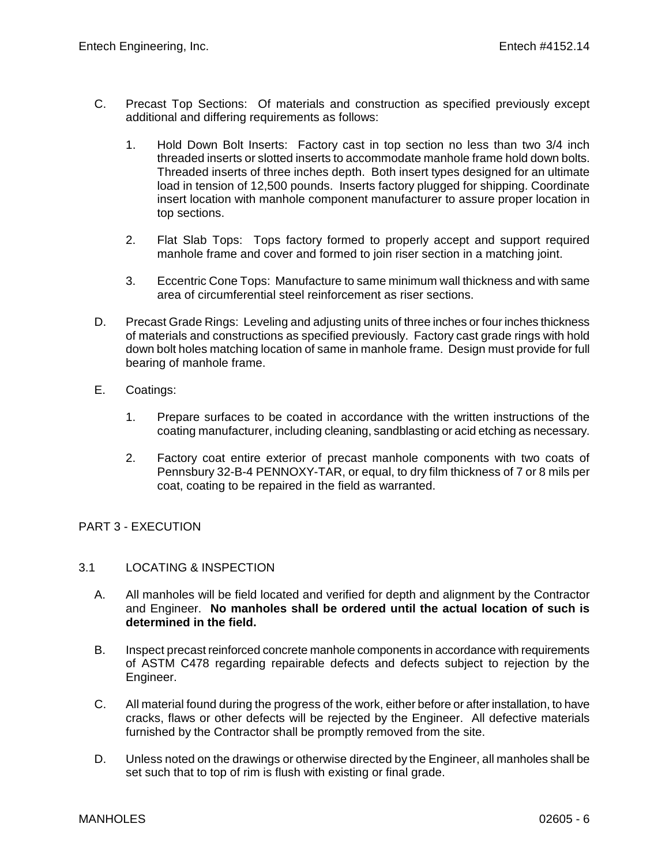- C. Precast Top Sections: Of materials and construction as specified previously except additional and differing requirements as follows:
	- 1. Hold Down Bolt Inserts: Factory cast in top section no less than two 3/4 inch threaded inserts or slotted inserts to accommodate manhole frame hold down bolts. Threaded inserts of three inches depth. Both insert types designed for an ultimate load in tension of 12,500 pounds. Inserts factory plugged for shipping. Coordinate insert location with manhole component manufacturer to assure proper location in top sections.
	- 2. Flat Slab Tops: Tops factory formed to properly accept and support required manhole frame and cover and formed to join riser section in a matching joint.
	- 3. Eccentric Cone Tops: Manufacture to same minimum wall thickness and with same area of circumferential steel reinforcement as riser sections.
- D. Precast Grade Rings: Leveling and adjusting units of three inches or four inches thickness of materials and constructions as specified previously. Factory cast grade rings with hold down bolt holes matching location of same in manhole frame. Design must provide for full bearing of manhole frame.
- E. Coatings:
	- 1. Prepare surfaces to be coated in accordance with the written instructions of the coating manufacturer, including cleaning, sandblasting or acid etching as necessary.
	- 2. Factory coat entire exterior of precast manhole components with two coats of Pennsbury 32-B-4 PENNOXY-TAR, or equal, to dry film thickness of 7 or 8 mils per coat, coating to be repaired in the field as warranted.

# PART 3 - EXECUTION

#### 3.1 LOCATING & INSPECTION

- A. All manholes will be field located and verified for depth and alignment by the Contractor and Engineer. **No manholes shall be ordered until the actual location of such is determined in the field.**
- B. Inspect precast reinforced concrete manhole components in accordance with requirements of ASTM C478 regarding repairable defects and defects subject to rejection by the Engineer.
- C. All material found during the progress of the work, either before or after installation, to have cracks, flaws or other defects will be rejected by the Engineer. All defective materials furnished by the Contractor shall be promptly removed from the site.
- D. Unless noted on the drawings or otherwise directed by the Engineer, all manholes shall be set such that to top of rim is flush with existing or final grade.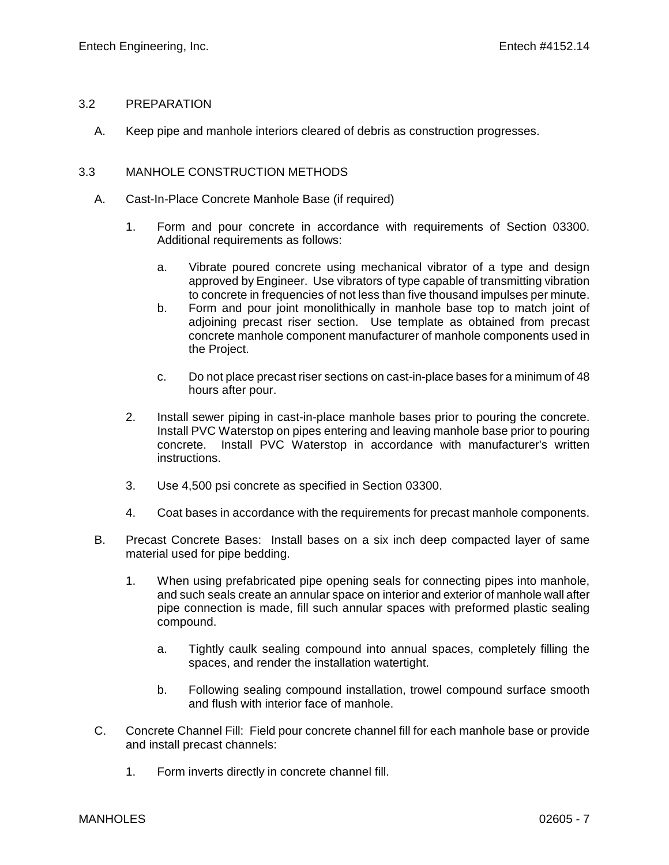#### 3.2 PREPARATION

A. Keep pipe and manhole interiors cleared of debris as construction progresses.

## 3.3 MANHOLE CONSTRUCTION METHODS

- A. Cast-In-Place Concrete Manhole Base (if required)
	- 1. Form and pour concrete in accordance with requirements of Section 03300. Additional requirements as follows:
		- a. Vibrate poured concrete using mechanical vibrator of a type and design approved by Engineer. Use vibrators of type capable of transmitting vibration to concrete in frequencies of not less than five thousand impulses per minute.
		- b. Form and pour joint monolithically in manhole base top to match joint of adjoining precast riser section. Use template as obtained from precast concrete manhole component manufacturer of manhole components used in the Project.
		- c. Do not place precast riser sections on cast-in-place bases for a minimum of 48 hours after pour.
	- 2. Install sewer piping in cast-in-place manhole bases prior to pouring the concrete. Install PVC Waterstop on pipes entering and leaving manhole base prior to pouring concrete. Install PVC Waterstop in accordance with manufacturer's written instructions.
	- 3. Use 4,500 psi concrete as specified in Section 03300.
	- 4. Coat bases in accordance with the requirements for precast manhole components.
- B. Precast Concrete Bases: Install bases on a six inch deep compacted layer of same material used for pipe bedding.
	- 1. When using prefabricated pipe opening seals for connecting pipes into manhole, and such seals create an annular space on interior and exterior of manhole wall after pipe connection is made, fill such annular spaces with preformed plastic sealing compound.
		- a. Tightly caulk sealing compound into annual spaces, completely filling the spaces, and render the installation watertight.
		- b. Following sealing compound installation, trowel compound surface smooth and flush with interior face of manhole.
- C. Concrete Channel Fill: Field pour concrete channel fill for each manhole base or provide and install precast channels:
	- 1. Form inverts directly in concrete channel fill.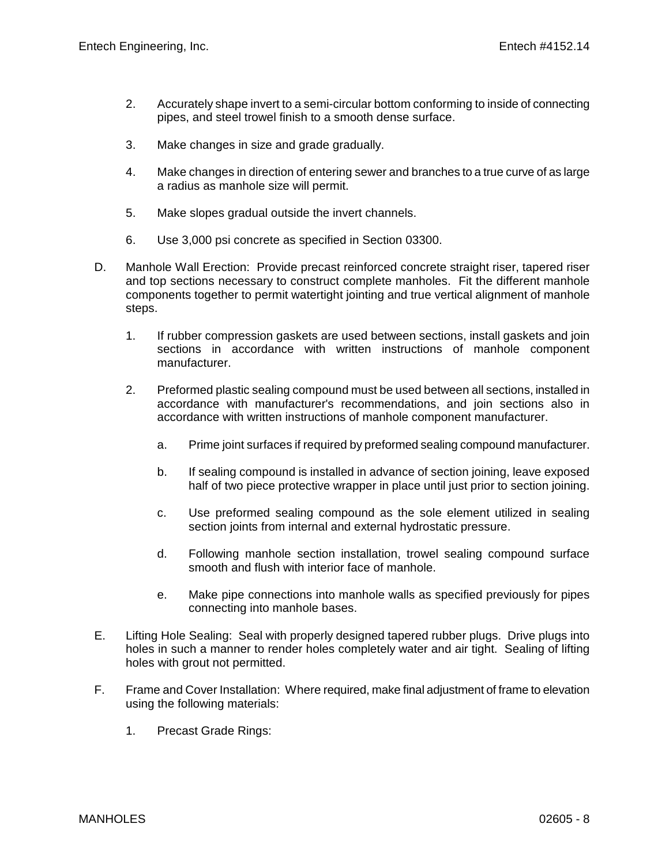- 2. Accurately shape invert to a semi-circular bottom conforming to inside of connecting pipes, and steel trowel finish to a smooth dense surface.
- 3. Make changes in size and grade gradually.
- 4. Make changes in direction of entering sewer and branches to a true curve of as large a radius as manhole size will permit.
- 5. Make slopes gradual outside the invert channels.
- 6. Use 3,000 psi concrete as specified in Section 03300.
- D. Manhole Wall Erection: Provide precast reinforced concrete straight riser, tapered riser and top sections necessary to construct complete manholes. Fit the different manhole components together to permit watertight jointing and true vertical alignment of manhole steps.
	- 1. If rubber compression gaskets are used between sections, install gaskets and join sections in accordance with written instructions of manhole component manufacturer.
	- 2. Preformed plastic sealing compound must be used between all sections, installed in accordance with manufacturer's recommendations, and join sections also in accordance with written instructions of manhole component manufacturer.
		- a. Prime joint surfaces if required by preformed sealing compound manufacturer.
		- b. If sealing compound is installed in advance of section joining, leave exposed half of two piece protective wrapper in place until just prior to section joining.
		- c. Use preformed sealing compound as the sole element utilized in sealing section joints from internal and external hydrostatic pressure.
		- d. Following manhole section installation, trowel sealing compound surface smooth and flush with interior face of manhole.
		- e. Make pipe connections into manhole walls as specified previously for pipes connecting into manhole bases.
- E. Lifting Hole Sealing: Seal with properly designed tapered rubber plugs. Drive plugs into holes in such a manner to render holes completely water and air tight. Sealing of lifting holes with grout not permitted.
- F. Frame and Cover Installation: Where required, make final adjustment of frame to elevation using the following materials:
	- 1. Precast Grade Rings: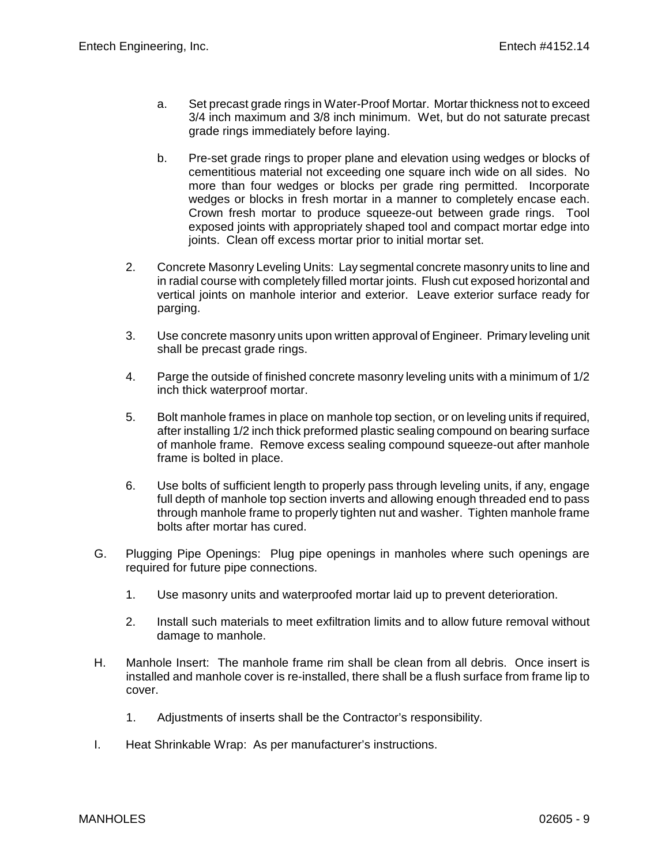- a. Set precast grade rings in Water-Proof Mortar. Mortar thickness not to exceed 3/4 inch maximum and 3/8 inch minimum. Wet, but do not saturate precast grade rings immediately before laying.
- b. Pre-set grade rings to proper plane and elevation using wedges or blocks of cementitious material not exceeding one square inch wide on all sides. No more than four wedges or blocks per grade ring permitted. Incorporate wedges or blocks in fresh mortar in a manner to completely encase each. Crown fresh mortar to produce squeeze-out between grade rings. Tool exposed joints with appropriately shaped tool and compact mortar edge into joints. Clean off excess mortar prior to initial mortar set.
- 2. Concrete Masonry Leveling Units: Lay segmental concrete masonry units to line and in radial course with completely filled mortar joints. Flush cut exposed horizontal and vertical joints on manhole interior and exterior. Leave exterior surface ready for parging.
- 3. Use concrete masonry units upon written approval of Engineer. Primary leveling unit shall be precast grade rings.
- 4. Parge the outside of finished concrete masonry leveling units with a minimum of 1/2 inch thick waterproof mortar.
- 5. Bolt manhole frames in place on manhole top section, or on leveling units if required, after installing 1/2 inch thick preformed plastic sealing compound on bearing surface of manhole frame. Remove excess sealing compound squeeze-out after manhole frame is bolted in place.
- 6. Use bolts of sufficient length to properly pass through leveling units, if any, engage full depth of manhole top section inverts and allowing enough threaded end to pass through manhole frame to properly tighten nut and washer. Tighten manhole frame bolts after mortar has cured.
- G. Plugging Pipe Openings: Plug pipe openings in manholes where such openings are required for future pipe connections.
	- 1. Use masonry units and waterproofed mortar laid up to prevent deterioration.
	- 2. Install such materials to meet exfiltration limits and to allow future removal without damage to manhole.
- H. Manhole Insert: The manhole frame rim shall be clean from all debris. Once insert is installed and manhole cover is re-installed, there shall be a flush surface from frame lip to cover.
	- 1. Adjustments of inserts shall be the Contractor's responsibility.
- I. Heat Shrinkable Wrap: As per manufacturer's instructions.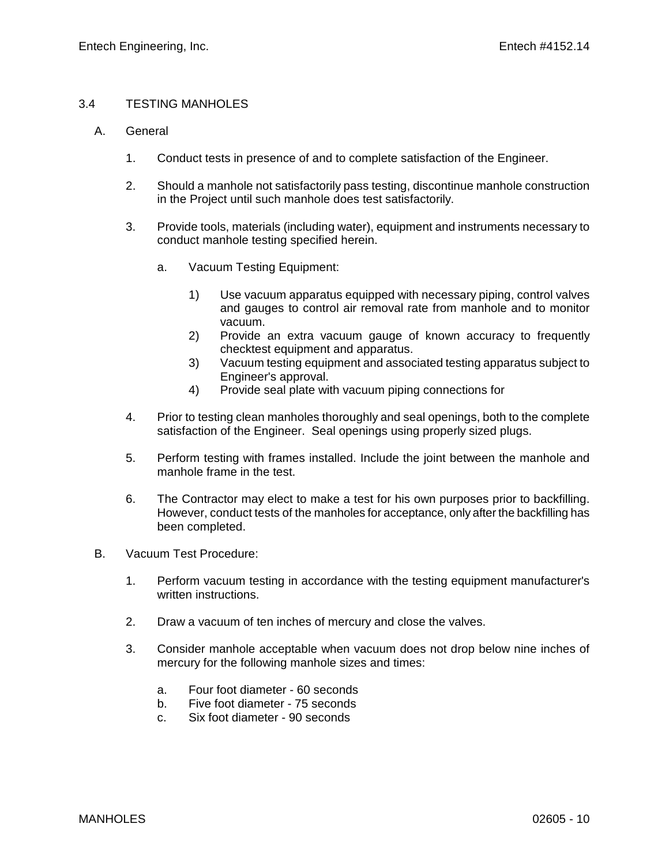#### 3.4 TESTING MANHOLES

- A. General
	- 1. Conduct tests in presence of and to complete satisfaction of the Engineer.
	- 2. Should a manhole not satisfactorily pass testing, discontinue manhole construction in the Project until such manhole does test satisfactorily.
	- 3. Provide tools, materials (including water), equipment and instruments necessary to conduct manhole testing specified herein.
		- a. Vacuum Testing Equipment:
			- 1) Use vacuum apparatus equipped with necessary piping, control valves and gauges to control air removal rate from manhole and to monitor vacuum.
			- 2) Provide an extra vacuum gauge of known accuracy to frequently checktest equipment and apparatus.
			- 3) Vacuum testing equipment and associated testing apparatus subject to Engineer's approval.
			- 4) Provide seal plate with vacuum piping connections for
	- 4. Prior to testing clean manholes thoroughly and seal openings, both to the complete satisfaction of the Engineer. Seal openings using properly sized plugs.
	- 5. Perform testing with frames installed. Include the joint between the manhole and manhole frame in the test.
	- 6. The Contractor may elect to make a test for his own purposes prior to backfilling. However, conduct tests of the manholes for acceptance, only after the backfilling has been completed.
- B. Vacuum Test Procedure:
	- 1. Perform vacuum testing in accordance with the testing equipment manufacturer's written instructions.
	- 2. Draw a vacuum of ten inches of mercury and close the valves.
	- 3. Consider manhole acceptable when vacuum does not drop below nine inches of mercury for the following manhole sizes and times:
		- a. Four foot diameter 60 seconds
		- b. Five foot diameter 75 seconds
		- c. Six foot diameter 90 seconds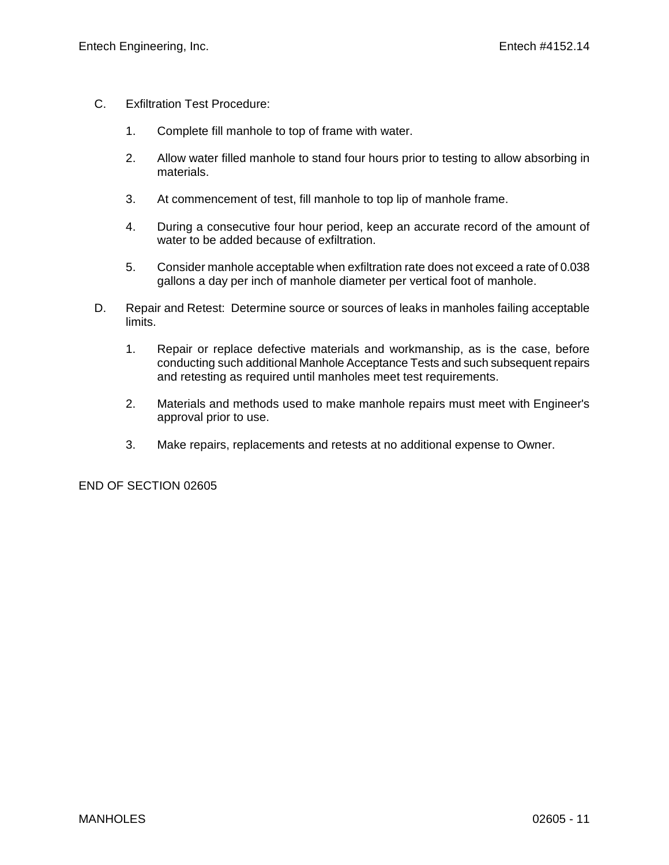- C. Exfiltration Test Procedure:
	- 1. Complete fill manhole to top of frame with water.
	- 2. Allow water filled manhole to stand four hours prior to testing to allow absorbing in materials.
	- 3. At commencement of test, fill manhole to top lip of manhole frame.
	- 4. During a consecutive four hour period, keep an accurate record of the amount of water to be added because of exfiltration.
	- 5. Consider manhole acceptable when exfiltration rate does not exceed a rate of 0.038 gallons a day per inch of manhole diameter per vertical foot of manhole.
- D. Repair and Retest: Determine source or sources of leaks in manholes failing acceptable limits.
	- 1. Repair or replace defective materials and workmanship, as is the case, before conducting such additional Manhole Acceptance Tests and such subsequent repairs and retesting as required until manholes meet test requirements.
	- 2. Materials and methods used to make manhole repairs must meet with Engineer's approval prior to use.
	- 3. Make repairs, replacements and retests at no additional expense to Owner.

END OF SECTION 02605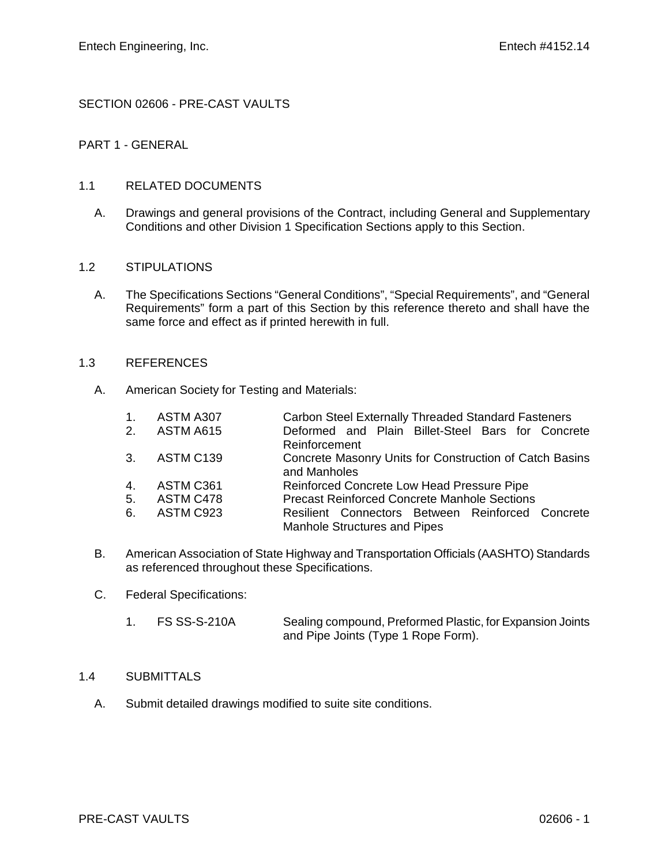# SECTION 02606 - PRE-CAST VAULTS

# PART 1 - GENERAL

## 1.1 RELATED DOCUMENTS

A. Drawings and general provisions of the Contract, including General and Supplementary Conditions and other Division 1 Specification Sections apply to this Section.

#### 1.2 STIPULATIONS

A. The Specifications Sections "General Conditions", "Special Requirements", and "General Requirements" form a part of this Section by this reference thereto and shall have the same force and effect as if printed herewith in full.

## 1.3 REFERENCES

- A. American Society for Testing and Materials:
	- 1. ASTM A307 Carbon Steel Externally Threaded Standard Fasteners<br>2. ASTM A615 Ceformed and Plain Billet-Steel Bars for Concre
	- 2. ASTM A615 Deformed and Plain Billet-Steel Bars for Concrete Reinforcement
		- 3. ASTM C139 Concrete Masonry Units for Construction of Catch Basins and Manholes
		- 4. ASTM C361 Reinforced Concrete Low Head Pressure Pipe<br>5. ASTM C478 Precast Reinforced Concrete Manhole Sections
		- 5. ASTM C478 Precast Reinforced Concrete Manhole Sections<br>6. ASTM C923 Resilient Connectors Between Reinforced
		- Resilient Connectors Between Reinforced Concrete Manhole Structures and Pipes
- B. American Association of State Highway and Transportation Officials (AASHTO) Standards as referenced throughout these Specifications.
- C. Federal Specifications:
	- 1. FS SS-S-210A Sealing compound, Preformed Plastic, for Expansion Joints and Pipe Joints (Type 1 Rope Form).

#### 1.4 SUBMITTALS

A. Submit detailed drawings modified to suite site conditions.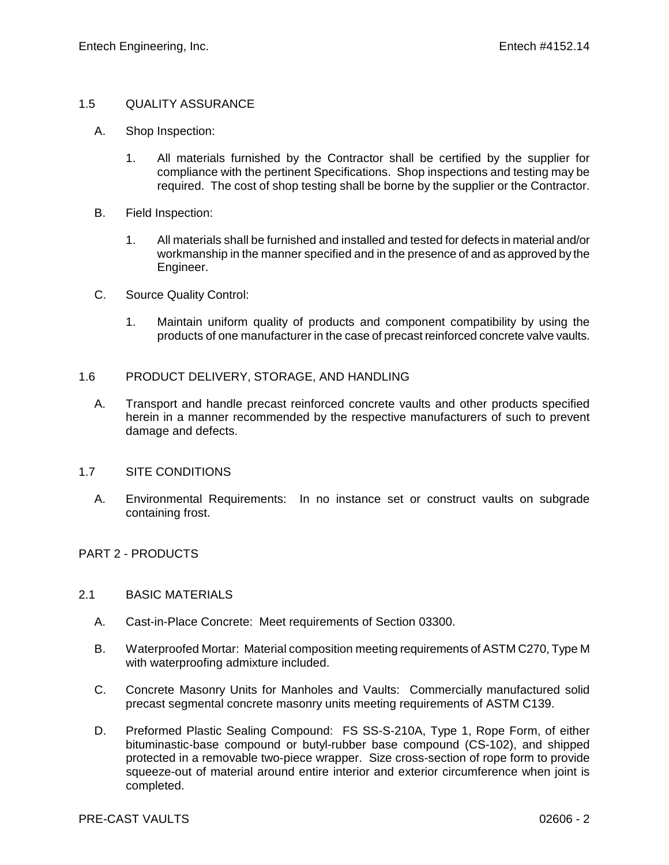## 1.5 QUALITY ASSURANCE

- A. Shop Inspection:
	- 1. All materials furnished by the Contractor shall be certified by the supplier for compliance with the pertinent Specifications. Shop inspections and testing may be required. The cost of shop testing shall be borne by the supplier or the Contractor.
- B. Field Inspection:
	- 1. All materials shall be furnished and installed and tested for defects in material and/or workmanship in the manner specified and in the presence of and as approved by the Engineer.
- C. Source Quality Control:
	- 1. Maintain uniform quality of products and component compatibility by using the products of one manufacturer in the case of precast reinforced concrete valve vaults.

## 1.6 PRODUCT DELIVERY, STORAGE, AND HANDLING

A. Transport and handle precast reinforced concrete vaults and other products specified herein in a manner recommended by the respective manufacturers of such to prevent damage and defects.

# 1.7 SITE CONDITIONS

A. Environmental Requirements: In no instance set or construct vaults on subgrade containing frost.

# PART 2 - PRODUCTS

#### 2.1 BASIC MATERIALS

- A. Cast-in-Place Concrete: Meet requirements of Section 03300.
- B. Waterproofed Mortar: Material composition meeting requirements of ASTM C270, Type M with waterproofing admixture included.
- C. Concrete Masonry Units for Manholes and Vaults: Commercially manufactured solid precast segmental concrete masonry units meeting requirements of ASTM C139.
- D. Preformed Plastic Sealing Compound: FS SS-S-210A, Type 1, Rope Form, of either bituminastic-base compound or butyl-rubber base compound (CS-102), and shipped protected in a removable two-piece wrapper. Size cross-section of rope form to provide squeeze-out of material around entire interior and exterior circumference when joint is completed.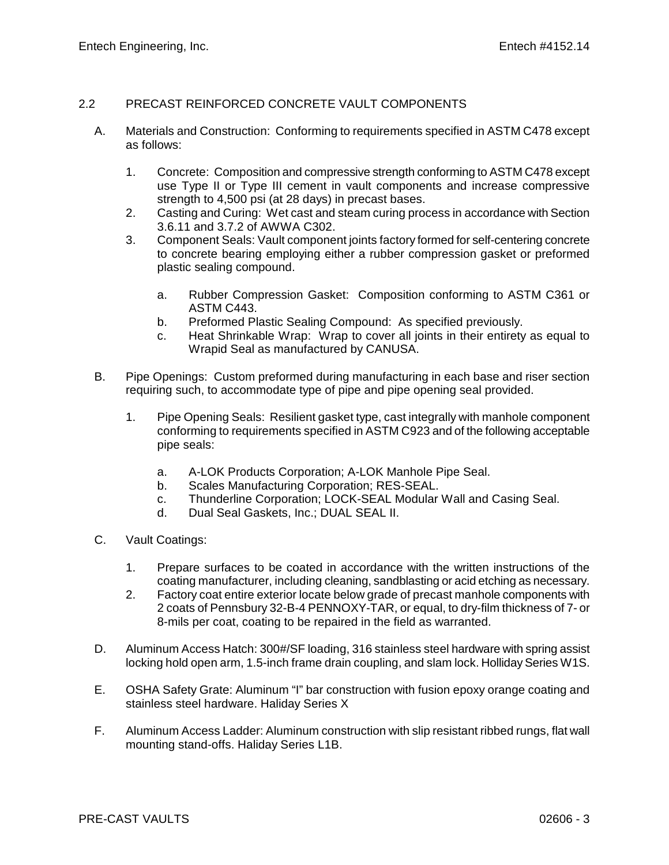## 2.2 PRECAST REINFORCED CONCRETE VAULT COMPONENTS

- A. Materials and Construction: Conforming to requirements specified in ASTM C478 except as follows:
	- 1. Concrete: Composition and compressive strength conforming to ASTM C478 except use Type II or Type III cement in vault components and increase compressive strength to 4,500 psi (at 28 days) in precast bases.
	- 2. Casting and Curing: Wet cast and steam curing process in accordance with Section 3.6.11 and 3.7.2 of AWWA C302.
	- 3. Component Seals: Vault component joints factory formed for self-centering concrete to concrete bearing employing either a rubber compression gasket or preformed plastic sealing compound.
		- a. Rubber Compression Gasket: Composition conforming to ASTM C361 or ASTM C443.
		- b. Preformed Plastic Sealing Compound: As specified previously.
		- c. Heat Shrinkable Wrap: Wrap to cover all joints in their entirety as equal to Wrapid Seal as manufactured by CANUSA.
- B. Pipe Openings: Custom preformed during manufacturing in each base and riser section requiring such, to accommodate type of pipe and pipe opening seal provided.
	- 1. Pipe Opening Seals: Resilient gasket type, cast integrally with manhole component conforming to requirements specified in ASTM C923 and of the following acceptable pipe seals:
		- a. A-LOK Products Corporation; A-LOK Manhole Pipe Seal.
		- b. Scales Manufacturing Corporation; RES-SEAL.
		- c. Thunderline Corporation; LOCK-SEAL Modular Wall and Casing Seal.<br>d. Dual Seal Gaskets, Inc.: DUAL SEAL II.
		- Dual Seal Gaskets, Inc.; DUAL SEAL II.
- C. Vault Coatings:
	- 1. Prepare surfaces to be coated in accordance with the written instructions of the coating manufacturer, including cleaning, sandblasting or acid etching as necessary.
	- 2. Factory coat entire exterior locate below grade of precast manhole components with 2 coats of Pennsbury 32-B-4 PENNOXY-TAR, or equal, to dry-film thickness of 7- or 8-mils per coat, coating to be repaired in the field as warranted.
- D. Aluminum Access Hatch: 300#/SF loading, 316 stainless steel hardware with spring assist locking hold open arm, 1.5-inch frame drain coupling, and slam lock. Holliday Series W1S.
- E. OSHA Safety Grate: Aluminum "I" bar construction with fusion epoxy orange coating and stainless steel hardware. Haliday Series X
- F. Aluminum Access Ladder: Aluminum construction with slip resistant ribbed rungs, flat wall mounting stand-offs. Haliday Series L1B.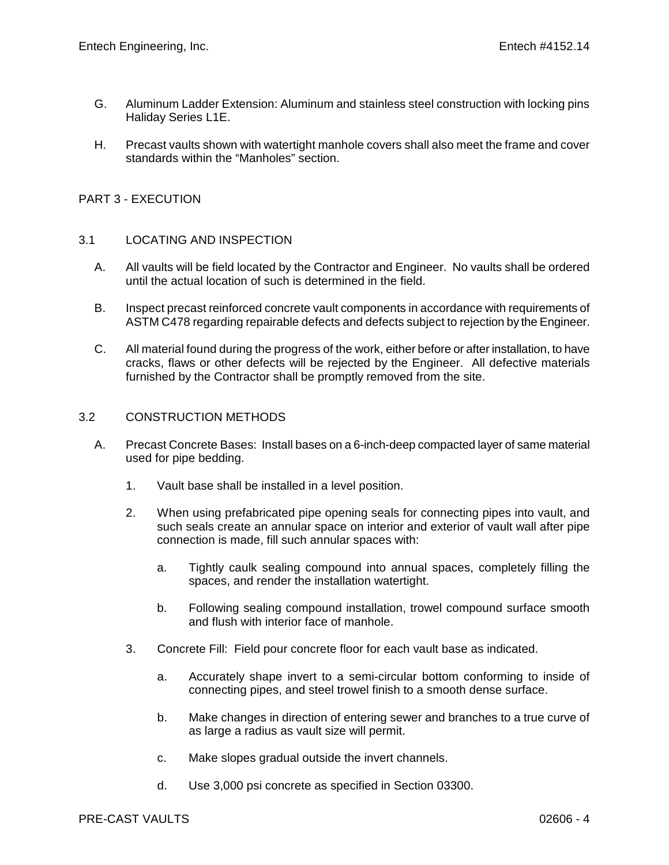- G. Aluminum Ladder Extension: Aluminum and stainless steel construction with locking pins Haliday Series L1E.
- H. Precast vaults shown with watertight manhole covers shall also meet the frame and cover standards within the "Manholes" section.

## PART 3 - EXECUTION

#### 3.1 LOCATING AND INSPECTION

- A. All vaults will be field located by the Contractor and Engineer. No vaults shall be ordered until the actual location of such is determined in the field.
- B. Inspect precast reinforced concrete vault components in accordance with requirements of ASTM C478 regarding repairable defects and defects subject to rejection by the Engineer.
- C. All material found during the progress of the work, either before or after installation, to have cracks, flaws or other defects will be rejected by the Engineer. All defective materials furnished by the Contractor shall be promptly removed from the site.

#### 3.2 CONSTRUCTION METHODS

- A. Precast Concrete Bases: Install bases on a 6-inch-deep compacted layer of same material used for pipe bedding.
	- 1. Vault base shall be installed in a level position.
	- 2. When using prefabricated pipe opening seals for connecting pipes into vault, and such seals create an annular space on interior and exterior of vault wall after pipe connection is made, fill such annular spaces with:
		- a. Tightly caulk sealing compound into annual spaces, completely filling the spaces, and render the installation watertight.
		- b. Following sealing compound installation, trowel compound surface smooth and flush with interior face of manhole.
	- 3. Concrete Fill: Field pour concrete floor for each vault base as indicated.
		- a. Accurately shape invert to a semi-circular bottom conforming to inside of connecting pipes, and steel trowel finish to a smooth dense surface.
		- b. Make changes in direction of entering sewer and branches to a true curve of as large a radius as vault size will permit.
		- c. Make slopes gradual outside the invert channels.
		- d. Use 3,000 psi concrete as specified in Section 03300.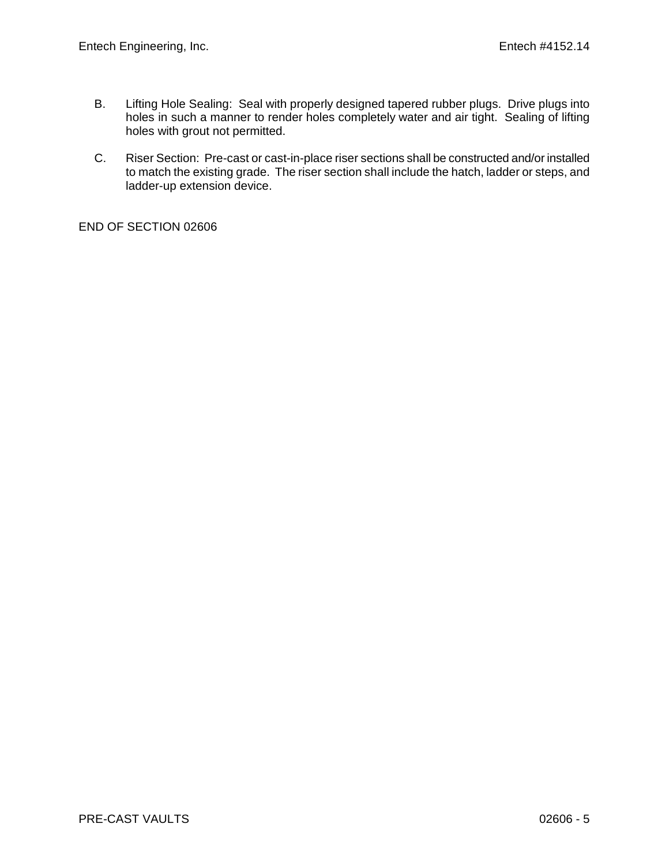- B. Lifting Hole Sealing: Seal with properly designed tapered rubber plugs. Drive plugs into holes in such a manner to render holes completely water and air tight. Sealing of lifting holes with grout not permitted.
- C. Riser Section: Pre-cast or cast-in-place riser sections shall be constructed and/or installed to match the existing grade. The riser section shall include the hatch, ladder or steps, and ladder-up extension device.

END OF SECTION 02606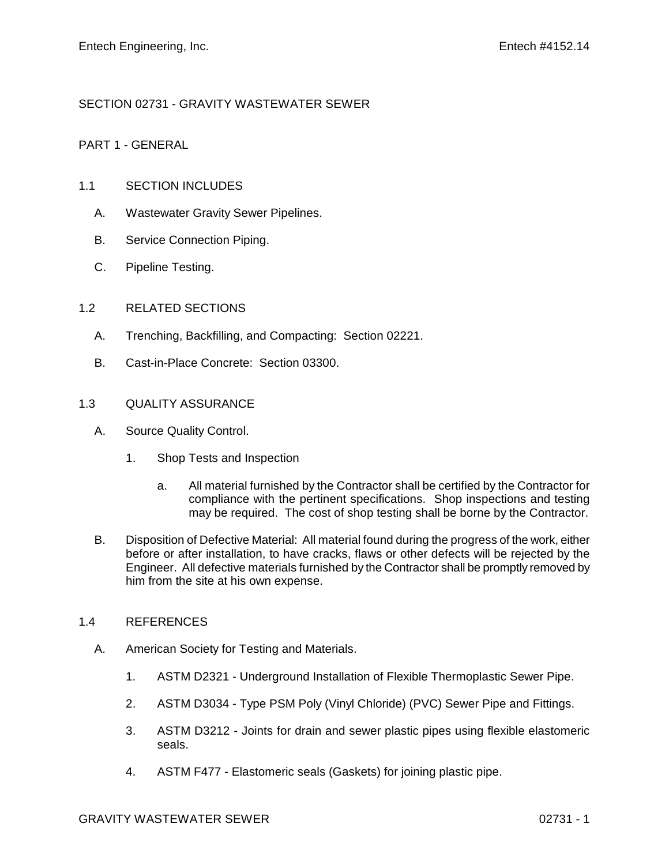# SECTION 02731 - GRAVITY WASTEWATER SEWER

# PART 1 - GENERAL

## 1.1 SECTION INCLUDES

- A. Wastewater Gravity Sewer Pipelines.
- B. Service Connection Piping.
- C. Pipeline Testing.

## 1.2 RELATED SECTIONS

- A. Trenching, Backfilling, and Compacting: Section 02221.
- B. Cast-in-Place Concrete: Section 03300.

# 1.3 QUALITY ASSURANCE

- A. Source Quality Control.
	- 1. Shop Tests and Inspection
		- a. All material furnished by the Contractor shall be certified by the Contractor for compliance with the pertinent specifications. Shop inspections and testing may be required. The cost of shop testing shall be borne by the Contractor.
- B. Disposition of Defective Material: All material found during the progress of the work, either before or after installation, to have cracks, flaws or other defects will be rejected by the Engineer. All defective materials furnished by the Contractor shall be promptly removed by him from the site at his own expense.

#### 1.4 REFERENCES

- A. American Society for Testing and Materials.
	- 1. ASTM D2321 Underground Installation of Flexible Thermoplastic Sewer Pipe.
	- 2. ASTM D3034 Type PSM Poly (Vinyl Chloride) (PVC) Sewer Pipe and Fittings.
	- 3. ASTM D3212 Joints for drain and sewer plastic pipes using flexible elastomeric seals.
	- 4. ASTM F477 Elastomeric seals (Gaskets) for joining plastic pipe.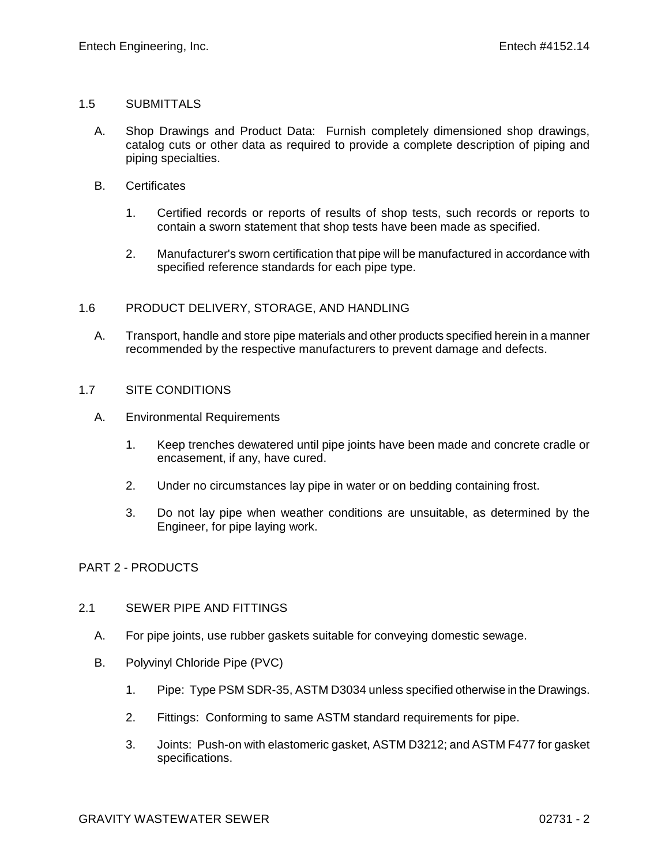## 1.5 SUBMITTALS

- A. Shop Drawings and Product Data: Furnish completely dimensioned shop drawings, catalog cuts or other data as required to provide a complete description of piping and piping specialties.
- B. Certificates
	- 1. Certified records or reports of results of shop tests, such records or reports to contain a sworn statement that shop tests have been made as specified.
	- 2. Manufacturer's sworn certification that pipe will be manufactured in accordance with specified reference standards for each pipe type.

## 1.6 PRODUCT DELIVERY, STORAGE, AND HANDLING

A. Transport, handle and store pipe materials and other products specified herein in a manner recommended by the respective manufacturers to prevent damage and defects.

## 1.7 SITE CONDITIONS

- A. Environmental Requirements
	- 1. Keep trenches dewatered until pipe joints have been made and concrete cradle or encasement, if any, have cured.
	- 2. Under no circumstances lay pipe in water or on bedding containing frost.
	- 3. Do not lay pipe when weather conditions are unsuitable, as determined by the Engineer, for pipe laying work.

# PART 2 - PRODUCTS

#### 2.1 SEWER PIPE AND FITTINGS

- A. For pipe joints, use rubber gaskets suitable for conveying domestic sewage.
- B. Polyvinyl Chloride Pipe (PVC)
	- 1. Pipe: Type PSM SDR-35, ASTM D3034 unless specified otherwise in the Drawings.
	- 2. Fittings: Conforming to same ASTM standard requirements for pipe.
	- 3. Joints: Push-on with elastomeric gasket, ASTM D3212; and ASTM F477 for gasket specifications.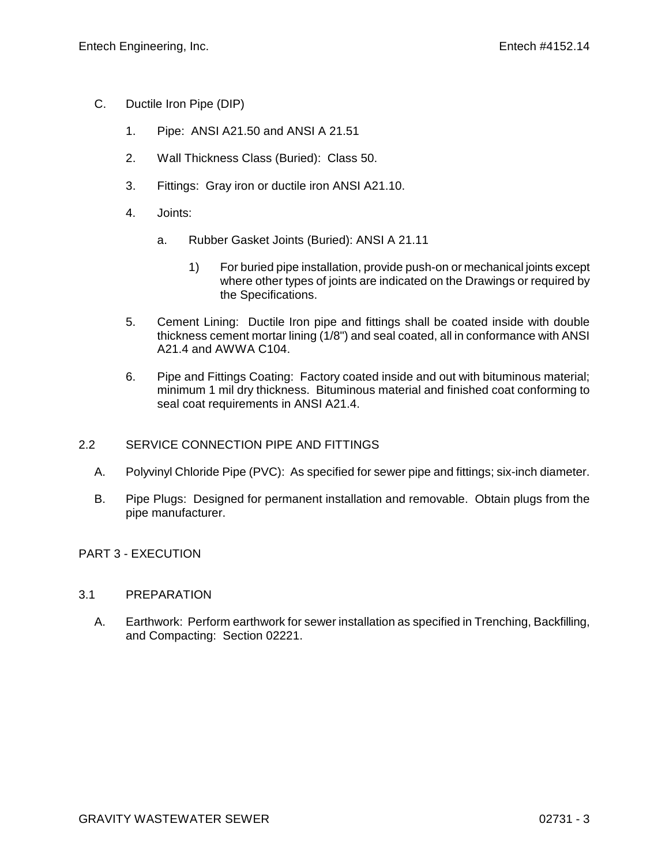- C. Ductile Iron Pipe (DIP)
	- 1. Pipe: ANSI A21.50 and ANSI A 21.51
	- 2. Wall Thickness Class (Buried): Class 50.
	- 3. Fittings: Gray iron or ductile iron ANSI A21.10.
	- 4. Joints:
		- a. Rubber Gasket Joints (Buried): ANSI A 21.11
			- 1) For buried pipe installation, provide push-on or mechanical joints except where other types of joints are indicated on the Drawings or required by the Specifications.
	- 5. Cement Lining: Ductile Iron pipe and fittings shall be coated inside with double thickness cement mortar lining (1/8") and seal coated, all in conformance with ANSI A21.4 and AWWA C104.
	- 6. Pipe and Fittings Coating: Factory coated inside and out with bituminous material; minimum 1 mil dry thickness. Bituminous material and finished coat conforming to seal coat requirements in ANSI A21.4.

# 2.2 SERVICE CONNECTION PIPE AND FITTINGS

- A. Polyvinyl Chloride Pipe (PVC): As specified for sewer pipe and fittings; six-inch diameter.
- B. Pipe Plugs: Designed for permanent installation and removable. Obtain plugs from the pipe manufacturer.

# PART 3 - EXECUTION

# 3.1 PREPARATION

A. Earthwork: Perform earthwork for sewer installation as specified in Trenching, Backfilling, and Compacting: Section 02221.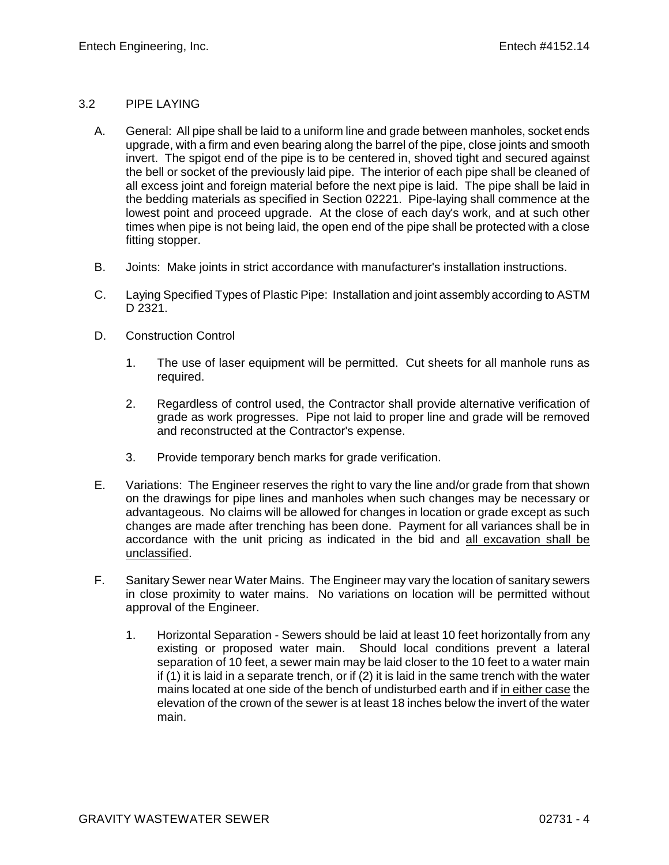# 3.2 PIPE LAYING

- A. General: All pipe shall be laid to a uniform line and grade between manholes, socket ends upgrade, with a firm and even bearing along the barrel of the pipe, close joints and smooth invert. The spigot end of the pipe is to be centered in, shoved tight and secured against the bell or socket of the previously laid pipe. The interior of each pipe shall be cleaned of all excess joint and foreign material before the next pipe is laid. The pipe shall be laid in the bedding materials as specified in Section 02221. Pipe-laying shall commence at the lowest point and proceed upgrade. At the close of each day's work, and at such other times when pipe is not being laid, the open end of the pipe shall be protected with a close fitting stopper.
- B. Joints: Make joints in strict accordance with manufacturer's installation instructions.
- C. Laying Specified Types of Plastic Pipe: Installation and joint assembly according to ASTM D 2321.
- D. Construction Control
	- 1. The use of laser equipment will be permitted. Cut sheets for all manhole runs as required.
	- 2. Regardless of control used, the Contractor shall provide alternative verification of grade as work progresses. Pipe not laid to proper line and grade will be removed and reconstructed at the Contractor's expense.
	- 3. Provide temporary bench marks for grade verification.
- E. Variations: The Engineer reserves the right to vary the line and/or grade from that shown on the drawings for pipe lines and manholes when such changes may be necessary or advantageous. No claims will be allowed for changes in location or grade except as such changes are made after trenching has been done. Payment for all variances shall be in accordance with the unit pricing as indicated in the bid and all excavation shall be unclassified.
- F. Sanitary Sewer near Water Mains. The Engineer may vary the location of sanitary sewers in close proximity to water mains. No variations on location will be permitted without approval of the Engineer.
	- 1. Horizontal Separation Sewers should be laid at least 10 feet horizontally from any existing or proposed water main. Should local conditions prevent a lateral separation of 10 feet, a sewer main may be laid closer to the 10 feet to a water main if (1) it is laid in a separate trench, or if (2) it is laid in the same trench with the water mains located at one side of the bench of undisturbed earth and if in either case the elevation of the crown of the sewer is at least 18 inches below the invert of the water main.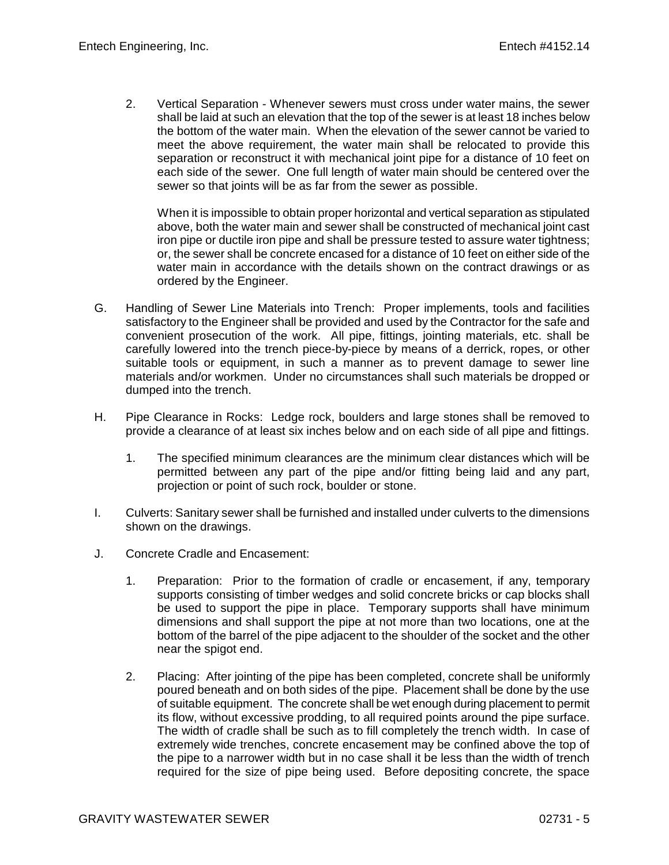2. Vertical Separation - Whenever sewers must cross under water mains, the sewer shall be laid at such an elevation that the top of the sewer is at least 18 inches below the bottom of the water main. When the elevation of the sewer cannot be varied to meet the above requirement, the water main shall be relocated to provide this separation or reconstruct it with mechanical joint pipe for a distance of 10 feet on each side of the sewer. One full length of water main should be centered over the sewer so that joints will be as far from the sewer as possible.

When it is impossible to obtain proper horizontal and vertical separation as stipulated above, both the water main and sewer shall be constructed of mechanical joint cast iron pipe or ductile iron pipe and shall be pressure tested to assure water tightness; or, the sewer shall be concrete encased for a distance of 10 feet on either side of the water main in accordance with the details shown on the contract drawings or as ordered by the Engineer.

- G. Handling of Sewer Line Materials into Trench: Proper implements, tools and facilities satisfactory to the Engineer shall be provided and used by the Contractor for the safe and convenient prosecution of the work. All pipe, fittings, jointing materials, etc. shall be carefully lowered into the trench piece-by-piece by means of a derrick, ropes, or other suitable tools or equipment, in such a manner as to prevent damage to sewer line materials and/or workmen. Under no circumstances shall such materials be dropped or dumped into the trench.
- H. Pipe Clearance in Rocks: Ledge rock, boulders and large stones shall be removed to provide a clearance of at least six inches below and on each side of all pipe and fittings.
	- 1. The specified minimum clearances are the minimum clear distances which will be permitted between any part of the pipe and/or fitting being laid and any part, projection or point of such rock, boulder or stone.
- I. Culverts: Sanitary sewer shall be furnished and installed under culverts to the dimensions shown on the drawings.
- J. Concrete Cradle and Encasement:
	- 1. Preparation: Prior to the formation of cradle or encasement, if any, temporary supports consisting of timber wedges and solid concrete bricks or cap blocks shall be used to support the pipe in place. Temporary supports shall have minimum dimensions and shall support the pipe at not more than two locations, one at the bottom of the barrel of the pipe adjacent to the shoulder of the socket and the other near the spigot end.
	- 2. Placing: After jointing of the pipe has been completed, concrete shall be uniformly poured beneath and on both sides of the pipe. Placement shall be done by the use of suitable equipment. The concrete shall be wet enough during placement to permit its flow, without excessive prodding, to all required points around the pipe surface. The width of cradle shall be such as to fill completely the trench width. In case of extremely wide trenches, concrete encasement may be confined above the top of the pipe to a narrower width but in no case shall it be less than the width of trench required for the size of pipe being used. Before depositing concrete, the space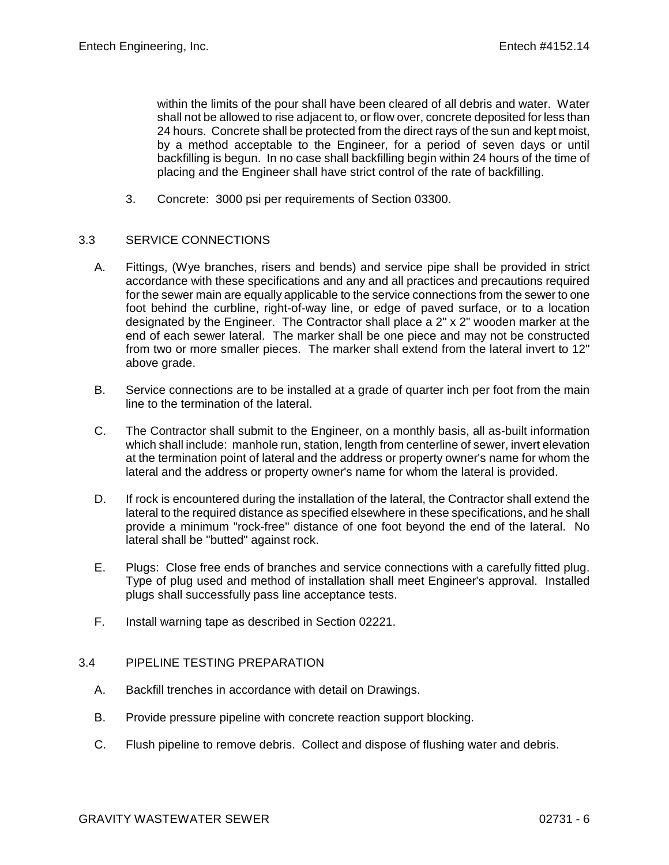within the limits of the pour shall have been cleared of all debris and water. Water shall not be allowed to rise adjacent to, or flow over, concrete deposited for less than 24 hours. Concrete shall be protected from the direct rays of the sun and kept moist, by a method acceptable to the Engineer, for a period of seven days or until backfilling is begun. In no case shall backfilling begin within 24 hours of the time of placing and the Engineer shall have strict control of the rate of backfilling.

3. Concrete: 3000 psi per requirements of Section 03300.

## 3.3 SERVICE CONNECTIONS

- A. Fittings, (Wye branches, risers and bends) and service pipe shall be provided in strict accordance with these specifications and any and all practices and precautions required for the sewer main are equally applicable to the service connections from the sewer to one foot behind the curbline, right-of-way line, or edge of paved surface, or to a location designated by the Engineer. The Contractor shall place a 2" x 2" wooden marker at the end of each sewer lateral. The marker shall be one piece and may not be constructed from two or more smaller pieces. The marker shall extend from the lateral invert to 12" above grade.
- B. Service connections are to be installed at a grade of quarter inch per foot from the main line to the termination of the lateral.
- C. The Contractor shall submit to the Engineer, on a monthly basis, all as-built information which shall include: manhole run, station, length from centerline of sewer, invert elevation at the termination point of lateral and the address or property owner's name for whom the lateral and the address or property owner's name for whom the lateral is provided.
- D. If rock is encountered during the installation of the lateral, the Contractor shall extend the lateral to the required distance as specified elsewhere in these specifications, and he shall provide a minimum "rock-free" distance of one foot beyond the end of the lateral. No lateral shall be "butted" against rock.
- E. Plugs: Close free ends of branches and service connections with a carefully fitted plug. Type of plug used and method of installation shall meet Engineer's approval. Installed plugs shall successfully pass line acceptance tests.
- F. Install warning tape as described in Section 02221.

## 3.4 PIPELINE TESTING PREPARATION

- A. Backfill trenches in accordance with detail on Drawings.
- B. Provide pressure pipeline with concrete reaction support blocking.
- C. Flush pipeline to remove debris. Collect and dispose of flushing water and debris.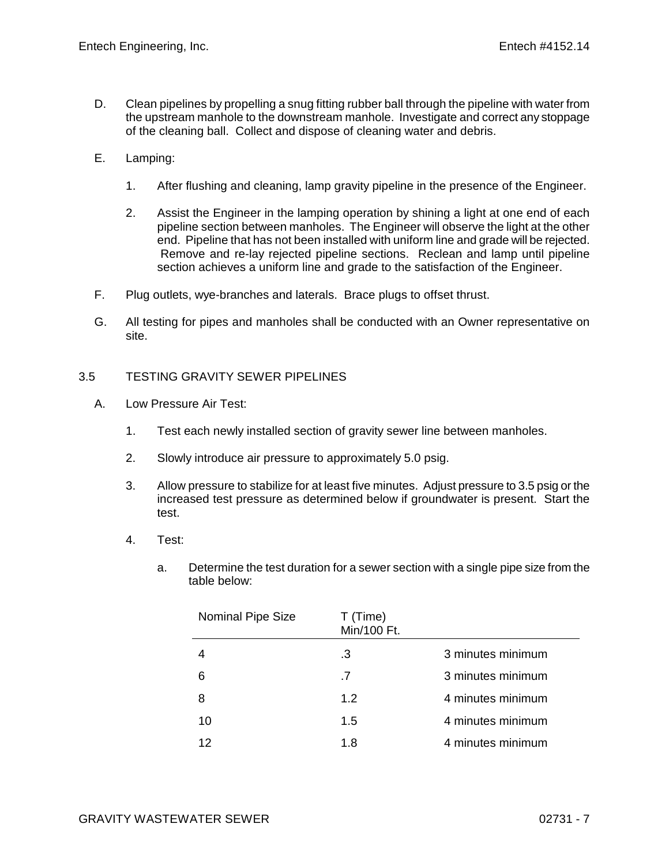- D. Clean pipelines by propelling a snug fitting rubber ball through the pipeline with water from the upstream manhole to the downstream manhole. Investigate and correct any stoppage of the cleaning ball. Collect and dispose of cleaning water and debris.
- E. Lamping:
	- 1. After flushing and cleaning, lamp gravity pipeline in the presence of the Engineer.
	- 2. Assist the Engineer in the lamping operation by shining a light at one end of each pipeline section between manholes. The Engineer will observe the light at the other end. Pipeline that has not been installed with uniform line and grade will be rejected. Remove and re-lay rejected pipeline sections. Reclean and lamp until pipeline section achieves a uniform line and grade to the satisfaction of the Engineer.
- F. Plug outlets, wye-branches and laterals. Brace plugs to offset thrust.
- G. All testing for pipes and manholes shall be conducted with an Owner representative on site.

## 3.5 TESTING GRAVITY SEWER PIPELINES

- A. Low Pressure Air Test:
	- 1. Test each newly installed section of gravity sewer line between manholes.
	- 2. Slowly introduce air pressure to approximately 5.0 psig.
	- 3. Allow pressure to stabilize for at least five minutes. Adjust pressure to 3.5 psig or the increased test pressure as determined below if groundwater is present. Start the test.
	- 4. Test:
		- a. Determine the test duration for a sewer section with a single pipe size from the table below:

| <b>Nominal Pipe Size</b> | T (Time)<br>Min/100 Ft. |                   |
|--------------------------|-------------------------|-------------------|
|                          | .3                      | 3 minutes minimum |
| 6                        | .7                      | 3 minutes minimum |
| 8                        | 1.2                     | 4 minutes minimum |
| 10                       | 1.5                     | 4 minutes minimum |
| 12                       | 1.8                     | 4 minutes minimum |
|                          |                         |                   |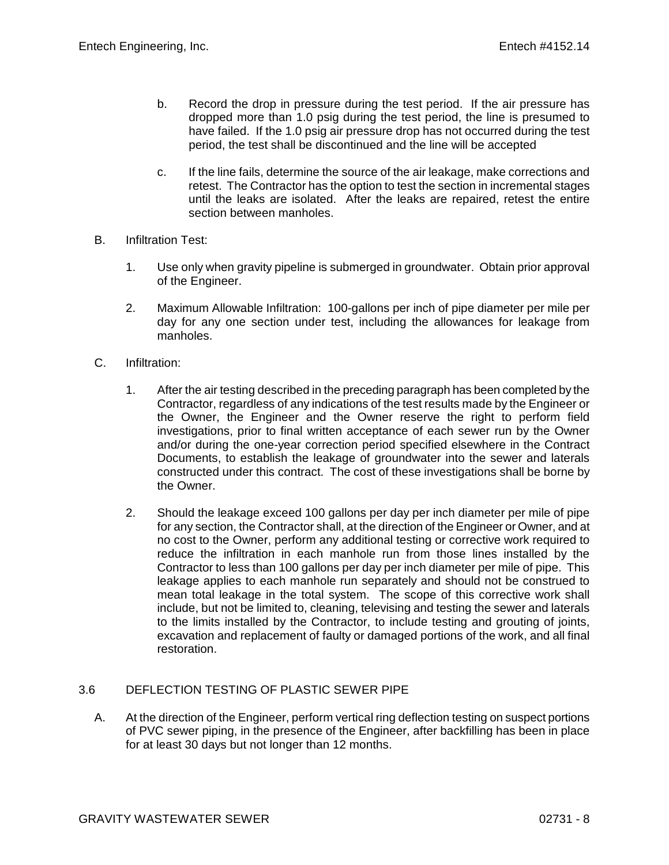- b. Record the drop in pressure during the test period. If the air pressure has dropped more than 1.0 psig during the test period, the line is presumed to have failed. If the 1.0 psig air pressure drop has not occurred during the test period, the test shall be discontinued and the line will be accepted
- c. If the line fails, determine the source of the air leakage, make corrections and retest. The Contractor has the option to test the section in incremental stages until the leaks are isolated. After the leaks are repaired, retest the entire section between manholes.
- B. Infiltration Test:
	- 1. Use only when gravity pipeline is submerged in groundwater. Obtain prior approval of the Engineer.
	- 2. Maximum Allowable Infiltration: 100-gallons per inch of pipe diameter per mile per day for any one section under test, including the allowances for leakage from manholes.
- C. Infiltration:
	- 1. After the air testing described in the preceding paragraph has been completed by the Contractor, regardless of any indications of the test results made by the Engineer or the Owner, the Engineer and the Owner reserve the right to perform field investigations, prior to final written acceptance of each sewer run by the Owner and/or during the one-year correction period specified elsewhere in the Contract Documents, to establish the leakage of groundwater into the sewer and laterals constructed under this contract. The cost of these investigations shall be borne by the Owner.
	- 2. Should the leakage exceed 100 gallons per day per inch diameter per mile of pipe for any section, the Contractor shall, at the direction of the Engineer or Owner, and at no cost to the Owner, perform any additional testing or corrective work required to reduce the infiltration in each manhole run from those lines installed by the Contractor to less than 100 gallons per day per inch diameter per mile of pipe. This leakage applies to each manhole run separately and should not be construed to mean total leakage in the total system. The scope of this corrective work shall include, but not be limited to, cleaning, televising and testing the sewer and laterals to the limits installed by the Contractor, to include testing and grouting of joints, excavation and replacement of faulty or damaged portions of the work, and all final restoration.

#### 3.6 DEFLECTION TESTING OF PLASTIC SEWER PIPE

A. At the direction of the Engineer, perform vertical ring deflection testing on suspect portions of PVC sewer piping, in the presence of the Engineer, after backfilling has been in place for at least 30 days but not longer than 12 months.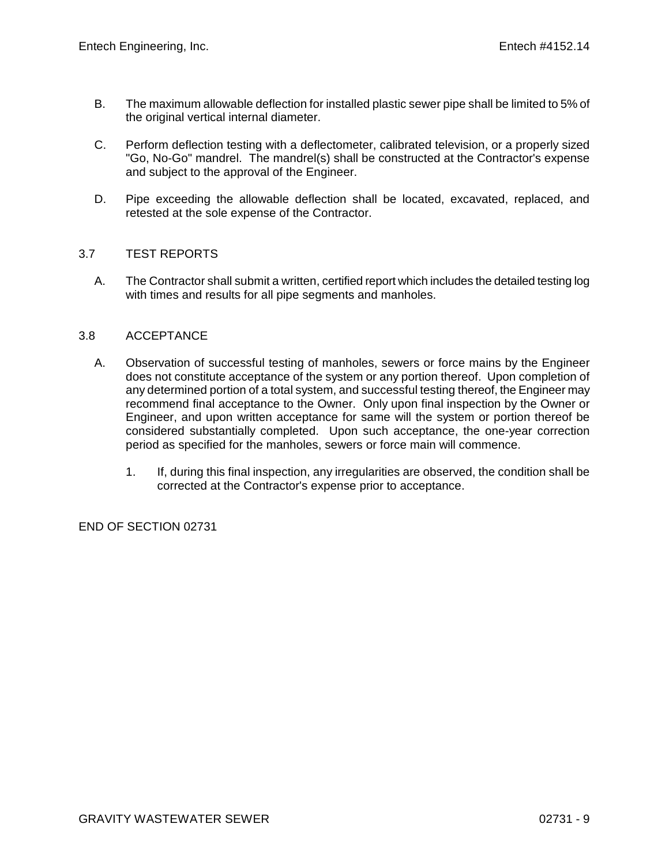- B. The maximum allowable deflection for installed plastic sewer pipe shall be limited to 5% of the original vertical internal diameter.
- C. Perform deflection testing with a deflectometer, calibrated television, or a properly sized "Go, No-Go" mandrel. The mandrel(s) shall be constructed at the Contractor's expense and subject to the approval of the Engineer.
- D. Pipe exceeding the allowable deflection shall be located, excavated, replaced, and retested at the sole expense of the Contractor.

## 3.7 TEST REPORTS

A. The Contractor shall submit a written, certified report which includes the detailed testing log with times and results for all pipe segments and manholes.

## 3.8 ACCEPTANCE

- A. Observation of successful testing of manholes, sewers or force mains by the Engineer does not constitute acceptance of the system or any portion thereof. Upon completion of any determined portion of a total system, and successful testing thereof, the Engineer may recommend final acceptance to the Owner. Only upon final inspection by the Owner or Engineer, and upon written acceptance for same will the system or portion thereof be considered substantially completed. Upon such acceptance, the one-year correction period as specified for the manholes, sewers or force main will commence.
	- 1. If, during this final inspection, any irregularities are observed, the condition shall be corrected at the Contractor's expense prior to acceptance.

END OF SECTION 02731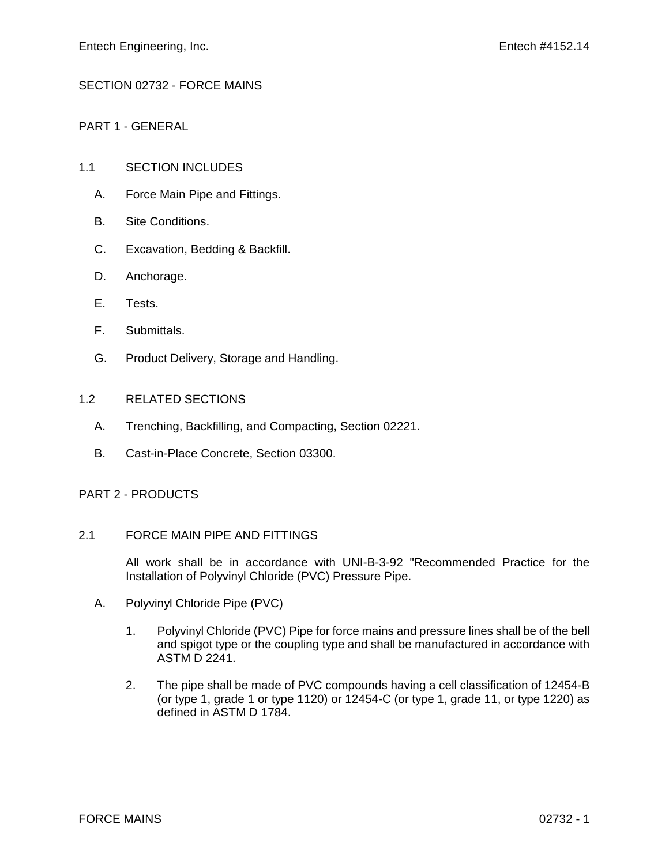# SECTION 02732 - FORCE MAINS

PART 1 - GENERAL

# 1.1 SECTION INCLUDES

- A. Force Main Pipe and Fittings.
- B. Site Conditions.
- C. Excavation, Bedding & Backfill.
- D. Anchorage.
- E. Tests.
- F. Submittals.
- G. Product Delivery, Storage and Handling.

# 1.2 RELATED SECTIONS

- A. Trenching, Backfilling, and Compacting, Section 02221.
- B. Cast-in-Place Concrete, Section 03300.

# PART 2 - PRODUCTS

# 2.1 FORCE MAIN PIPE AND FITTINGS

All work shall be in accordance with UNI-B-3-92 "Recommended Practice for the Installation of Polyvinyl Chloride (PVC) Pressure Pipe.

- A. Polyvinyl Chloride Pipe (PVC)
	- 1. Polyvinyl Chloride (PVC) Pipe for force mains and pressure lines shall be of the bell and spigot type or the coupling type and shall be manufactured in accordance with  $ASTM\overline{D}$  2241.
	- 2. The pipe shall be made of PVC compounds having a cell classification of 12454-B (or type 1, grade 1 or type 1120) or 12454-C (or type 1, grade 11, or type 1220) as defined in ASTM D 1784.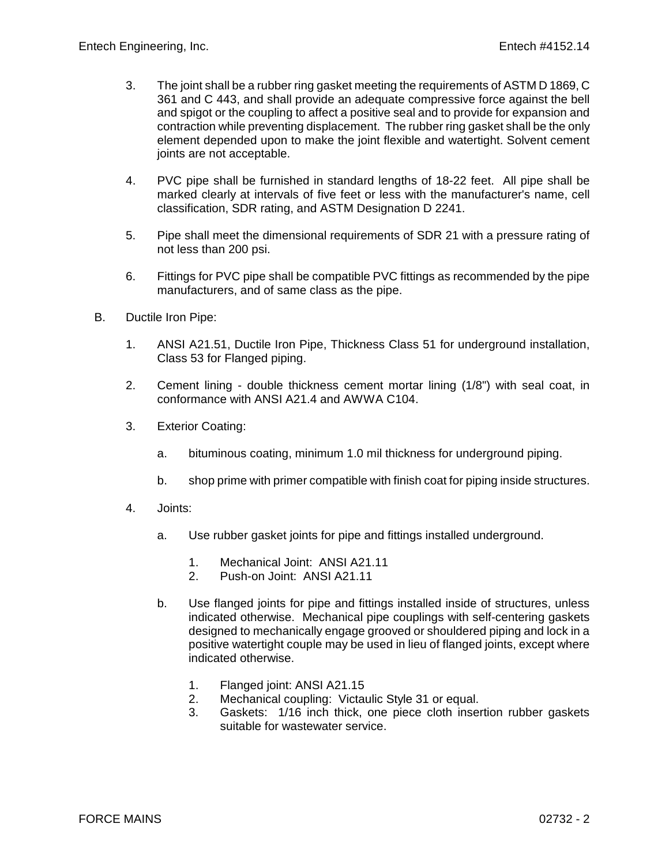- 3. The joint shall be a rubber ring gasket meeting the requirements of ASTM D 1869, C 361 and C 443, and shall provide an adequate compressive force against the bell and spigot or the coupling to affect a positive seal and to provide for expansion and contraction while preventing displacement. The rubber ring gasket shall be the only element depended upon to make the joint flexible and watertight. Solvent cement joints are not acceptable.
- 4. PVC pipe shall be furnished in standard lengths of 18-22 feet. All pipe shall be marked clearly at intervals of five feet or less with the manufacturer's name, cell classification, SDR rating, and ASTM Designation D 2241.
- 5. Pipe shall meet the dimensional requirements of SDR 21 with a pressure rating of not less than 200 psi.
- 6. Fittings for PVC pipe shall be compatible PVC fittings as recommended by the pipe manufacturers, and of same class as the pipe.
- B. Ductile Iron Pipe:
	- 1. ANSI A21.51, Ductile Iron Pipe, Thickness Class 51 for underground installation, Class 53 for Flanged piping.
	- 2. Cement lining double thickness cement mortar lining (1/8") with seal coat, in conformance with ANSI A21.4 and AWWA C104.
	- 3. Exterior Coating:
		- a. bituminous coating, minimum 1.0 mil thickness for underground piping.
		- b. shop prime with primer compatible with finish coat for piping inside structures.
	- 4. Joints:
		- a. Use rubber gasket joints for pipe and fittings installed underground.
			- 1. Mechanical Joint: ANSI A21.11
			- 2. Push-on Joint: ANSI A21.11
		- b. Use flanged joints for pipe and fittings installed inside of structures, unless indicated otherwise. Mechanical pipe couplings with self-centering gaskets designed to mechanically engage grooved or shouldered piping and lock in a positive watertight couple may be used in lieu of flanged joints, except where indicated otherwise.
			- 1. Flanged joint: ANSI A21.15<br>2. Mechanical coupling: Victar
			- Mechanical coupling: Victaulic Style 31 or equal.
			- 3. Gaskets: 1/16 inch thick, one piece cloth insertion rubber gaskets suitable for wastewater service.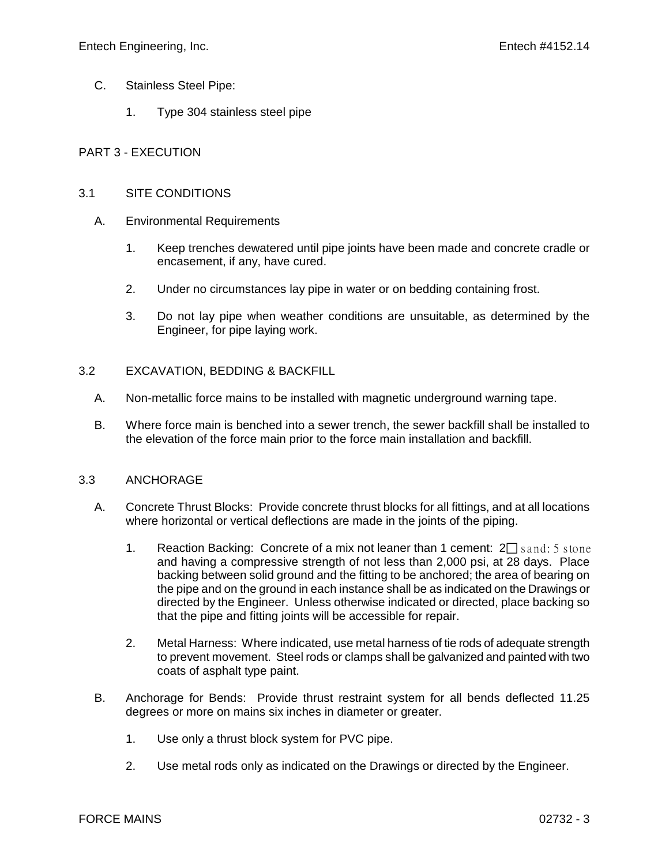- C. Stainless Steel Pipe:
	- 1. Type 304 stainless steel pipe

## PART 3 - EXECUTION

### 3.1 SITE CONDITIONS

- A. Environmental Requirements
	- 1. Keep trenches dewatered until pipe joints have been made and concrete cradle or encasement, if any, have cured.
	- 2. Under no circumstances lay pipe in water or on bedding containing frost.
	- 3. Do not lay pipe when weather conditions are unsuitable, as determined by the Engineer, for pipe laying work.

## 3.2 EXCAVATION, BEDDING & BACKFILL

- A. Non-metallic force mains to be installed with magnetic underground warning tape.
- B. Where force main is benched into a sewer trench, the sewer backfill shall be installed to the elevation of the force main prior to the force main installation and backfill.

#### 3.3 ANCHORAGE

- A. Concrete Thrust Blocks: Provide concrete thrust blocks for all fittings, and at all locations where horizontal or vertical deflections are made in the joints of the piping.
	- 1. Reaction Backing: Concrete of a mix not leaner than 1 cement:  $2\Box$  sand: 5 stone and having a compressive strength of not less than 2,000 psi, at 28 days. Place backing between solid ground and the fitting to be anchored; the area of bearing on the pipe and on the ground in each instance shall be as indicated on the Drawings or directed by the Engineer. Unless otherwise indicated or directed, place backing so that the pipe and fitting joints will be accessible for repair.
	- 2. Metal Harness: Where indicated, use metal harness of tie rods of adequate strength to prevent movement. Steel rods or clamps shall be galvanized and painted with two coats of asphalt type paint.
- B. Anchorage for Bends: Provide thrust restraint system for all bends deflected 11.25 degrees or more on mains six inches in diameter or greater.
	- 1. Use only a thrust block system for PVC pipe.
	- 2. Use metal rods only as indicated on the Drawings or directed by the Engineer.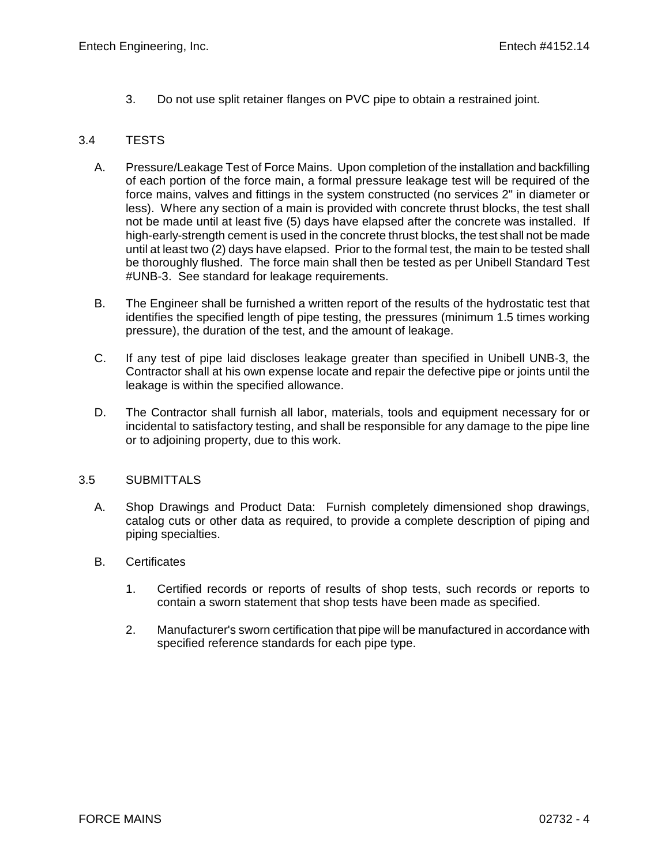3. Do not use split retainer flanges on PVC pipe to obtain a restrained joint.

# 3.4 TESTS

- A. Pressure/Leakage Test of Force Mains. Upon completion of the installation and backfilling of each portion of the force main, a formal pressure leakage test will be required of the force mains, valves and fittings in the system constructed (no services 2" in diameter or less). Where any section of a main is provided with concrete thrust blocks, the test shall not be made until at least five (5) days have elapsed after the concrete was installed. If high-early-strength cement is used in the concrete thrust blocks, the test shall not be made until at least two (2) days have elapsed. Prior to the formal test, the main to be tested shall be thoroughly flushed. The force main shall then be tested as per Unibell Standard Test #UNB-3. See standard for leakage requirements.
- B. The Engineer shall be furnished a written report of the results of the hydrostatic test that identifies the specified length of pipe testing, the pressures (minimum 1.5 times working pressure), the duration of the test, and the amount of leakage.
- C. If any test of pipe laid discloses leakage greater than specified in Unibell UNB-3, the Contractor shall at his own expense locate and repair the defective pipe or joints until the leakage is within the specified allowance.
- D. The Contractor shall furnish all labor, materials, tools and equipment necessary for or incidental to satisfactory testing, and shall be responsible for any damage to the pipe line or to adjoining property, due to this work.

# 3.5 SUBMITTALS

- A. Shop Drawings and Product Data: Furnish completely dimensioned shop drawings, catalog cuts or other data as required, to provide a complete description of piping and piping specialties.
- B. Certificates
	- 1. Certified records or reports of results of shop tests, such records or reports to contain a sworn statement that shop tests have been made as specified.
	- 2. Manufacturer's sworn certification that pipe will be manufactured in accordance with specified reference standards for each pipe type.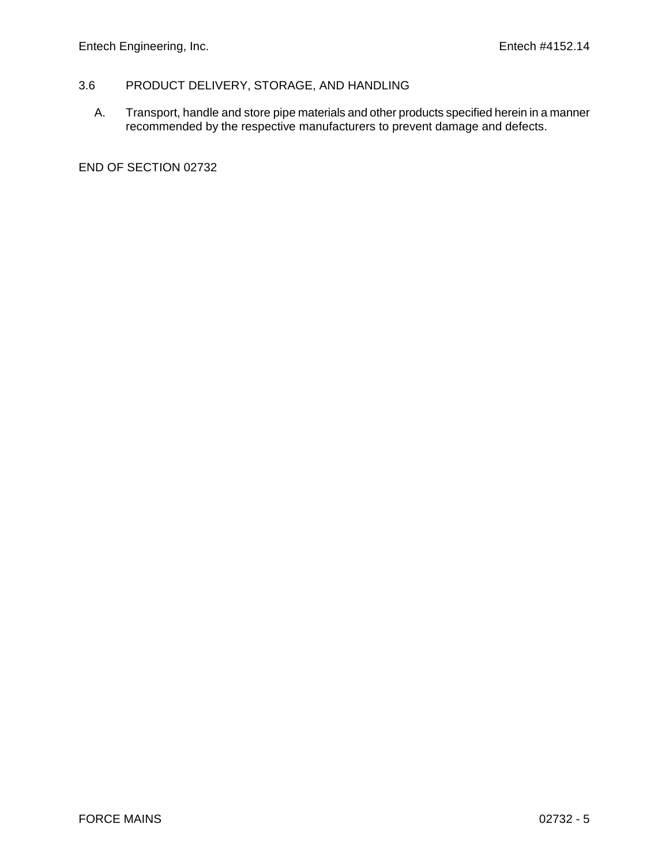# 3.6 PRODUCT DELIVERY, STORAGE, AND HANDLING

A. Transport, handle and store pipe materials and other products specified herein in a manner recommended by the respective manufacturers to prevent damage and defects.

END OF SECTION 02732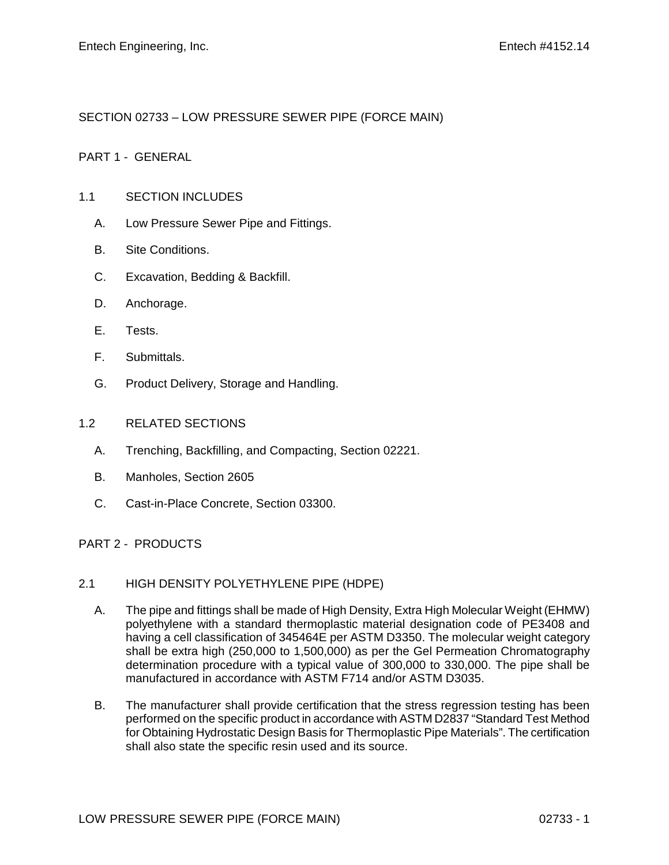# SECTION 02733 – LOW PRESSURE SEWER PIPE (FORCE MAIN)

# PART 1 - GENERAL

### 1.1 SECTION INCLUDES

- A. Low Pressure Sewer Pipe and Fittings.
- B. Site Conditions.
- C. Excavation, Bedding & Backfill.
- D. Anchorage.
- E. Tests.
- F. Submittals.
- G. Product Delivery, Storage and Handling.

#### 1.2 RELATED SECTIONS

- A. Trenching, Backfilling, and Compacting, Section 02221.
- B. Manholes, Section 2605
- C. Cast-in-Place Concrete, Section 03300.

# PART 2 - PRODUCTS

#### 2.1 HIGH DENSITY POLYETHYLENE PIPE (HDPE)

- A. The pipe and fittings shall be made of High Density, Extra High Molecular Weight (EHMW) polyethylene with a standard thermoplastic material designation code of PE3408 and having a cell classification of 345464E per ASTM D3350. The molecular weight category shall be extra high (250,000 to 1,500,000) as per the Gel Permeation Chromatography determination procedure with a typical value of 300,000 to 330,000. The pipe shall be manufactured in accordance with ASTM F714 and/or ASTM D3035.
- B. The manufacturer shall provide certification that the stress regression testing has been performed on the specific product in accordance with ASTM D2837 "Standard Test Method for Obtaining Hydrostatic Design Basis for Thermoplastic Pipe Materials". The certification shall also state the specific resin used and its source.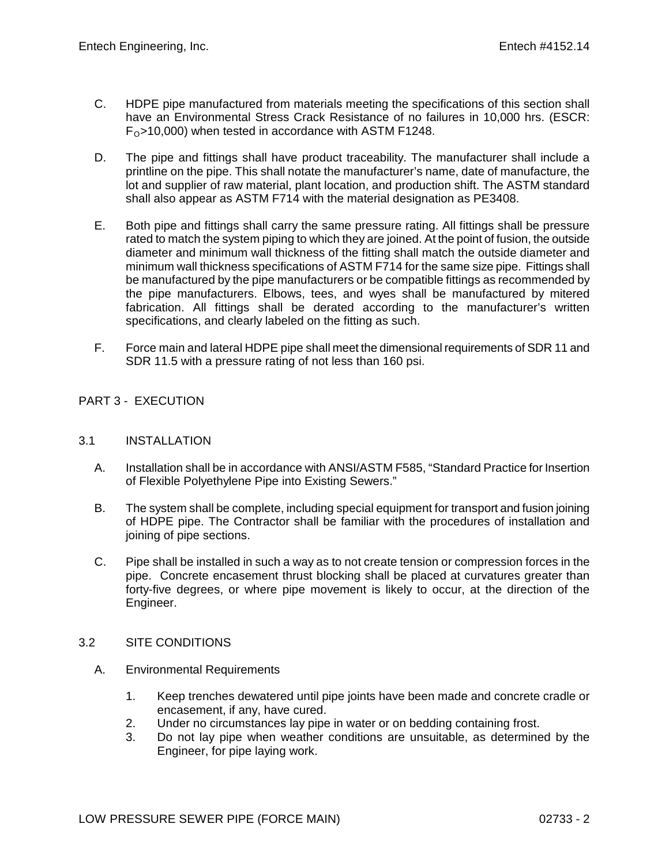- C. HDPE pipe manufactured from materials meeting the specifications of this section shall have an Environmental Stress Crack Resistance of no failures in 10,000 hrs. (ESCR:  $F<sub>O</sub>$ >10,000) when tested in accordance with ASTM F1248.
- D. The pipe and fittings shall have product traceability. The manufacturer shall include a printline on the pipe. This shall notate the manufacturer's name, date of manufacture, the lot and supplier of raw material, plant location, and production shift. The ASTM standard shall also appear as ASTM F714 with the material designation as PE3408.
- E. Both pipe and fittings shall carry the same pressure rating. All fittings shall be pressure rated to match the system piping to which they are joined. At the point of fusion, the outside diameter and minimum wall thickness of the fitting shall match the outside diameter and minimum wall thickness specifications of ASTM F714 for the same size pipe. Fittings shall be manufactured by the pipe manufacturers or be compatible fittings as recommended by the pipe manufacturers. Elbows, tees, and wyes shall be manufactured by mitered fabrication. All fittings shall be derated according to the manufacturer's written specifications, and clearly labeled on the fitting as such.
- F. Force main and lateral HDPE pipe shall meet the dimensional requirements of SDR 11 and SDR 11.5 with a pressure rating of not less than 160 psi.

# PART 3 - EXECUTION

# 3.1 INSTALLATION

- A. Installation shall be in accordance with ANSI/ASTM F585, "Standard Practice for Insertion of Flexible Polyethylene Pipe into Existing Sewers."
- B. The system shall be complete, including special equipment for transport and fusion joining of HDPE pipe. The Contractor shall be familiar with the procedures of installation and joining of pipe sections.
- C. Pipe shall be installed in such a way as to not create tension or compression forces in the pipe. Concrete encasement thrust blocking shall be placed at curvatures greater than forty-five degrees, or where pipe movement is likely to occur, at the direction of the Engineer.

# 3.2 SITE CONDITIONS

- A. Environmental Requirements
	- 1. Keep trenches dewatered until pipe joints have been made and concrete cradle or encasement, if any, have cured.
	- 2. Under no circumstances lay pipe in water or on bedding containing frost.
	- 3. Do not lay pipe when weather conditions are unsuitable, as determined by the Engineer, for pipe laying work.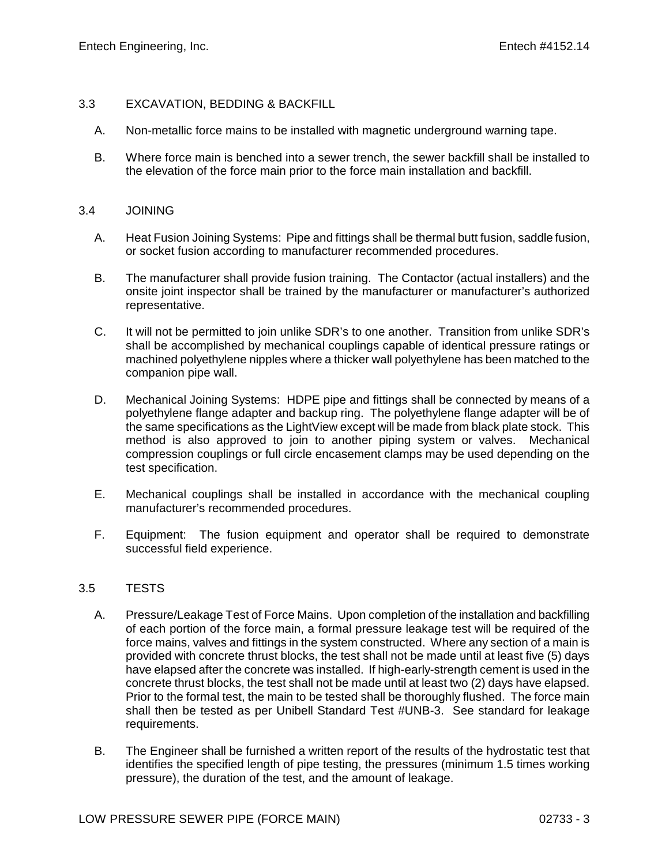# 3.3 EXCAVATION, BEDDING & BACKFILL

- A. Non-metallic force mains to be installed with magnetic underground warning tape.
- B. Where force main is benched into a sewer trench, the sewer backfill shall be installed to the elevation of the force main prior to the force main installation and backfill.

### 3.4 JOINING

- A. Heat Fusion Joining Systems: Pipe and fittings shall be thermal butt fusion, saddle fusion, or socket fusion according to manufacturer recommended procedures.
- B. The manufacturer shall provide fusion training. The Contactor (actual installers) and the onsite joint inspector shall be trained by the manufacturer or manufacturer's authorized representative.
- C. It will not be permitted to join unlike SDR's to one another. Transition from unlike SDR's shall be accomplished by mechanical couplings capable of identical pressure ratings or machined polyethylene nipples where a thicker wall polyethylene has been matched to the companion pipe wall.
- D. Mechanical Joining Systems: HDPE pipe and fittings shall be connected by means of a polyethylene flange adapter and backup ring. The polyethylene flange adapter will be of the same specifications as the LightView except will be made from black plate stock. This method is also approved to join to another piping system or valves. Mechanical compression couplings or full circle encasement clamps may be used depending on the test specification.
- E. Mechanical couplings shall be installed in accordance with the mechanical coupling manufacturer's recommended procedures.
- F. Equipment: The fusion equipment and operator shall be required to demonstrate successful field experience.

# 3.5 TESTS

- A. Pressure/Leakage Test of Force Mains. Upon completion of the installation and backfilling of each portion of the force main, a formal pressure leakage test will be required of the force mains, valves and fittings in the system constructed. Where any section of a main is provided with concrete thrust blocks, the test shall not be made until at least five (5) days have elapsed after the concrete was installed. If high-early-strength cement is used in the concrete thrust blocks, the test shall not be made until at least two (2) days have elapsed. Prior to the formal test, the main to be tested shall be thoroughly flushed. The force main shall then be tested as per Unibell Standard Test #UNB-3. See standard for leakage requirements.
- B. The Engineer shall be furnished a written report of the results of the hydrostatic test that identifies the specified length of pipe testing, the pressures (minimum 1.5 times working pressure), the duration of the test, and the amount of leakage.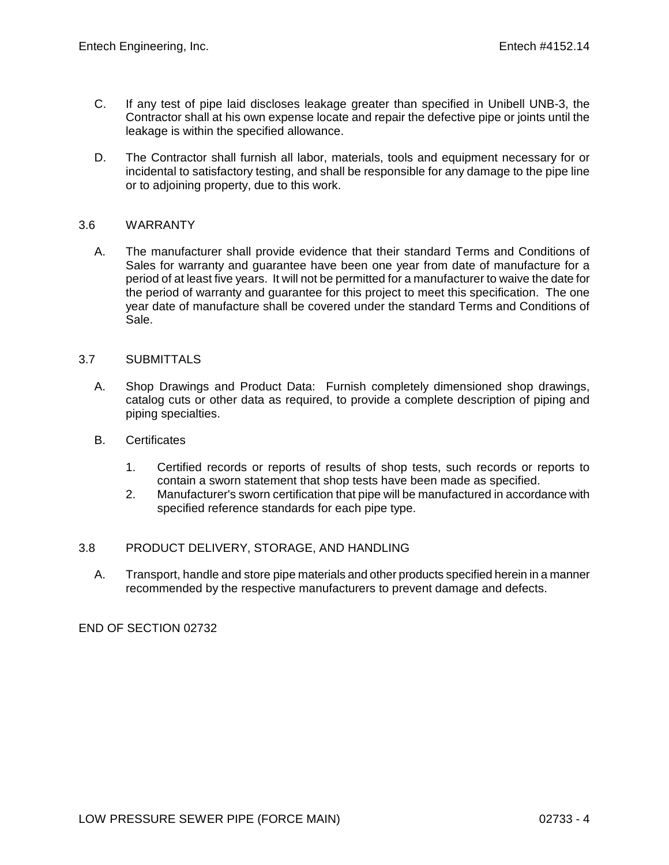- C. If any test of pipe laid discloses leakage greater than specified in Unibell UNB-3, the Contractor shall at his own expense locate and repair the defective pipe or joints until the leakage is within the specified allowance.
- D. The Contractor shall furnish all labor, materials, tools and equipment necessary for or incidental to satisfactory testing, and shall be responsible for any damage to the pipe line or to adjoining property, due to this work.

## 3.6 WARRANTY

A. The manufacturer shall provide evidence that their standard Terms and Conditions of Sales for warranty and guarantee have been one year from date of manufacture for a period of at least five years. It will not be permitted for a manufacturer to waive the date for the period of warranty and guarantee for this project to meet this specification. The one year date of manufacture shall be covered under the standard Terms and Conditions of Sale.

## 3.7 SUBMITTALS

- A. Shop Drawings and Product Data: Furnish completely dimensioned shop drawings, catalog cuts or other data as required, to provide a complete description of piping and piping specialties.
- B. Certificates
	- 1. Certified records or reports of results of shop tests, such records or reports to contain a sworn statement that shop tests have been made as specified.
	- 2. Manufacturer's sworn certification that pipe will be manufactured in accordance with specified reference standards for each pipe type.

## 3.8 PRODUCT DELIVERY, STORAGE, AND HANDLING

A. Transport, handle and store pipe materials and other products specified herein in a manner recommended by the respective manufacturers to prevent damage and defects.

END OF SECTION 02732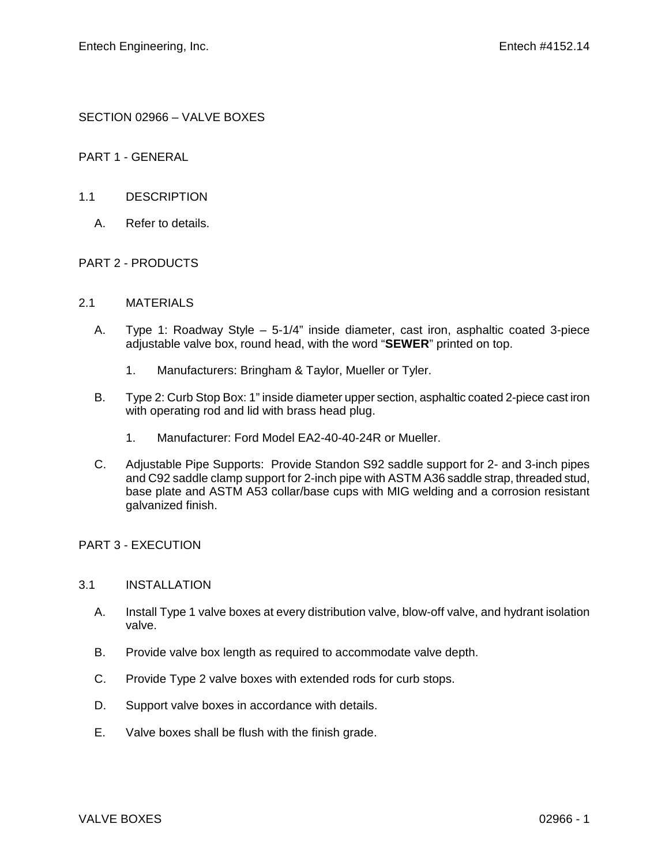SECTION 02966 – VALVE BOXES

PART 1 - GENERAL

### 1.1 DESCRIPTION

A. Refer to details.

## PART 2 - PRODUCTS

#### 2.1 MATERIALS

- A. Type 1: Roadway Style 5-1/4" inside diameter, cast iron, asphaltic coated 3-piece adjustable valve box, round head, with the word "**SEWER**" printed on top.
	- 1. Manufacturers: Bringham & Taylor, Mueller or Tyler.
- B. Type 2: Curb Stop Box: 1" inside diameter upper section, asphaltic coated 2-piece cast iron with operating rod and lid with brass head plug.
	- 1. Manufacturer: Ford Model EA2-40-40-24R or Mueller.
- C. Adjustable Pipe Supports: Provide Standon S92 saddle support for 2- and 3-inch pipes and C92 saddle clamp support for 2-inch pipe with ASTM A36 saddle strap, threaded stud, base plate and ASTM A53 collar/base cups with MIG welding and a corrosion resistant galvanized finish.

#### PART 3 - EXECUTION

## 3.1 INSTALLATION

- A. Install Type 1 valve boxes at every distribution valve, blow-off valve, and hydrant isolation valve.
- B. Provide valve box length as required to accommodate valve depth.
- C. Provide Type 2 valve boxes with extended rods for curb stops.
- D. Support valve boxes in accordance with details.
- E. Valve boxes shall be flush with the finish grade.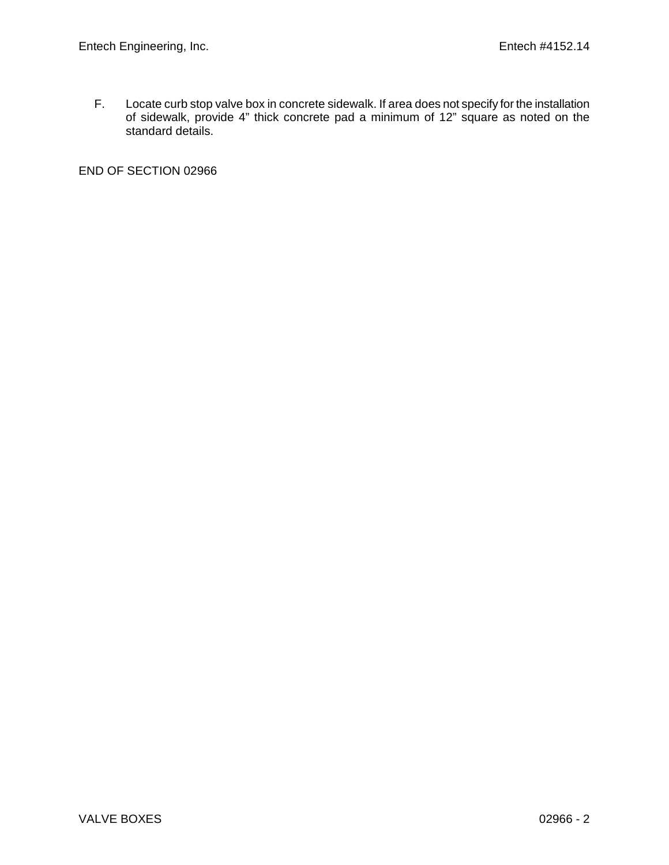F. Locate curb stop valve box in concrete sidewalk. If area does not specify for the installation of sidewalk, provide 4" thick concrete pad a minimum of 12" square as noted on the standard details.

END OF SECTION 02966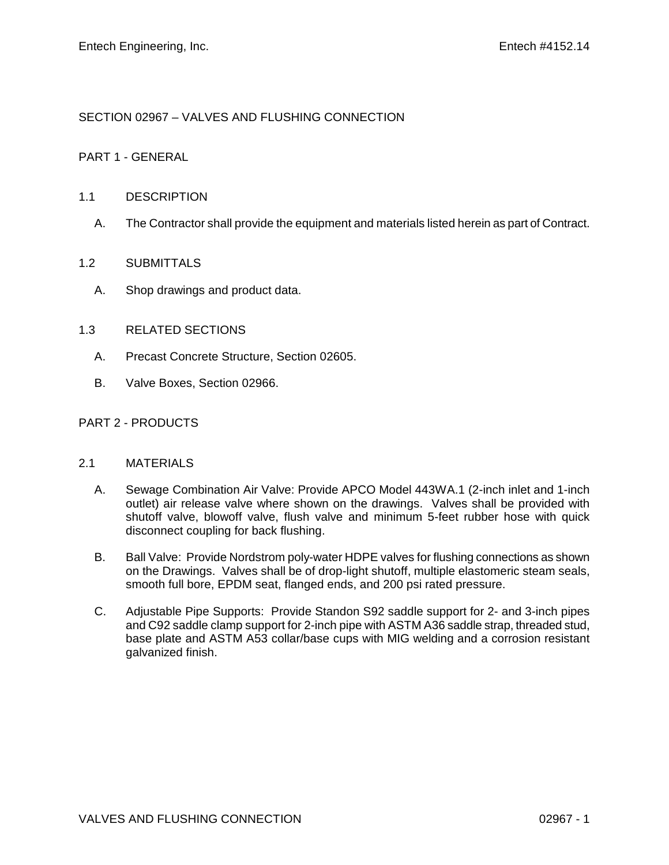# SECTION 02967 – VALVES AND FLUSHING CONNECTION

## PART 1 - GENERAL

### 1.1 DESCRIPTION

A. The Contractor shall provide the equipment and materials listed herein as part of Contract.

## 1.2 SUBMITTALS

A. Shop drawings and product data.

## 1.3 RELATED SECTIONS

- A. Precast Concrete Structure, Section 02605.
- B. Valve Boxes, Section 02966.

# PART 2 - PRODUCTS

## 2.1 MATERIALS

- A. Sewage Combination Air Valve: Provide APCO Model 443WA.1 (2-inch inlet and 1-inch outlet) air release valve where shown on the drawings. Valves shall be provided with shutoff valve, blowoff valve, flush valve and minimum 5-feet rubber hose with quick disconnect coupling for back flushing.
- B. Ball Valve: Provide Nordstrom poly-water HDPE valves for flushing connections as shown on the Drawings. Valves shall be of drop-light shutoff, multiple elastomeric steam seals, smooth full bore, EPDM seat, flanged ends, and 200 psi rated pressure.
- C. Adjustable Pipe Supports: Provide Standon S92 saddle support for 2- and 3-inch pipes and C92 saddle clamp support for 2-inch pipe with ASTM A36 saddle strap, threaded stud, base plate and ASTM A53 collar/base cups with MIG welding and a corrosion resistant galvanized finish.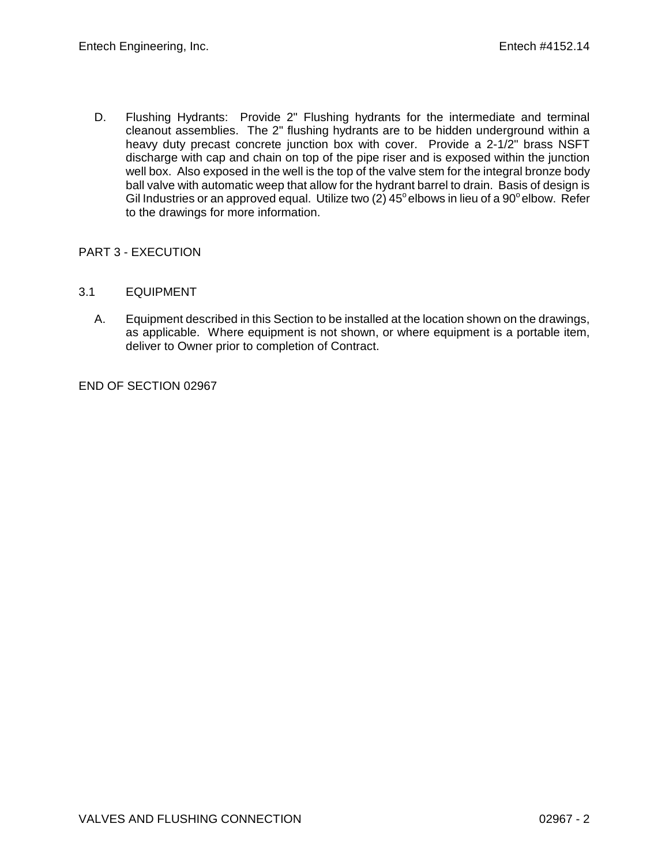D. Flushing Hydrants: Provide 2" Flushing hydrants for the intermediate and terminal cleanout assemblies. The 2" flushing hydrants are to be hidden underground within a heavy duty precast concrete junction box with cover. Provide a 2-1/2" brass NSFT discharge with cap and chain on top of the pipe riser and is exposed within the junction well box. Also exposed in the well is the top of the valve stem for the integral bronze body ball valve with automatic weep that allow for the hydrant barrel to drain. Basis of design is Gil Industries or an approved equal. Utilize two (2)  $45^{\circ}$  elbows in lieu of a 90 $^{\circ}$  elbow. Refer to the drawings for more information.

# PART 3 - EXECUTION

- 3.1 EQUIPMENT
	- A. Equipment described in this Section to be installed at the location shown on the drawings, as applicable. Where equipment is not shown, or where equipment is a portable item, deliver to Owner prior to completion of Contract.

END OF SECTION 02967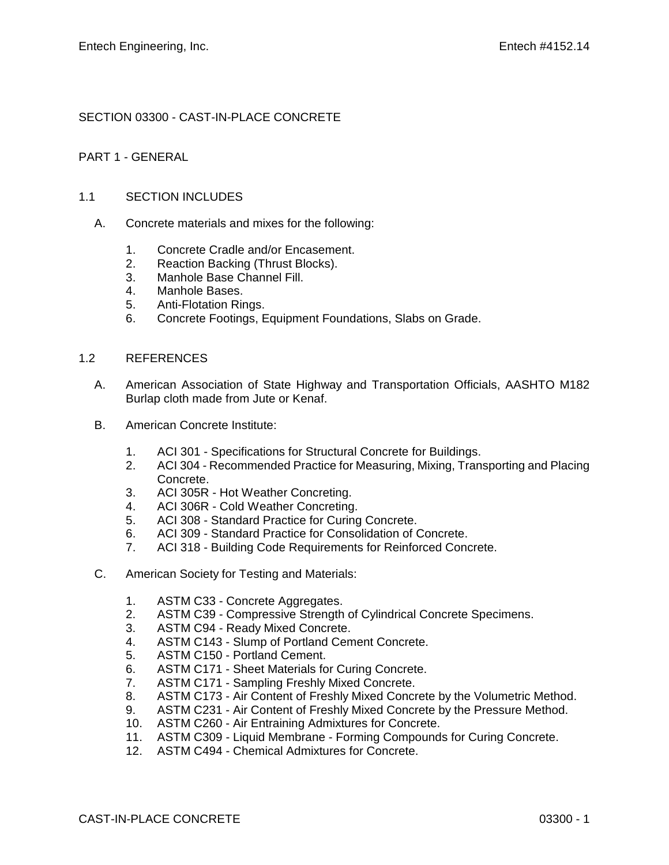# SECTION 03300 - CAST-IN-PLACE CONCRETE

## PART 1 - GENERAL

## 1.1 SECTION INCLUDES

- A. Concrete materials and mixes for the following:
	- 1. Concrete Cradle and/or Encasement.
	- 2. Reaction Backing (Thrust Blocks).
	- 3. Manhole Base Channel Fill.
	- 4. Manhole Bases.
	- 5. Anti-Flotation Rings.
	- 6. Concrete Footings, Equipment Foundations, Slabs on Grade.

#### 1.2 REFERENCES

- A. American Association of State Highway and Transportation Officials, AASHTO M182 Burlap cloth made from Jute or Kenaf.
- B. American Concrete Institute:
	- 1. ACI 301 Specifications for Structural Concrete for Buildings.
	- 2. ACI 304 Recommended Practice for Measuring, Mixing, Transporting and Placing Concrete.
	- 3. ACI 305R Hot Weather Concreting.
	- 4. ACI 306R Cold Weather Concreting.
	- 5. ACI 308 Standard Practice for Curing Concrete.
	- 6. ACI 309 Standard Practice for Consolidation of Concrete.<br>7. ACI 318 Building Code Requirements for Reinforced Conc
	- ACI 318 Building Code Requirements for Reinforced Concrete.
- C. American Society for Testing and Materials:
	- 1. ASTM C33 Concrete Aggregates.
	- 2. ASTM C39 Compressive Strength of Cylindrical Concrete Specimens.
	- 3. ASTM C94 Ready Mixed Concrete.
	- 4. ASTM C143 Slump of Portland Cement Concrete.
	- 5. ASTM C150 Portland Cement.
	- 6. ASTM C171 Sheet Materials for Curing Concrete.
	- 7. ASTM C171 Sampling Freshly Mixed Concrete.<br>8. ASTM C173 Air Content of Freshly Mixed Concr
	- 8. ASTM C173 Air Content of Freshly Mixed Concrete by the Volumetric Method.
	- 9. ASTM C231 Air Content of Freshly Mixed Concrete by the Pressure Method.
	- 10. ASTM C260 Air Entraining Admixtures for Concrete.
	- 11. ASTM C309 Liquid Membrane Forming Compounds for Curing Concrete.
	- 12. ASTM C494 Chemical Admixtures for Concrete.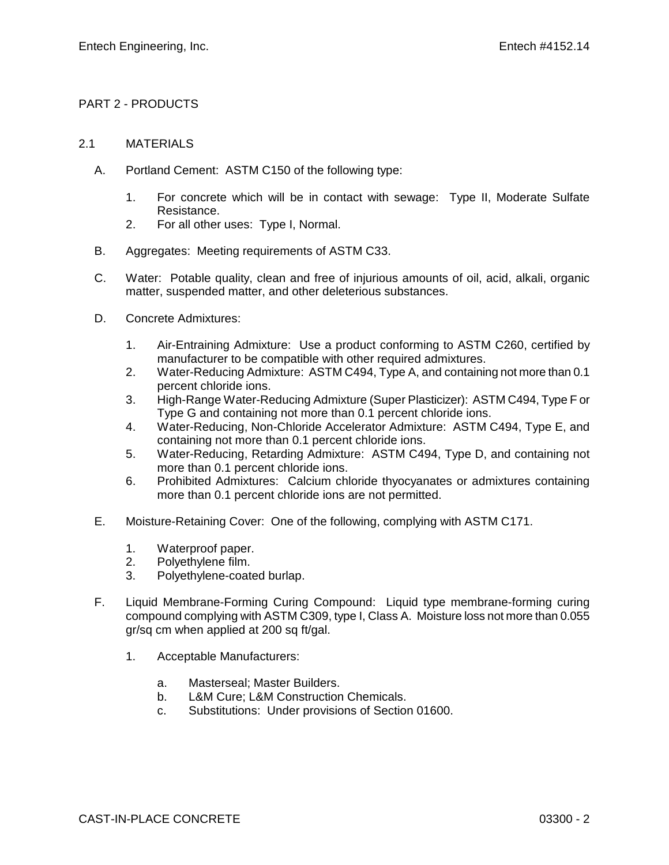# PART 2 - PRODUCTS

## 2.1 MATERIALS

- A. Portland Cement: ASTM C150 of the following type:
	- 1. For concrete which will be in contact with sewage: Type II, Moderate Sulfate Resistance.
	- 2. For all other uses: Type I, Normal.
- B. Aggregates: Meeting requirements of ASTM C33.
- C. Water: Potable quality, clean and free of injurious amounts of oil, acid, alkali, organic matter, suspended matter, and other deleterious substances.
- D. Concrete Admixtures:
	- 1. Air-Entraining Admixture: Use a product conforming to ASTM C260, certified by manufacturer to be compatible with other required admixtures.
	- 2. Water-Reducing Admixture: ASTM C494, Type A, and containing not more than 0.1 percent chloride ions.
	- 3. High-Range Water-Reducing Admixture (Super Plasticizer): ASTM C494, Type F or Type G and containing not more than 0.1 percent chloride ions.
	- 4. Water-Reducing, Non-Chloride Accelerator Admixture: ASTM C494, Type E, and containing not more than 0.1 percent chloride ions.
	- 5. Water-Reducing, Retarding Admixture: ASTM C494, Type D, and containing not more than 0.1 percent chloride ions.
	- 6. Prohibited Admixtures: Calcium chloride thyocyanates or admixtures containing more than 0.1 percent chloride ions are not permitted.
- E. Moisture-Retaining Cover: One of the following, complying with ASTM C171.
	- 1. Waterproof paper.
	- 2. Polyethylene film.
	- 3. Polyethylene-coated burlap.
- F. Liquid Membrane-Forming Curing Compound: Liquid type membrane-forming curing compound complying with ASTM C309, type I, Class A. Moisture loss not more than 0.055 gr/sq cm when applied at 200 sq ft/gal.
	- 1. Acceptable Manufacturers:
		- a. Masterseal; Master Builders.
		- b. L&M Cure; L&M Construction Chemicals.
		- c. Substitutions: Under provisions of Section 01600.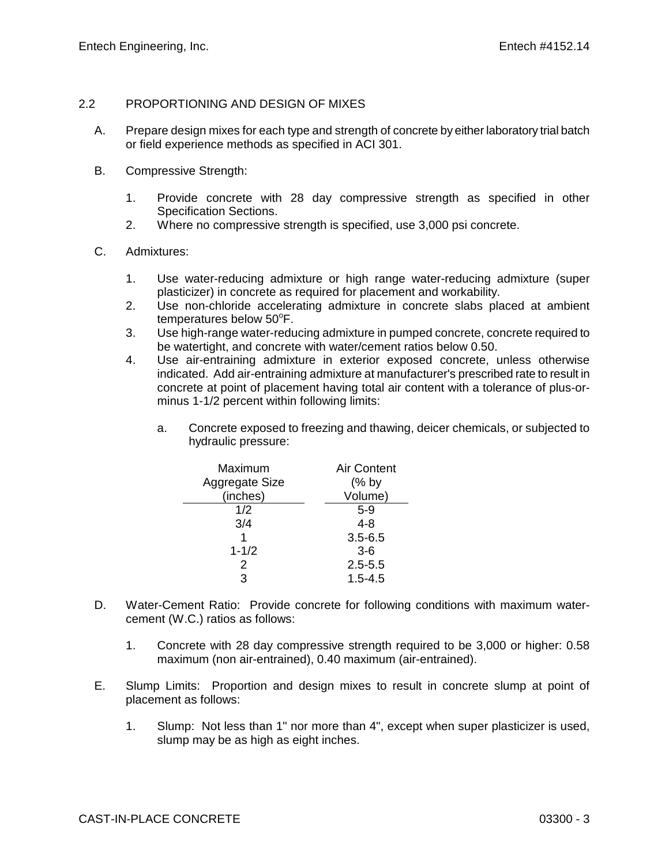### 2.2 PROPORTIONING AND DESIGN OF MIXES

- A. Prepare design mixes for each type and strength of concrete by either laboratory trial batch or field experience methods as specified in ACI 301.
- B. Compressive Strength:
	- 1. Provide concrete with 28 day compressive strength as specified in other Specification Sections.
	- 2. Where no compressive strength is specified, use 3,000 psi concrete.
- C. Admixtures:
	- 1. Use water-reducing admixture or high range water-reducing admixture (super plasticizer) in concrete as required for placement and workability.
	- 2. Use non-chloride accelerating admixture in concrete slabs placed at ambient temperatures below  $50^{\circ}$ F.
	- 3. Use high-range water-reducing admixture in pumped concrete, concrete required to be watertight, and concrete with water/cement ratios below 0.50.
	- 4. Use air-entraining admixture in exterior exposed concrete, unless otherwise indicated. Add air-entraining admixture at manufacturer's prescribed rate to result in concrete at point of placement having total air content with a tolerance of plus-orminus 1-1/2 percent within following limits:
		- a. Concrete exposed to freezing and thawing, deicer chemicals, or subjected to hydraulic pressure:

| Maximum        | <b>Air Content</b> |
|----------------|--------------------|
| Aggregate Size | $(%$ by            |
| (inches)       | Volume)            |
| 1/2            | $5-9$              |
| 3/4            | $4 - 8$            |
|                | $3.5 - 6.5$        |
| $1 - 1/2$      | $3-6$              |
| 2              | $2.5 - 5.5$        |
| З              | $1.5 - 4.5$        |

- D. Water-Cement Ratio: Provide concrete for following conditions with maximum watercement (W.C.) ratios as follows:
	- 1. Concrete with 28 day compressive strength required to be 3,000 or higher: 0.58 maximum (non air-entrained), 0.40 maximum (air-entrained).
- E. Slump Limits: Proportion and design mixes to result in concrete slump at point of placement as follows:
	- 1. Slump: Not less than 1" nor more than 4", except when super plasticizer is used, slump may be as high as eight inches.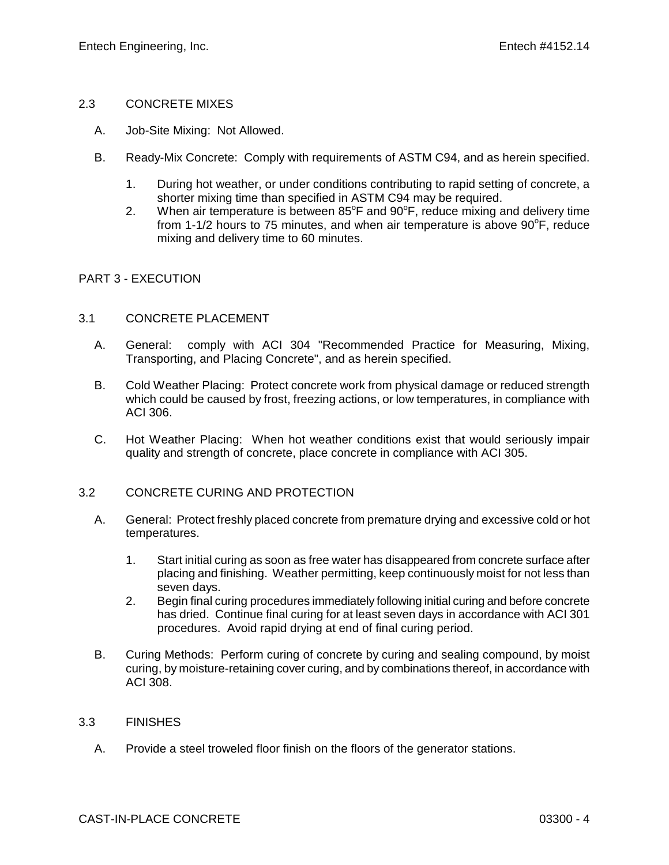#### 2.3 CONCRETE MIXES

- A. Job-Site Mixing: Not Allowed.
- B. Ready-Mix Concrete: Comply with requirements of ASTM C94, and as herein specified.
	- 1. During hot weather, or under conditions contributing to rapid setting of concrete, a shorter mixing time than specified in ASTM C94 may be required.
	- 2. When air temperature is between  $85^{\circ}$ F and  $90^{\circ}$ F, reduce mixing and delivery time from 1-1/2 hours to 75 minutes, and when air temperature is above  $90^{\circ}$ F, reduce mixing and delivery time to 60 minutes.

#### PART 3 - EXECUTION

#### 3.1 CONCRETE PLACEMENT

- A. General: comply with ACI 304 "Recommended Practice for Measuring, Mixing, Transporting, and Placing Concrete", and as herein specified.
- B. Cold Weather Placing: Protect concrete work from physical damage or reduced strength which could be caused by frost, freezing actions, or low temperatures, in compliance with ACI 306.
- C. Hot Weather Placing: When hot weather conditions exist that would seriously impair quality and strength of concrete, place concrete in compliance with ACI 305.

## 3.2 CONCRETE CURING AND PROTECTION

- A. General: Protect freshly placed concrete from premature drying and excessive cold or hot temperatures.
	- 1. Start initial curing as soon as free water has disappeared from concrete surface after placing and finishing. Weather permitting, keep continuously moist for not less than seven days.
	- 2. Begin final curing procedures immediately following initial curing and before concrete has dried. Continue final curing for at least seven days in accordance with ACI 301 procedures. Avoid rapid drying at end of final curing period.
- B. Curing Methods: Perform curing of concrete by curing and sealing compound, by moist curing, by moisture-retaining cover curing, and by combinations thereof, in accordance with ACI 308.

#### 3.3 FINISHES

A. Provide a steel troweled floor finish on the floors of the generator stations.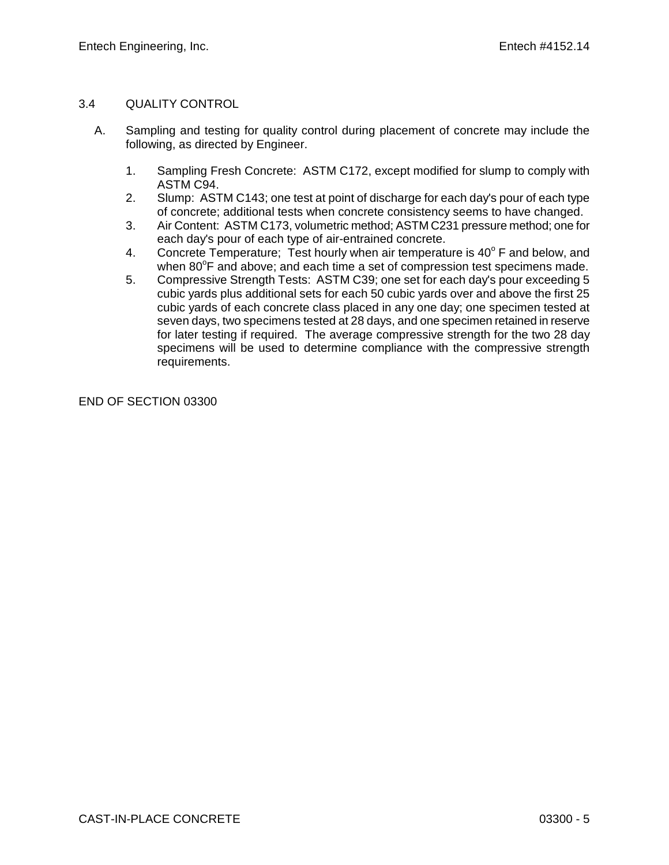# 3.4 QUALITY CONTROL

- A. Sampling and testing for quality control during placement of concrete may include the following, as directed by Engineer.
	- 1. Sampling Fresh Concrete: ASTM C172, except modified for slump to comply with ASTM C94.
	- 2. Slump: ASTM C143; one test at point of discharge for each day's pour of each type of concrete; additional tests when concrete consistency seems to have changed.
	- 3. Air Content: ASTM C173, volumetric method; ASTM C231 pressure method; one for each day's pour of each type of air-entrained concrete.
	- 4. Concrete Temperature; Test hourly when air temperature is  $40^{\circ}$  F and below, and when 80°F and above; and each time a set of compression test specimens made.
	- 5. Compressive Strength Tests: ASTM C39; one set for each day's pour exceeding 5 cubic yards plus additional sets for each 50 cubic yards over and above the first 25 cubic yards of each concrete class placed in any one day; one specimen tested at seven days, two specimens tested at 28 days, and one specimen retained in reserve for later testing if required. The average compressive strength for the two 28 day specimens will be used to determine compliance with the compressive strength requirements.

END OF SECTION 03300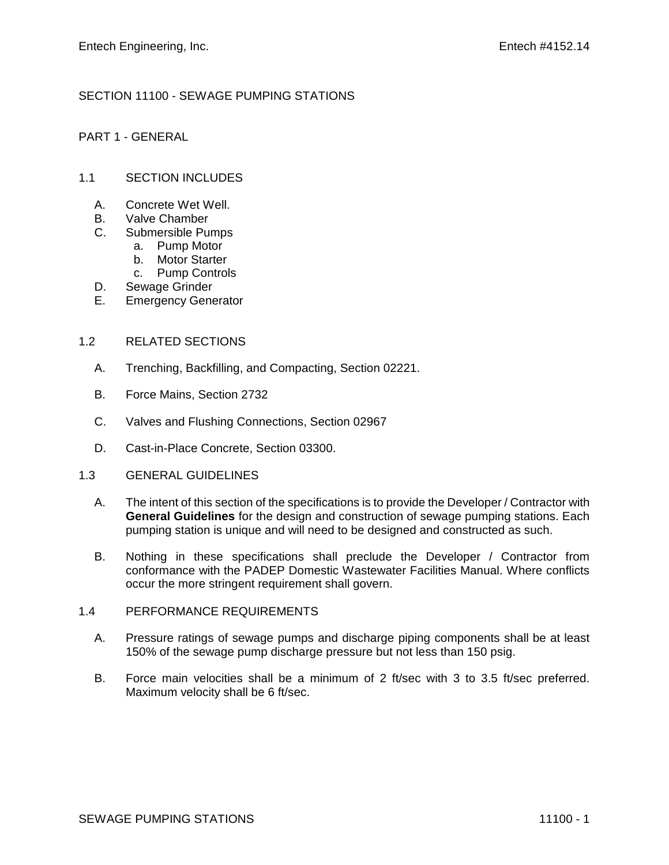# SECTION 11100 - SEWAGE PUMPING STATIONS

## PART 1 - GENERAL

### 1.1 SECTION INCLUDES

- A. Concrete Wet Well.
- B. Valve Chamber
- C. Submersible Pumps
	- a. Pump Motor
		- b. Motor Starter
		- c. Pump Controls
- D. Sewage Grinder
- E. Emergency Generator

#### 1.2 RELATED SECTIONS

- A. Trenching, Backfilling, and Compacting, Section 02221.
- B. Force Mains, Section 2732
- C. Valves and Flushing Connections, Section 02967
- D. Cast-in-Place Concrete, Section 03300.

#### 1.3 GENERAL GUIDELINES

- A. The intent of this section of the specifications is to provide the Developer / Contractor with **General Guidelines** for the design and construction of sewage pumping stations. Each pumping station is unique and will need to be designed and constructed as such.
- B. Nothing in these specifications shall preclude the Developer / Contractor from conformance with the PADEP Domestic Wastewater Facilities Manual. Where conflicts occur the more stringent requirement shall govern.

#### 1.4 PERFORMANCE REQUIREMENTS

- A. Pressure ratings of sewage pumps and discharge piping components shall be at least 150% of the sewage pump discharge pressure but not less than 150 psig.
- B. Force main velocities shall be a minimum of 2 ft/sec with 3 to 3.5 ft/sec preferred. Maximum velocity shall be 6 ft/sec.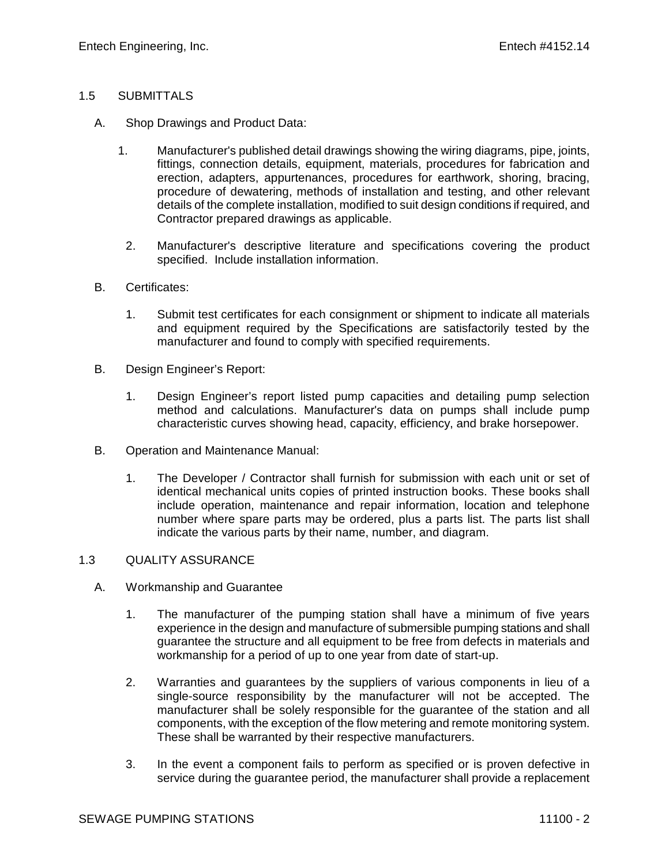## 1.5 SUBMITTALS

- A. Shop Drawings and Product Data:
	- 1. Manufacturer's published detail drawings showing the wiring diagrams, pipe, joints, fittings, connection details, equipment, materials, procedures for fabrication and erection, adapters, appurtenances, procedures for earthwork, shoring, bracing, procedure of dewatering, methods of installation and testing, and other relevant details of the complete installation, modified to suit design conditions if required, and Contractor prepared drawings as applicable.
	- 2. Manufacturer's descriptive literature and specifications covering the product specified. Include installation information.
- B. Certificates:
	- 1. Submit test certificates for each consignment or shipment to indicate all materials and equipment required by the Specifications are satisfactorily tested by the manufacturer and found to comply with specified requirements.
- B. Design Engineer's Report:
	- 1. Design Engineer's report listed pump capacities and detailing pump selection method and calculations. Manufacturer's data on pumps shall include pump characteristic curves showing head, capacity, efficiency, and brake horsepower.
- B. Operation and Maintenance Manual:
	- 1. The Developer / Contractor shall furnish for submission with each unit or set of identical mechanical units copies of printed instruction books. These books shall include operation, maintenance and repair information, location and telephone number where spare parts may be ordered, plus a parts list. The parts list shall indicate the various parts by their name, number, and diagram.

#### 1.3 QUALITY ASSURANCE

- A. Workmanship and Guarantee
	- 1. The manufacturer of the pumping station shall have a minimum of five years experience in the design and manufacture of submersible pumping stations and shall guarantee the structure and all equipment to be free from defects in materials and workmanship for a period of up to one year from date of start-up.
	- 2. Warranties and guarantees by the suppliers of various components in lieu of a single-source responsibility by the manufacturer will not be accepted. The manufacturer shall be solely responsible for the guarantee of the station and all components, with the exception of the flow metering and remote monitoring system. These shall be warranted by their respective manufacturers.
	- 3. In the event a component fails to perform as specified or is proven defective in service during the guarantee period, the manufacturer shall provide a replacement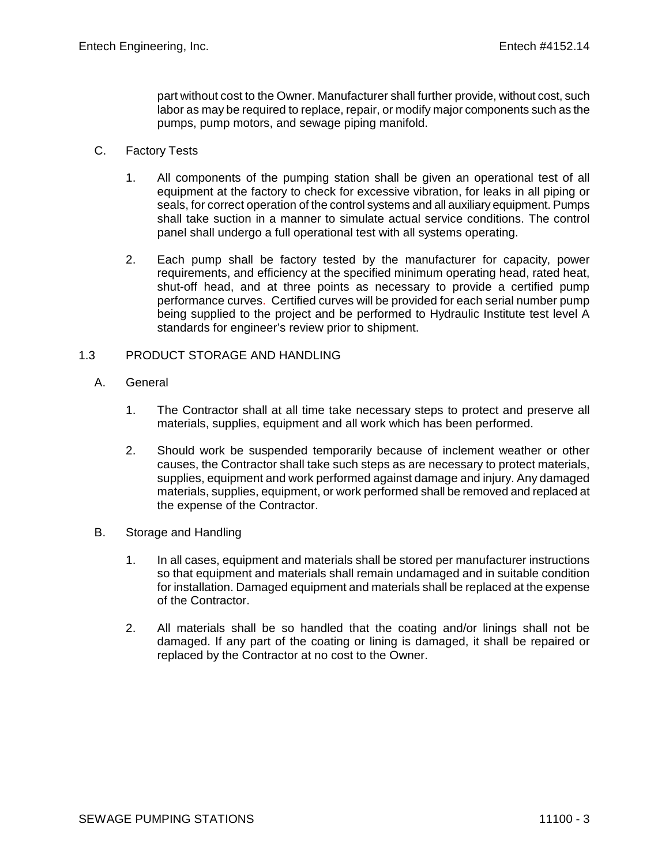part without cost to the Owner. Manufacturer shall further provide, without cost, such labor as may be required to replace, repair, or modify major components such as the pumps, pump motors, and sewage piping manifold.

# C. Factory Tests

- 1. All components of the pumping station shall be given an operational test of all equipment at the factory to check for excessive vibration, for leaks in all piping or seals, for correct operation of the control systems and all auxiliary equipment. Pumps shall take suction in a manner to simulate actual service conditions. The control panel shall undergo a full operational test with all systems operating.
- 2. Each pump shall be factory tested by the manufacturer for capacity, power requirements, and efficiency at the specified minimum operating head, rated heat, shut-off head, and at three points as necessary to provide a certified pump performance curves. Certified curves will be provided for each serial number pump being supplied to the project and be performed to Hydraulic Institute test level A standards for engineer's review prior to shipment.

# 1.3 PRODUCT STORAGE AND HANDLING

- A. General
	- 1. The Contractor shall at all time take necessary steps to protect and preserve all materials, supplies, equipment and all work which has been performed.
	- 2. Should work be suspended temporarily because of inclement weather or other causes, the Contractor shall take such steps as are necessary to protect materials, supplies, equipment and work performed against damage and injury. Any damaged materials, supplies, equipment, or work performed shall be removed and replaced at the expense of the Contractor.
- B. Storage and Handling
	- 1. In all cases, equipment and materials shall be stored per manufacturer instructions so that equipment and materials shall remain undamaged and in suitable condition for installation. Damaged equipment and materials shall be replaced at the expense of the Contractor.
	- 2. All materials shall be so handled that the coating and/or linings shall not be damaged. If any part of the coating or lining is damaged, it shall be repaired or replaced by the Contractor at no cost to the Owner.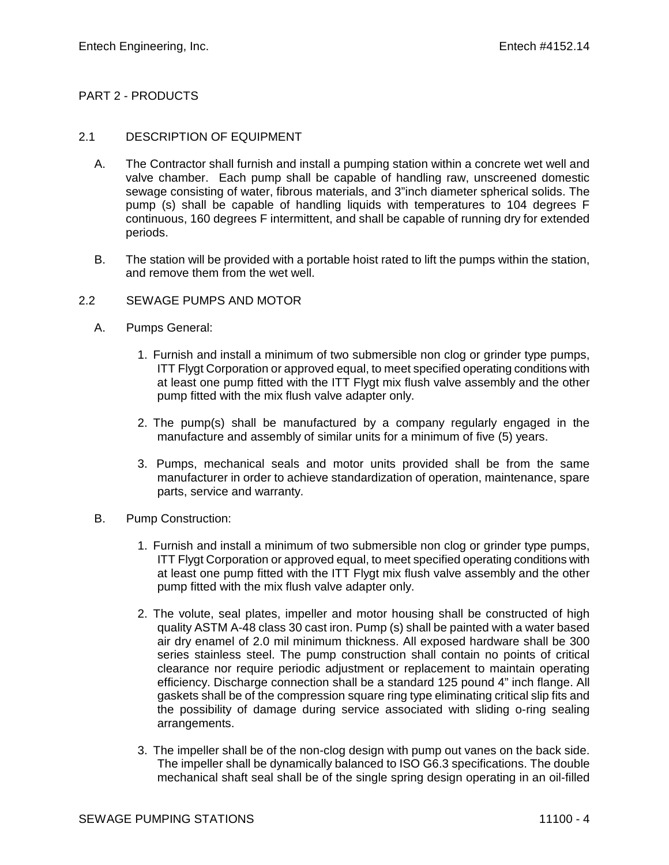# PART 2 - PRODUCTS

### 2.1 DESCRIPTION OF EQUIPMENT

- A. The Contractor shall furnish and install a pumping station within a concrete wet well and valve chamber. Each pump shall be capable of handling raw, unscreened domestic sewage consisting of water, fibrous materials, and 3"inch diameter spherical solids. The pump (s) shall be capable of handling liquids with temperatures to 104 degrees F continuous, 160 degrees F intermittent, and shall be capable of running dry for extended periods.
- B. The station will be provided with a portable hoist rated to lift the pumps within the station, and remove them from the wet well.

## 2.2 SEWAGE PUMPS AND MOTOR

- A. Pumps General:
	- 1. Furnish and install a minimum of two submersible non clog or grinder type pumps, ITT Flygt Corporation or approved equal, to meet specified operating conditions with at least one pump fitted with the ITT Flygt mix flush valve assembly and the other pump fitted with the mix flush valve adapter only.
	- 2. The pump(s) shall be manufactured by a company regularly engaged in the manufacture and assembly of similar units for a minimum of five (5) years.
	- 3. Pumps, mechanical seals and motor units provided shall be from the same manufacturer in order to achieve standardization of operation, maintenance, spare parts, service and warranty.
- B. Pump Construction:
	- 1. Furnish and install a minimum of two submersible non clog or grinder type pumps, ITT Flygt Corporation or approved equal, to meet specified operating conditions with at least one pump fitted with the ITT Flygt mix flush valve assembly and the other pump fitted with the mix flush valve adapter only.
	- 2. The volute, seal plates, impeller and motor housing shall be constructed of high quality ASTM A-48 class 30 cast iron. Pump (s) shall be painted with a water based air dry enamel of 2.0 mil minimum thickness. All exposed hardware shall be 300 series stainless steel. The pump construction shall contain no points of critical clearance nor require periodic adjustment or replacement to maintain operating efficiency. Discharge connection shall be a standard 125 pound 4" inch flange. All gaskets shall be of the compression square ring type eliminating critical slip fits and the possibility of damage during service associated with sliding o-ring sealing arrangements.
	- 3. The impeller shall be of the non-clog design with pump out vanes on the back side. The impeller shall be dynamically balanced to ISO G6.3 specifications. The double mechanical shaft seal shall be of the single spring design operating in an oil-filled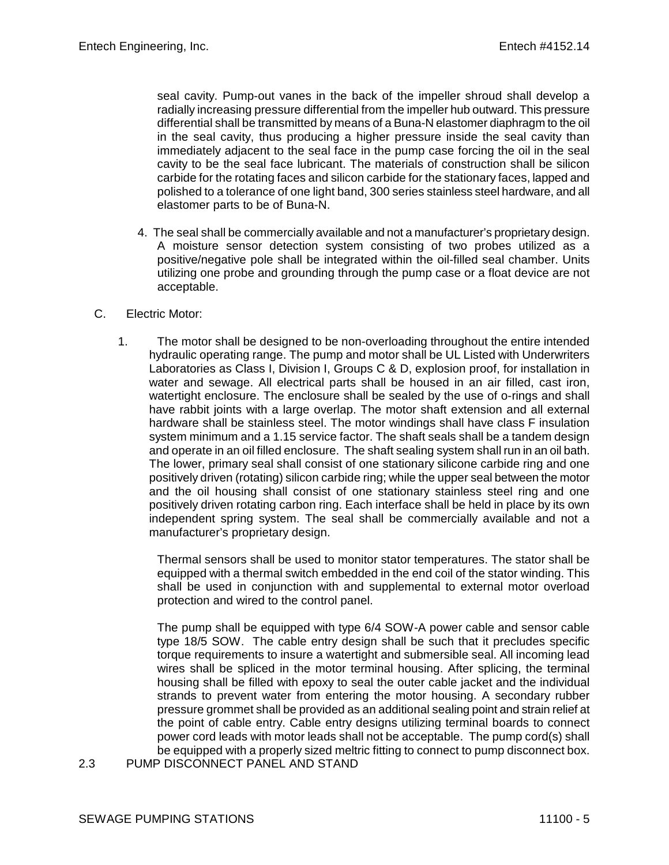seal cavity. Pump-out vanes in the back of the impeller shroud shall develop a radially increasing pressure differential from the impeller hub outward. This pressure differential shall be transmitted by means of a Buna-N elastomer diaphragm to the oil in the seal cavity, thus producing a higher pressure inside the seal cavity than immediately adjacent to the seal face in the pump case forcing the oil in the seal cavity to be the seal face lubricant. The materials of construction shall be silicon carbide for the rotating faces and silicon carbide for the stationary faces, lapped and polished to a tolerance of one light band, 300 series stainless steel hardware, and all elastomer parts to be of Buna-N.

4. The seal shall be commercially available and not a manufacturer's proprietary design. A moisture sensor detection system consisting of two probes utilized as a positive/negative pole shall be integrated within the oil-filled seal chamber. Units utilizing one probe and grounding through the pump case or a float device are not acceptable.

## C. Electric Motor:

1. The motor shall be designed to be non-overloading throughout the entire intended hydraulic operating range. The pump and motor shall be UL Listed with Underwriters Laboratories as Class I, Division I, Groups C & D, explosion proof, for installation in water and sewage. All electrical parts shall be housed in an air filled, cast iron, watertight enclosure. The enclosure shall be sealed by the use of o-rings and shall have rabbit joints with a large overlap. The motor shaft extension and all external hardware shall be stainless steel. The motor windings shall have class F insulation system minimum and a 1.15 service factor. The shaft seals shall be a tandem design and operate in an oil filled enclosure. The shaft sealing system shall run in an oil bath. The lower, primary seal shall consist of one stationary silicone carbide ring and one positively driven (rotating) silicon carbide ring; while the upper seal between the motor and the oil housing shall consist of one stationary stainless steel ring and one positively driven rotating carbon ring. Each interface shall be held in place by its own independent spring system. The seal shall be commercially available and not a manufacturer's proprietary design.

Thermal sensors shall be used to monitor stator temperatures. The stator shall be equipped with a thermal switch embedded in the end coil of the stator winding. This shall be used in conjunction with and supplemental to external motor overload protection and wired to the control panel.

The pump shall be equipped with type 6/4 SOW-A power cable and sensor cable type 18/5 SOW. The cable entry design shall be such that it precludes specific torque requirements to insure a watertight and submersible seal. All incoming lead wires shall be spliced in the motor terminal housing. After splicing, the terminal housing shall be filled with epoxy to seal the outer cable jacket and the individual strands to prevent water from entering the motor housing. A secondary rubber pressure grommet shall be provided as an additional sealing point and strain relief at the point of cable entry. Cable entry designs utilizing terminal boards to connect power cord leads with motor leads shall not be acceptable. The pump cord(s) shall be equipped with a properly sized meltric fitting to connect to pump disconnect box.

2.3 PUMP DISCONNECT PANEL AND STAND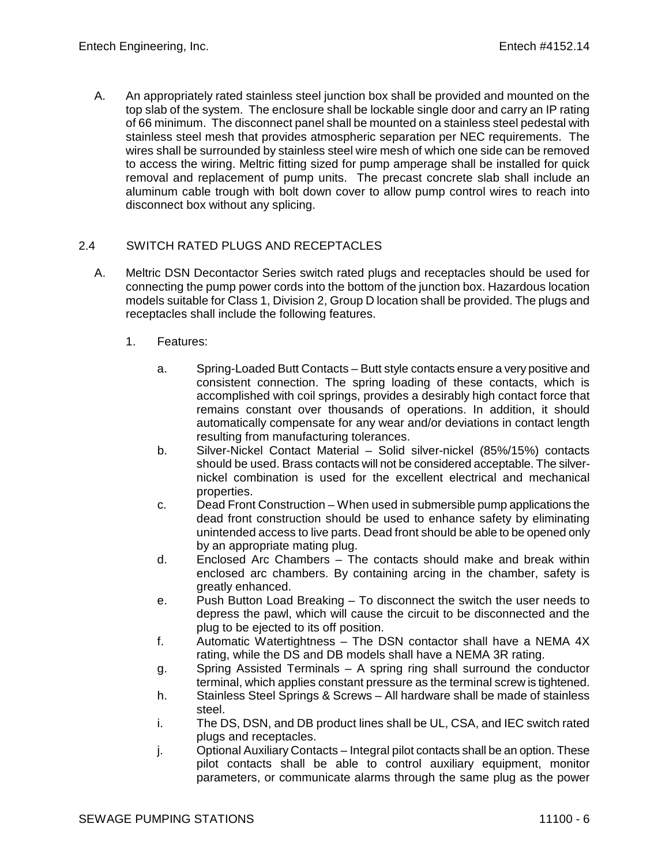A. An appropriately rated stainless steel junction box shall be provided and mounted on the top slab of the system. The enclosure shall be lockable single door and carry an IP rating of 66 minimum. The disconnect panel shall be mounted on a stainless steel pedestal with stainless steel mesh that provides atmospheric separation per NEC requirements. The wires shall be surrounded by stainless steel wire mesh of which one side can be removed to access the wiring. Meltric fitting sized for pump amperage shall be installed for quick removal and replacement of pump units. The precast concrete slab shall include an aluminum cable trough with bolt down cover to allow pump control wires to reach into disconnect box without any splicing.

# 2.4 SWITCH RATED PLUGS AND RECEPTACLES

- A. Meltric DSN Decontactor Series switch rated plugs and receptacles should be used for connecting the pump power cords into the bottom of the junction box. Hazardous location models suitable for Class 1, Division 2, Group D location shall be provided. The plugs and receptacles shall include the following features.
	- 1. Features:
		- a. Spring-Loaded Butt Contacts Butt style contacts ensure a very positive and consistent connection. The spring loading of these contacts, which is accomplished with coil springs, provides a desirably high contact force that remains constant over thousands of operations. In addition, it should automatically compensate for any wear and/or deviations in contact length resulting from manufacturing tolerances.
		- b. Silver-Nickel Contact Material Solid silver-nickel (85%/15%) contacts should be used. Brass contacts will not be considered acceptable. The silvernickel combination is used for the excellent electrical and mechanical properties.
		- c. Dead Front Construction When used in submersible pump applications the dead front construction should be used to enhance safety by eliminating unintended access to live parts. Dead front should be able to be opened only by an appropriate mating plug.
		- d. Enclosed Arc Chambers The contacts should make and break within enclosed arc chambers. By containing arcing in the chamber, safety is greatly enhanced.
		- e. Push Button Load Breaking To disconnect the switch the user needs to depress the pawl, which will cause the circuit to be disconnected and the plug to be ejected to its off position.
		- f. Automatic Watertightness The DSN contactor shall have a NEMA 4X rating, while the DS and DB models shall have a NEMA 3R rating.
		- g. Spring Assisted Terminals A spring ring shall surround the conductor terminal, which applies constant pressure as the terminal screw is tightened.
		- h. Stainless Steel Springs & Screws All hardware shall be made of stainless steel.
		- i. The DS, DSN, and DB product lines shall be UL, CSA, and IEC switch rated plugs and receptacles.
		- j. Optional Auxiliary Contacts Integral pilot contacts shall be an option. These pilot contacts shall be able to control auxiliary equipment, monitor parameters, or communicate alarms through the same plug as the power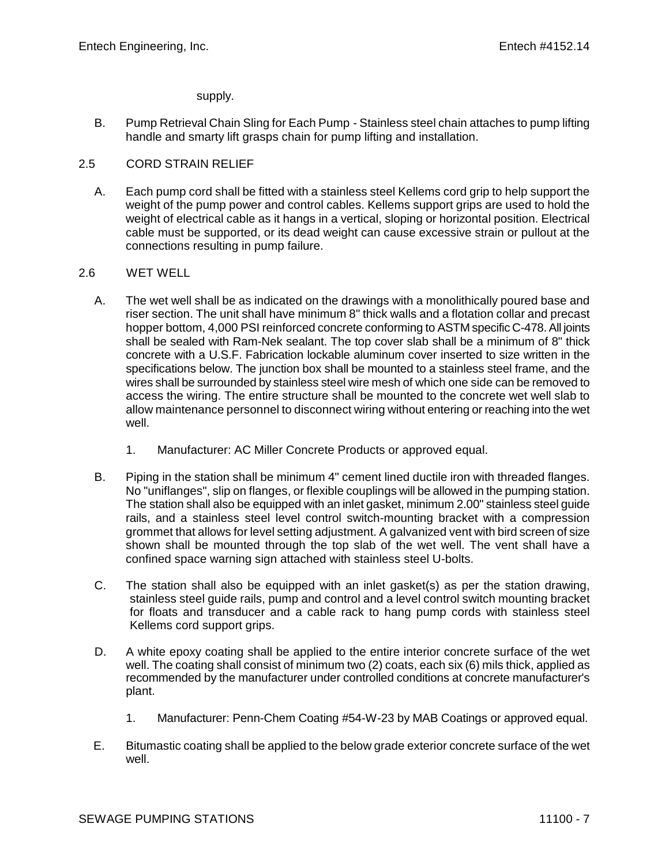#### supply.

B. Pump Retrieval Chain Sling for Each Pump - Stainless steel chain attaches to pump lifting handle and smarty lift grasps chain for pump lifting and installation.

## 2.5 CORD STRAIN RELIEF

A. Each pump cord shall be fitted with a stainless steel Kellems cord grip to help support the weight of the pump power and control cables. Kellems support grips are used to hold the weight of electrical cable as it hangs in a vertical, sloping or horizontal position. Electrical cable must be supported, or its dead weight can cause excessive strain or pullout at the connections resulting in pump failure.

## 2.6 WET WELL

- A. The wet well shall be as indicated on the drawings with a monolithically poured base and riser section. The unit shall have minimum 8" thick walls and a flotation collar and precast hopper bottom, 4,000 PSI reinforced concrete conforming to ASTM specific C-478. All joints shall be sealed with Ram-Nek sealant. The top cover slab shall be a minimum of 8" thick concrete with a U.S.F. Fabrication lockable aluminum cover inserted to size written in the specifications below. The junction box shall be mounted to a stainless steel frame, and the wires shall be surrounded by stainless steel wire mesh of which one side can be removed to access the wiring. The entire structure shall be mounted to the concrete wet well slab to allow maintenance personnel to disconnect wiring without entering or reaching into the wet well.
	- 1. Manufacturer: AC Miller Concrete Products or approved equal.
- B. Piping in the station shall be minimum 4" cement lined ductile iron with threaded flanges. No "uniflanges", slip on flanges, or flexible couplings will be allowed in the pumping station. The station shall also be equipped with an inlet gasket, minimum 2.00" stainless steel guide rails, and a stainless steel level control switch-mounting bracket with a compression grommet that allows for level setting adjustment. A galvanized vent with bird screen of size shown shall be mounted through the top slab of the wet well. The vent shall have a confined space warning sign attached with stainless steel U-bolts.
- C. The station shall also be equipped with an inlet gasket(s) as per the station drawing, stainless steel guide rails, pump and control and a level control switch mounting bracket for floats and transducer and a cable rack to hang pump cords with stainless steel Kellems cord support grips.
- D. A white epoxy coating shall be applied to the entire interior concrete surface of the wet well. The coating shall consist of minimum two (2) coats, each six (6) mils thick, applied as recommended by the manufacturer under controlled conditions at concrete manufacturer's plant.
	- 1. Manufacturer: Penn-Chem Coating #54-W-23 by MAB Coatings or approved equal.
- E. Bitumastic coating shall be applied to the below grade exterior concrete surface of the wet well.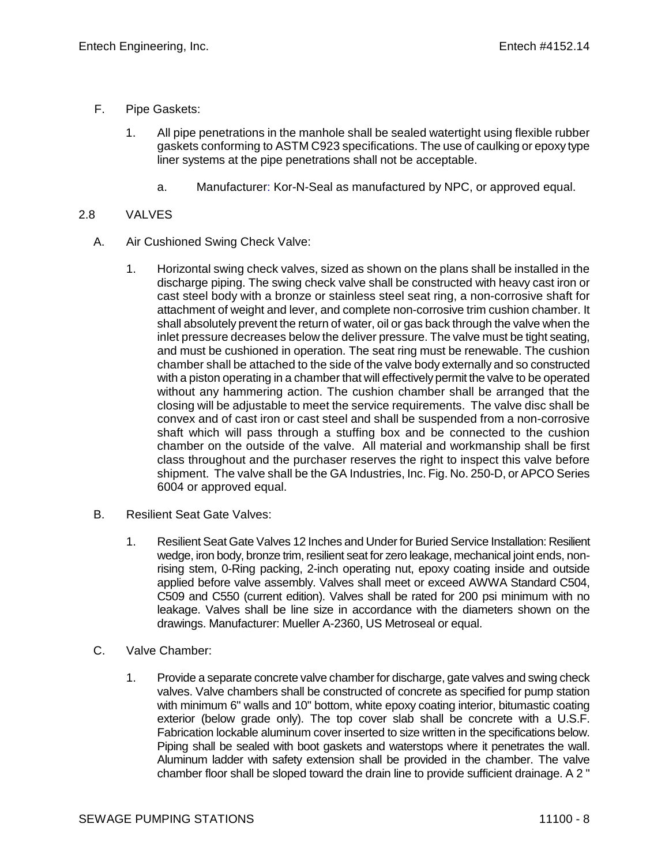- F. Pipe Gaskets:
	- 1. All pipe penetrations in the manhole shall be sealed watertight using flexible rubber gaskets conforming to ASTM C923 specifications. The use of caulking or epoxy type liner systems at the pipe penetrations shall not be acceptable.
		- a. Manufacturer: Kor-N-Seal as manufactured by NPC, or approved equal.

# 2.8 VALVES

- A. Air Cushioned Swing Check Valve:
	- 1. Horizontal swing check valves, sized as shown on the plans shall be installed in the discharge piping. The swing check valve shall be constructed with heavy cast iron or cast steel body with a bronze or stainless steel seat ring, a non-corrosive shaft for attachment of weight and lever, and complete non-corrosive trim cushion chamber. It shall absolutely prevent the return of water, oil or gas back through the valve when the inlet pressure decreases below the deliver pressure. The valve must be tight seating, and must be cushioned in operation. The seat ring must be renewable. The cushion chamber shall be attached to the side of the valve body externally and so constructed with a piston operating in a chamber that will effectively permit the valve to be operated without any hammering action. The cushion chamber shall be arranged that the closing will be adjustable to meet the service requirements. The valve disc shall be convex and of cast iron or cast steel and shall be suspended from a non-corrosive shaft which will pass through a stuffing box and be connected to the cushion chamber on the outside of the valve. All material and workmanship shall be first class throughout and the purchaser reserves the right to inspect this valve before shipment. The valve shall be the GA Industries, Inc. Fig. No. 250-D, or APCO Series 6004 or approved equal.
- B. Resilient Seat Gate Valves:
	- 1. Resilient Seat Gate Valves 12 Inches and Under for Buried Service Installation: Resilient wedge, iron body, bronze trim, resilient seat for zero leakage, mechanical joint ends, nonrising stem, 0-Ring packing, 2-inch operating nut, epoxy coating inside and outside applied before valve assembly. Valves shall meet or exceed AWWA Standard C504, C509 and C550 (current edition). Valves shall be rated for 200 psi minimum with no leakage. Valves shall be line size in accordance with the diameters shown on the drawings. Manufacturer: Mueller A-2360, US Metroseal or equal.
- C. Valve Chamber:
	- 1. Provide a separate concrete valve chamber for discharge, gate valves and swing check valves. Valve chambers shall be constructed of concrete as specified for pump station with minimum 6" walls and 10" bottom, white epoxy coating interior, bitumastic coating exterior (below grade only). The top cover slab shall be concrete with a U.S.F. Fabrication lockable aluminum cover inserted to size written in the specifications below. Piping shall be sealed with boot gaskets and waterstops where it penetrates the wall. Aluminum ladder with safety extension shall be provided in the chamber. The valve chamber floor shall be sloped toward the drain line to provide sufficient drainage. A 2 "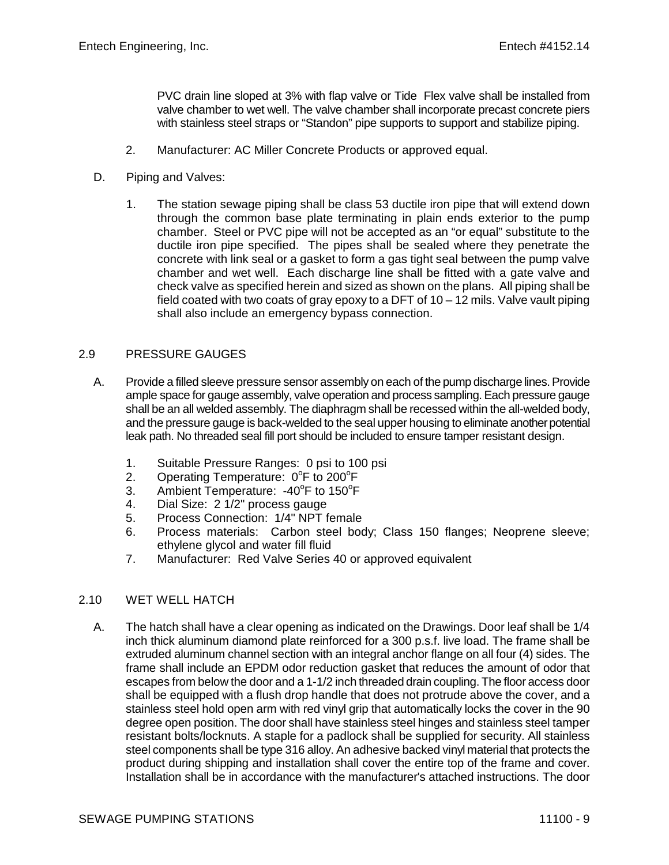PVC drain line sloped at 3% with flap valve or Tide Flex valve shall be installed from valve chamber to wet well. The valve chamber shall incorporate precast concrete piers with stainless steel straps or "Standon" pipe supports to support and stabilize piping.

- 2. Manufacturer: AC Miller Concrete Products or approved equal.
- D. Piping and Valves:
	- 1. The station sewage piping shall be class 53 ductile iron pipe that will extend down through the common base plate terminating in plain ends exterior to the pump chamber. Steel or PVC pipe will not be accepted as an "or equal" substitute to the ductile iron pipe specified. The pipes shall be sealed where they penetrate the concrete with link seal or a gasket to form a gas tight seal between the pump valve chamber and wet well. Each discharge line shall be fitted with a gate valve and check valve as specified herein and sized as shown on the plans. All piping shall be field coated with two coats of gray epoxy to a DFT of 10 – 12 mils. Valve vault piping shall also include an emergency bypass connection.

# 2.9 PRESSURE GAUGES

- A. Provide a filled sleeve pressure sensor assembly on each of the pump discharge lines. Provide ample space for gauge assembly, valve operation and process sampling. Each pressure gauge shall be an all welded assembly. The diaphragm shall be recessed within the all-welded body, and the pressure gauge is back-welded to the seal upper housing to eliminate another potential leak path. No threaded seal fill port should be included to ensure tamper resistant design.
	- 1. Suitable Pressure Ranges: 0 psi to 100 psi
	- 2. Operating Temperature: 0°F to 200°F
	- 3. Ambient Temperature: -40°F to 150°F
	- 4. Dial Size: 2 1/2" process gauge
	- 5. Process Connection: 1/4" NPT female
	- 6. Process materials: Carbon steel body; Class 150 flanges; Neoprene sleeve; ethylene glycol and water fill fluid
	- 7. Manufacturer: Red Valve Series 40 or approved equivalent

# 2.10 WET WELL HATCH

A. The hatch shall have a clear opening as indicated on the Drawings. Door leaf shall be 1/4 inch thick aluminum diamond plate reinforced for a 300 p.s.f. live load. The frame shall be extruded aluminum channel section with an integral anchor flange on all four (4) sides. The frame shall include an EPDM odor reduction gasket that reduces the amount of odor that escapes from below the door and a 1-1/2 inch threaded drain coupling. The floor access door shall be equipped with a flush drop handle that does not protrude above the cover, and a stainless steel hold open arm with red vinyl grip that automatically locks the cover in the 90 degree open position. The door shall have stainless steel hinges and stainless steel tamper resistant bolts/locknuts. A staple for a padlock shall be supplied for security. All stainless steel components shall be type 316 alloy. An adhesive backed vinyl material that protects the product during shipping and installation shall cover the entire top of the frame and cover. Installation shall be in accordance with the manufacturer's attached instructions. The door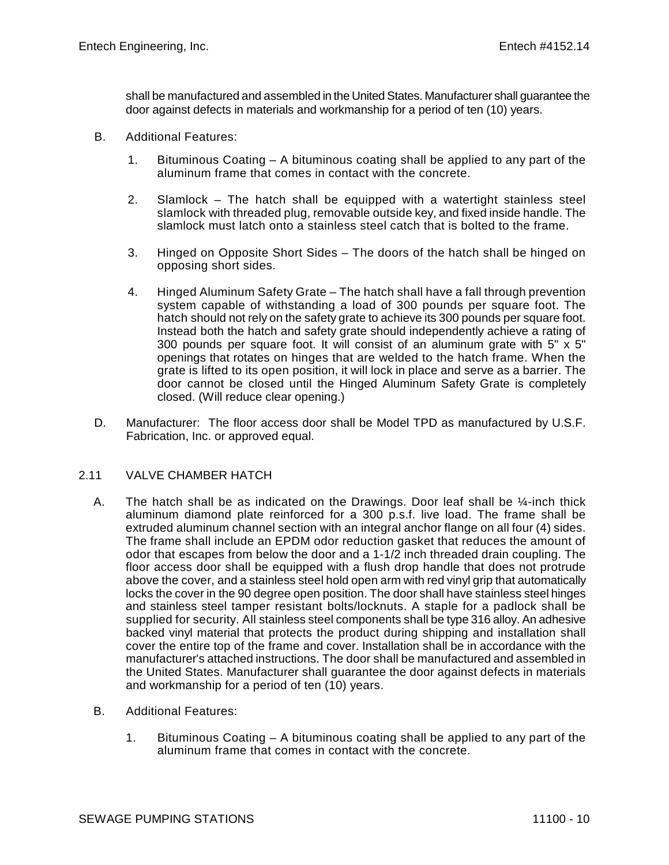shall be manufactured and assembled in the United States. Manufacturer shall guarantee the door against defects in materials and workmanship for a period of ten (10) years.

- B. Additional Features:
	- 1. Bituminous Coating A bituminous coating shall be applied to any part of the aluminum frame that comes in contact with the concrete.
	- 2. Slamlock The hatch shall be equipped with a watertight stainless steel slamlock with threaded plug, removable outside key, and fixed inside handle. The slamlock must latch onto a stainless steel catch that is bolted to the frame.
	- 3. Hinged on Opposite Short Sides The doors of the hatch shall be hinged on opposing short sides.
	- 4. Hinged Aluminum Safety Grate The hatch shall have a fall through prevention system capable of withstanding a load of 300 pounds per square foot. The hatch should not rely on the safety grate to achieve its 300 pounds per square foot. Instead both the hatch and safety grate should independently achieve a rating of 300 pounds per square foot. It will consist of an aluminum grate with  $5" \times 5"$ openings that rotates on hinges that are welded to the hatch frame. When the grate is lifted to its open position, it will lock in place and serve as a barrier. The door cannot be closed until the Hinged Aluminum Safety Grate is completely closed. (Will reduce clear opening.)
- D. Manufacturer: The floor access door shall be Model TPD as manufactured by U.S.F. Fabrication, Inc. or approved equal.

#### 2.11 VALVE CHAMBER HATCH

- A. The hatch shall be as indicated on the Drawings. Door leaf shall be  $\frac{1}{4}$ -inch thick aluminum diamond plate reinforced for a 300 p.s.f. live load. The frame shall be extruded aluminum channel section with an integral anchor flange on all four (4) sides. The frame shall include an EPDM odor reduction gasket that reduces the amount of odor that escapes from below the door and a 1-1/2 inch threaded drain coupling. The floor access door shall be equipped with a flush drop handle that does not protrude above the cover, and a stainless steel hold open arm with red vinyl grip that automatically locks the cover in the 90 degree open position. The door shall have stainless steel hinges and stainless steel tamper resistant bolts/locknuts. A staple for a padlock shall be supplied for security. All stainless steel components shall be type 316 alloy. An adhesive backed vinyl material that protects the product during shipping and installation shall cover the entire top of the frame and cover. Installation shall be in accordance with the manufacturer's attached instructions. The door shall be manufactured and assembled in the United States. Manufacturer shall guarantee the door against defects in materials and workmanship for a period of ten (10) years.
- B. Additional Features:
	- 1. Bituminous Coating A bituminous coating shall be applied to any part of the aluminum frame that comes in contact with the concrete.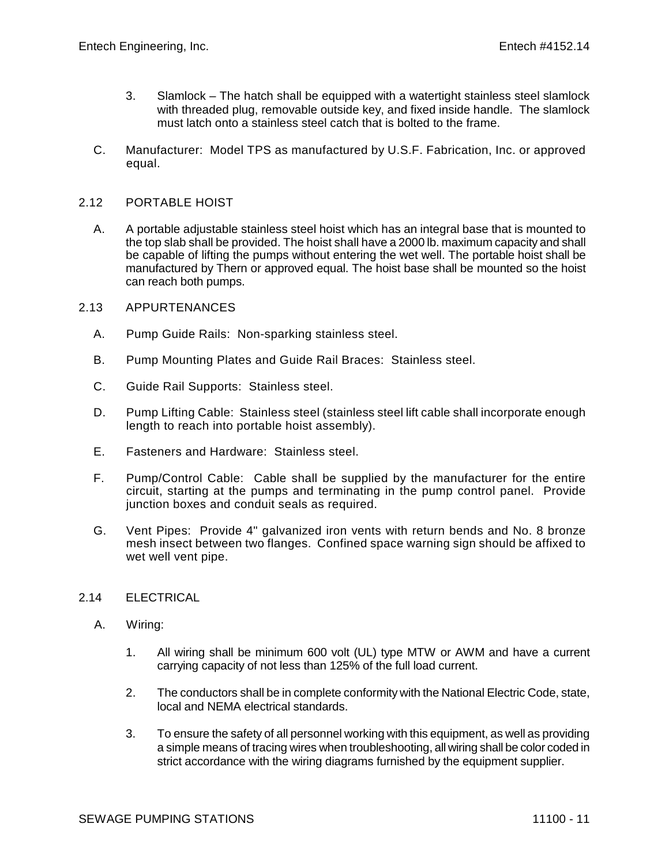- 3. Slamlock The hatch shall be equipped with a watertight stainless steel slamlock with threaded plug, removable outside key, and fixed inside handle. The slamlock must latch onto a stainless steel catch that is bolted to the frame.
- C. Manufacturer: Model TPS as manufactured by U.S.F. Fabrication, Inc. or approved equal.

#### 2.12 PORTABLE HOIST

A. A portable adjustable stainless steel hoist which has an integral base that is mounted to the top slab shall be provided. The hoist shall have a 2000 lb. maximum capacity and shall be capable of lifting the pumps without entering the wet well. The portable hoist shall be manufactured by Thern or approved equal. The hoist base shall be mounted so the hoist can reach both pumps.

#### 2.13 APPURTENANCES

- A. Pump Guide Rails: Non-sparking stainless steel.
- B. Pump Mounting Plates and Guide Rail Braces: Stainless steel.
- C. Guide Rail Supports: Stainless steel.
- D. Pump Lifting Cable: Stainless steel (stainless steel lift cable shall incorporate enough length to reach into portable hoist assembly).
- E. Fasteners and Hardware: Stainless steel.
- F. Pump/Control Cable: Cable shall be supplied by the manufacturer for the entire circuit, starting at the pumps and terminating in the pump control panel. Provide junction boxes and conduit seals as required.
- G. Vent Pipes: Provide 4" galvanized iron vents with return bends and No. 8 bronze mesh insect between two flanges. Confined space warning sign should be affixed to wet well vent pipe.

# 2.14 ELECTRICAL

- A. Wiring:
	- 1. All wiring shall be minimum 600 volt (UL) type MTW or AWM and have a current carrying capacity of not less than 125% of the full load current.
	- 2. The conductors shall be in complete conformity with the National Electric Code, state, local and NEMA electrical standards.
	- 3. To ensure the safety of all personnel working with this equipment, as well as providing a simple means of tracing wires when troubleshooting, all wiring shall be color coded in strict accordance with the wiring diagrams furnished by the equipment supplier.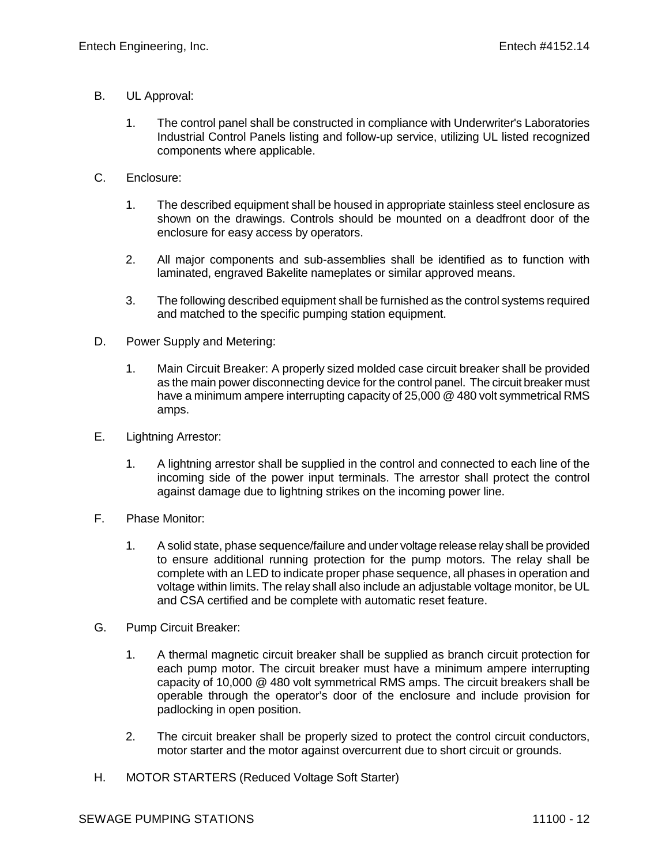- B. UL Approval:
	- 1. The control panel shall be constructed in compliance with Underwriter's Laboratories Industrial Control Panels listing and follow-up service, utilizing UL listed recognized components where applicable.
- C. Enclosure:
	- 1. The described equipment shall be housed in appropriate stainless steel enclosure as shown on the drawings. Controls should be mounted on a deadfront door of the enclosure for easy access by operators.
	- 2. All major components and sub-assemblies shall be identified as to function with laminated, engraved Bakelite nameplates or similar approved means.
	- 3. The following described equipment shall be furnished as the control systems required and matched to the specific pumping station equipment.
- D. Power Supply and Metering:
	- 1. Main Circuit Breaker: A properly sized molded case circuit breaker shall be provided as the main power disconnecting device for the control panel. The circuit breaker must have a minimum ampere interrupting capacity of 25,000 @ 480 volt symmetrical RMS amps.
- E. Lightning Arrestor:
	- 1. A lightning arrestor shall be supplied in the control and connected to each line of the incoming side of the power input terminals. The arrestor shall protect the control against damage due to lightning strikes on the incoming power line.
- F. Phase Monitor:
	- 1. A solid state, phase sequence/failure and under voltage release relay shall be provided to ensure additional running protection for the pump motors. The relay shall be complete with an LED to indicate proper phase sequence, all phases in operation and voltage within limits. The relay shall also include an adjustable voltage monitor, be UL and CSA certified and be complete with automatic reset feature.
- G. Pump Circuit Breaker:
	- 1. A thermal magnetic circuit breaker shall be supplied as branch circuit protection for each pump motor. The circuit breaker must have a minimum ampere interrupting capacity of 10,000 @ 480 volt symmetrical RMS amps. The circuit breakers shall be operable through the operator's door of the enclosure and include provision for padlocking in open position.
	- 2. The circuit breaker shall be properly sized to protect the control circuit conductors, motor starter and the motor against overcurrent due to short circuit or grounds.
- H. MOTOR STARTERS (Reduced Voltage Soft Starter)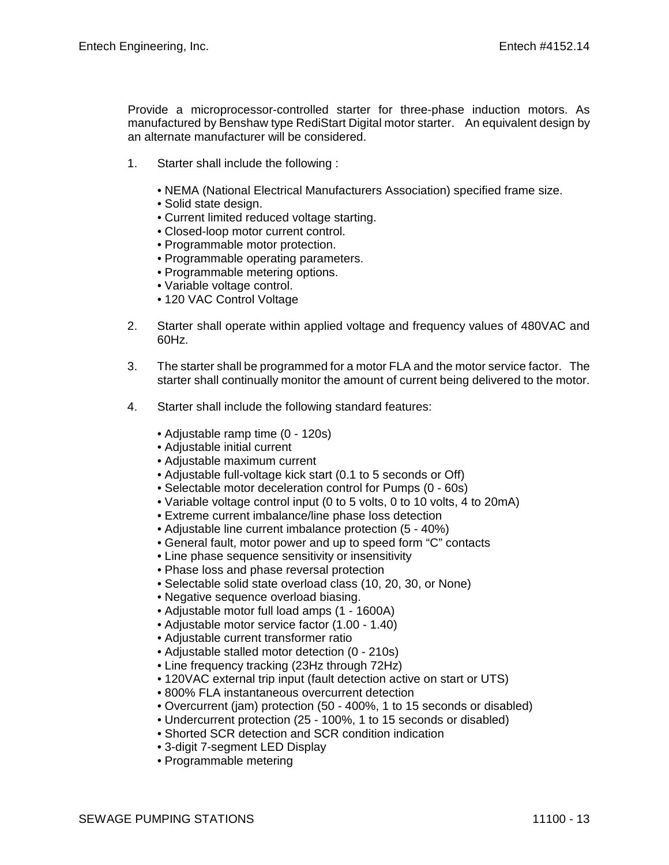Provide a microprocessor-controlled starter for three-phase induction motors. As manufactured by Benshaw type RediStart Digital motor starter. An equivalent design by an alternate manufacturer will be considered.

- 1. Starter shall include the following :
	- NEMA (National Electrical Manufacturers Association) specified frame size.
	- Solid state design.
	- Current limited reduced voltage starting.
	- Closed-loop motor current control.
	- Programmable motor protection.
	- Programmable operating parameters.
	- Programmable metering options.
	- Variable voltage control.
	- 120 VAC Control Voltage
- 2. Starter shall operate within applied voltage and frequency values of 480VAC and 60Hz.
- 3. The starter shall be programmed for a motor FLA and the motor service factor. The starter shall continually monitor the amount of current being delivered to the motor.
- 4. Starter shall include the following standard features:
	- Adjustable ramp time (0 120s)
	- Adjustable initial current
	- Adjustable maximum current
	- Adjustable full-voltage kick start (0.1 to 5 seconds or Off)
	- Selectable motor deceleration control for Pumps (0 60s)
	- Variable voltage control input (0 to 5 volts, 0 to 10 volts, 4 to 20mA)
	- Extreme current imbalance/line phase loss detection
	- Adjustable line current imbalance protection (5 40%)
	- General fault, motor power and up to speed form "C" contacts
	- Line phase sequence sensitivity or insensitivity
	- Phase loss and phase reversal protection
	- Selectable solid state overload class (10, 20, 30, or None)
	- Negative sequence overload biasing.
	- Adjustable motor full load amps (1 1600A)
	- Adjustable motor service factor (1.00 1.40)
	- Adjustable current transformer ratio
	- Adjustable stalled motor detection (0 210s)
	- Line frequency tracking (23Hz through 72Hz)
	- 120VAC external trip input (fault detection active on start or UTS)
	- 800% FLA instantaneous overcurrent detection
	- Overcurrent (jam) protection (50 400%, 1 to 15 seconds or disabled)
	- Undercurrent protection (25 100%, 1 to 15 seconds or disabled)
	- Shorted SCR detection and SCR condition indication
	- 3-digit 7-segment LED Display
	- Programmable metering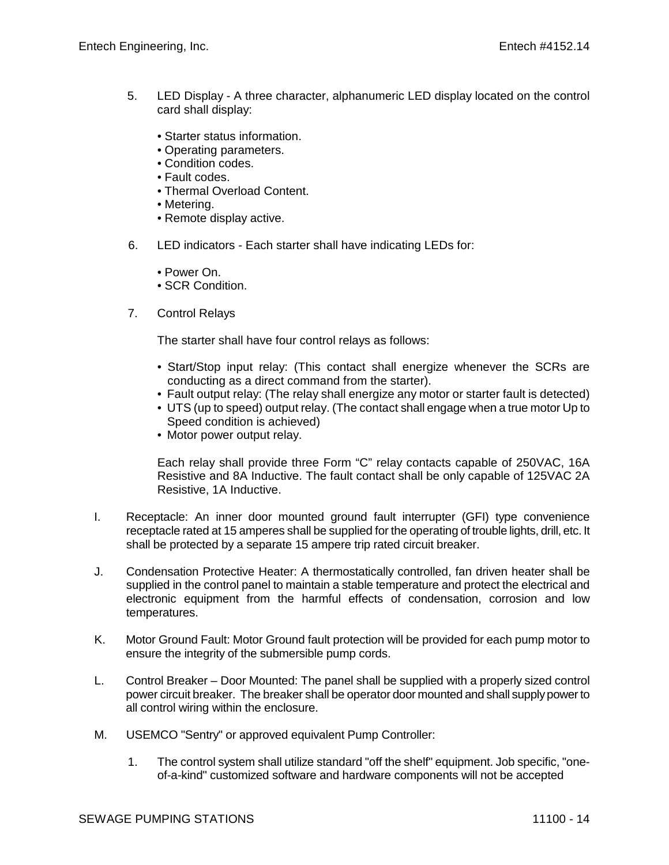- 5. LED Display A three character, alphanumeric LED display located on the control card shall display:
	- Starter status information.
	- Operating parameters.
	- Condition codes.
	- Fault codes.
	- Thermal Overload Content.
	- Metering.
	- Remote display active.
- 6. LED indicators Each starter shall have indicating LEDs for:
	- Power On.
	- SCR Condition.
- 7. Control Relays

The starter shall have four control relays as follows:

- Start/Stop input relay: (This contact shall energize whenever the SCRs are conducting as a direct command from the starter).
- Fault output relay: (The relay shall energize any motor or starter fault is detected)
- UTS (up to speed) output relay. (The contact shall engage when a true motor Up to Speed condition is achieved)
- Motor power output relay.

Each relay shall provide three Form "C" relay contacts capable of 250VAC, 16A Resistive and 8A Inductive. The fault contact shall be only capable of 125VAC 2A Resistive, 1A Inductive.

- I. Receptacle: An inner door mounted ground fault interrupter (GFI) type convenience receptacle rated at 15 amperes shall be supplied for the operating of trouble lights, drill, etc. It shall be protected by a separate 15 ampere trip rated circuit breaker.
- J. Condensation Protective Heater: A thermostatically controlled, fan driven heater shall be supplied in the control panel to maintain a stable temperature and protect the electrical and electronic equipment from the harmful effects of condensation, corrosion and low temperatures.
- K. Motor Ground Fault: Motor Ground fault protection will be provided for each pump motor to ensure the integrity of the submersible pump cords.
- L. Control Breaker Door Mounted: The panel shall be supplied with a properly sized control power circuit breaker. The breaker shall be operator door mounted and shall supply power to all control wiring within the enclosure.
- M. USEMCO "Sentry" or approved equivalent Pump Controller:
	- 1. The control system shall utilize standard "off the shelf" equipment. Job specific, "oneof-a-kind" customized software and hardware components will not be accepted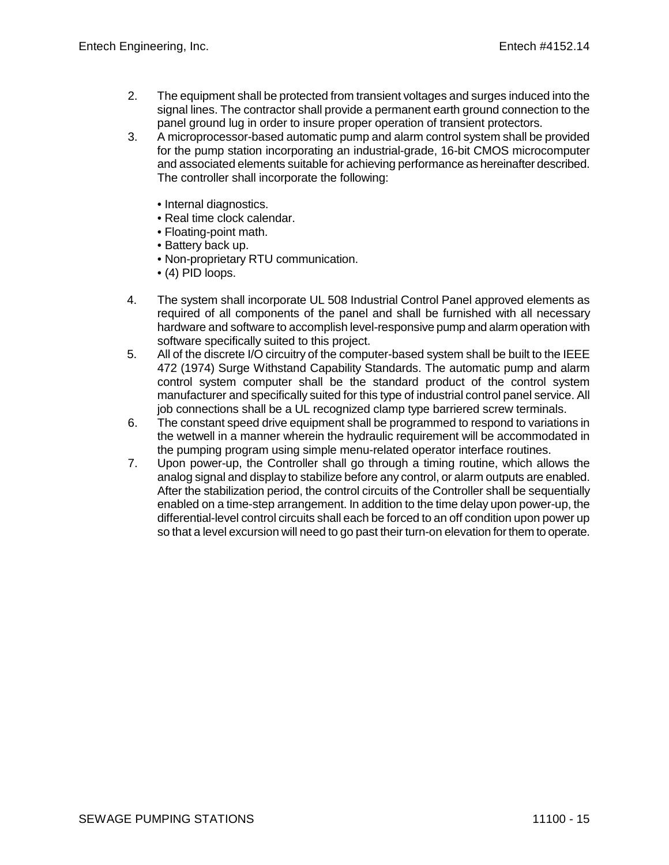- 2. The equipment shall be protected from transient voltages and surges induced into the signal lines. The contractor shall provide a permanent earth ground connection to the panel ground lug in order to insure proper operation of transient protectors.
- 3. A microprocessor-based automatic pump and alarm control system shall be provided for the pump station incorporating an industrial-grade, 16-bit CMOS microcomputer and associated elements suitable for achieving performance as hereinafter described. The controller shall incorporate the following:
	- Internal diagnostics.
	- Real time clock calendar.
	- Floating-point math.
	- Battery back up.
	- Non-proprietary RTU communication.
	- (4) PID loops.
- 4. The system shall incorporate UL 508 Industrial Control Panel approved elements as required of all components of the panel and shall be furnished with all necessary hardware and software to accomplish level-responsive pump and alarm operation with software specifically suited to this project.
- 5. All of the discrete I/O circuitry of the computer-based system shall be built to the IEEE 472 (1974) Surge Withstand Capability Standards. The automatic pump and alarm control system computer shall be the standard product of the control system manufacturer and specifically suited for this type of industrial control panel service. All job connections shall be a UL recognized clamp type barriered screw terminals.
- 6. The constant speed drive equipment shall be programmed to respond to variations in the wetwell in a manner wherein the hydraulic requirement will be accommodated in the pumping program using simple menu-related operator interface routines.
- 7. Upon power-up, the Controller shall go through a timing routine, which allows the analog signal and display to stabilize before any control, or alarm outputs are enabled. After the stabilization period, the control circuits of the Controller shall be sequentially enabled on a time-step arrangement. In addition to the time delay upon power-up, the differential-level control circuits shall each be forced to an off condition upon power up so that a level excursion will need to go past their turn-on elevation for them to operate.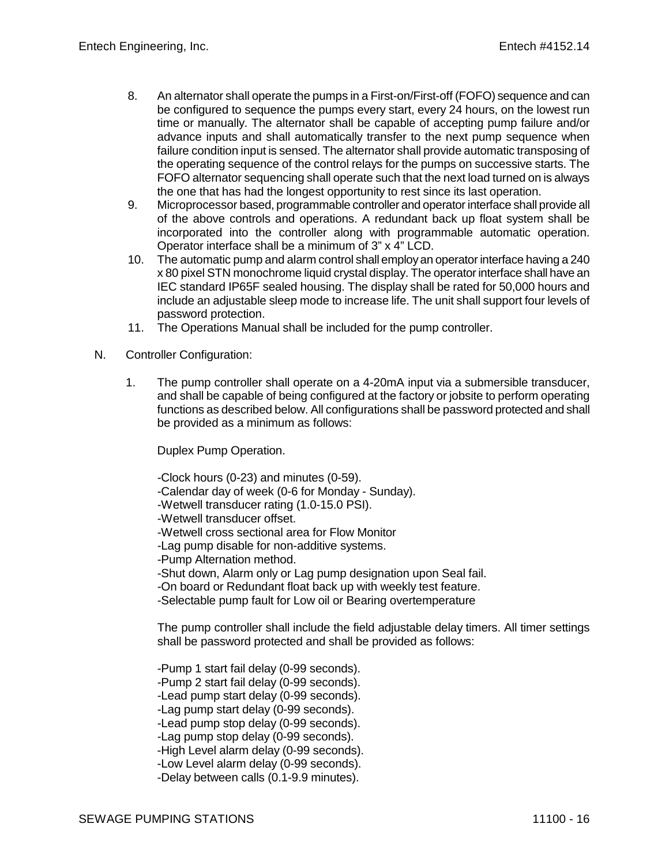- 8. An alternator shall operate the pumps in a First-on/First-off (FOFO) sequence and can be configured to sequence the pumps every start, every 24 hours, on the lowest run time or manually. The alternator shall be capable of accepting pump failure and/or advance inputs and shall automatically transfer to the next pump sequence when failure condition input is sensed. The alternator shall provide automatic transposing of the operating sequence of the control relays for the pumps on successive starts. The FOFO alternator sequencing shall operate such that the next load turned on is always the one that has had the longest opportunity to rest since its last operation.
- 9. Microprocessor based, programmable controller and operator interface shall provide all of the above controls and operations. A redundant back up float system shall be incorporated into the controller along with programmable automatic operation. Operator interface shall be a minimum of 3" x 4" LCD.
- 10. The automatic pump and alarm control shall employ an operator interface having a 240 x 80 pixel STN monochrome liquid crystal display. The operator interface shall have an IEC standard IP65F sealed housing. The display shall be rated for 50,000 hours and include an adjustable sleep mode to increase life. The unit shall support four levels of password protection.
- 11. The Operations Manual shall be included for the pump controller.
- N. Controller Configuration:
	- 1. The pump controller shall operate on a 4-20mA input via a submersible transducer, and shall be capable of being configured at the factory or jobsite to perform operating functions as described below. All configurations shall be password protected and shall be provided as a minimum as follows:

Duplex Pump Operation.

-Clock hours (0-23) and minutes (0-59).

-Calendar day of week (0-6 for Monday - Sunday).

- -Wetwell transducer rating (1.0-15.0 PSI).
- -Wetwell transducer offset.

-Wetwell cross sectional area for Flow Monitor

-Lag pump disable for non-additive systems.

-Pump Alternation method.

-Shut down, Alarm only or Lag pump designation upon Seal fail.

-On board or Redundant float back up with weekly test feature.

-Selectable pump fault for Low oil or Bearing overtemperature

The pump controller shall include the field adjustable delay timers. All timer settings shall be password protected and shall be provided as follows:

-Pump 1 start fail delay (0-99 seconds). -Pump 2 start fail delay (0-99 seconds). -Lead pump start delay (0-99 seconds). -Lag pump start delay (0-99 seconds). -Lead pump stop delay (0-99 seconds). -Lag pump stop delay (0-99 seconds). -High Level alarm delay (0-99 seconds). -Low Level alarm delay (0-99 seconds). -Delay between calls (0.1-9.9 minutes).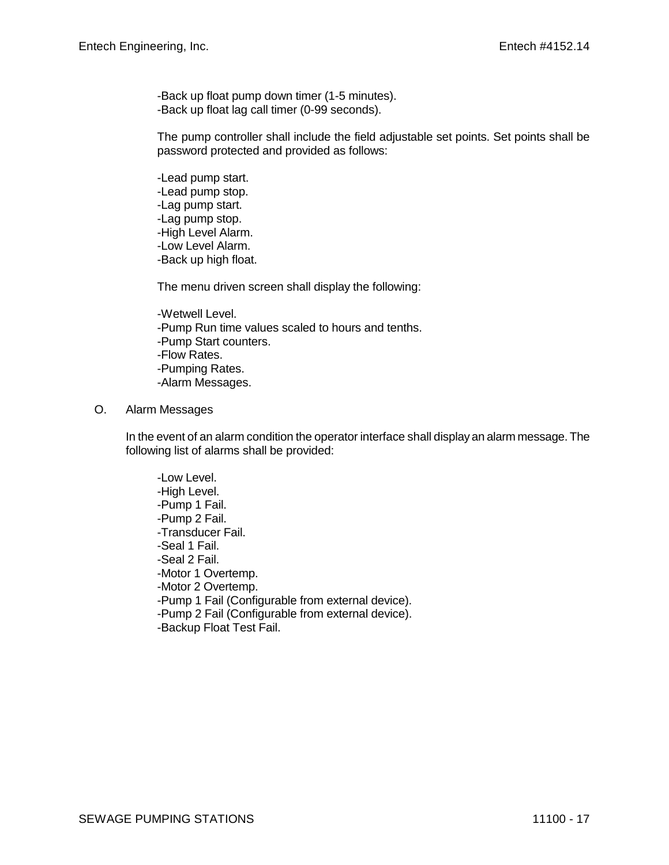-Back up float pump down timer (1-5 minutes). -Back up float lag call timer (0-99 seconds).

The pump controller shall include the field adjustable set points. Set points shall be password protected and provided as follows:

-Lead pump start. -Lead pump stop. -Lag pump start. -Lag pump stop. -High Level Alarm. -Low Level Alarm. -Back up high float.

The menu driven screen shall display the following:

- -Wetwell Level. -Pump Run time values scaled to hours and tenths. -Pump Start counters. -Flow Rates. -Pumping Rates. -Alarm Messages.
- O. Alarm Messages

In the event of an alarm condition the operator interface shall display an alarm message. The following list of alarms shall be provided:

-Low Level. -High Level. -Pump 1 Fail. -Pump 2 Fail. -Transducer Fail. -Seal 1 Fail. -Seal 2 Fail. -Motor 1 Overtemp. -Motor 2 Overtemp. -Pump 1 Fail (Configurable from external device). -Pump 2 Fail (Configurable from external device). -Backup Float Test Fail.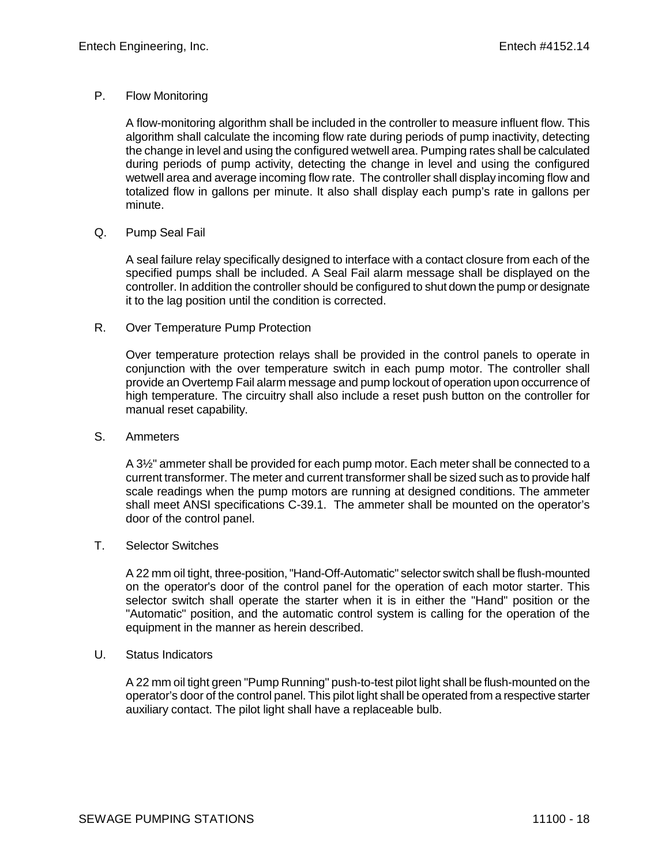## P. Flow Monitoring

A flow-monitoring algorithm shall be included in the controller to measure influent flow. This algorithm shall calculate the incoming flow rate during periods of pump inactivity, detecting the change in level and using the configured wetwell area. Pumping rates shall be calculated during periods of pump activity, detecting the change in level and using the configured wetwell area and average incoming flow rate. The controller shall display incoming flow and totalized flow in gallons per minute. It also shall display each pump's rate in gallons per minute.

## Q. Pump Seal Fail

A seal failure relay specifically designed to interface with a contact closure from each of the specified pumps shall be included. A Seal Fail alarm message shall be displayed on the controller. In addition the controller should be configured to shut down the pump or designate it to the lag position until the condition is corrected.

## R. Over Temperature Pump Protection

Over temperature protection relays shall be provided in the control panels to operate in conjunction with the over temperature switch in each pump motor. The controller shall provide an Overtemp Fail alarm message and pump lockout of operation upon occurrence of high temperature. The circuitry shall also include a reset push button on the controller for manual reset capability.

#### S. Ammeters

A 3½" ammeter shall be provided for each pump motor. Each meter shall be connected to a current transformer. The meter and current transformer shall be sized such as to provide half scale readings when the pump motors are running at designed conditions. The ammeter shall meet ANSI specifications C-39.1. The ammeter shall be mounted on the operator's door of the control panel.

#### T. Selector Switches

A 22 mm oil tight, three-position, "Hand-Off-Automatic" selector switch shall be flush-mounted on the operator's door of the control panel for the operation of each motor starter. This selector switch shall operate the starter when it is in either the "Hand" position or the "Automatic" position, and the automatic control system is calling for the operation of the equipment in the manner as herein described.

#### U. Status Indicators

A 22 mm oil tight green "Pump Running" push-to-test pilot light shall be flush-mounted on the operator's door of the control panel. This pilot light shall be operated from a respective starter auxiliary contact. The pilot light shall have a replaceable bulb.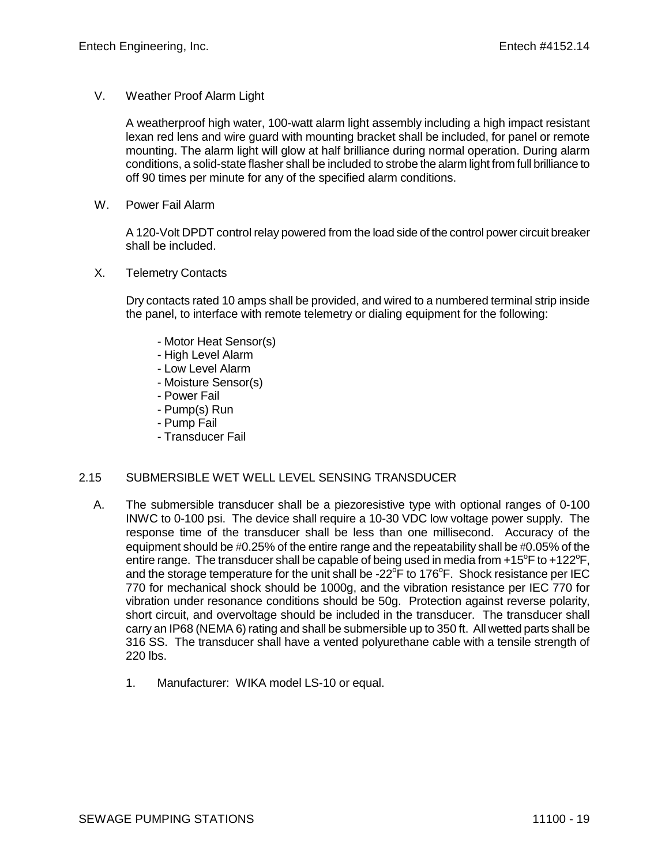V. Weather Proof Alarm Light

A weatherproof high water, 100-watt alarm light assembly including a high impact resistant lexan red lens and wire guard with mounting bracket shall be included, for panel or remote mounting. The alarm light will glow at half brilliance during normal operation. During alarm conditions, a solid-state flasher shall be included to strobe the alarm light from full brilliance to off 90 times per minute for any of the specified alarm conditions.

W. Power Fail Alarm

A 120-Volt DPDT control relay powered from the load side of the control power circuit breaker shall be included.

X. Telemetry Contacts

Dry contacts rated 10 amps shall be provided, and wired to a numbered terminal strip inside the panel, to interface with remote telemetry or dialing equipment for the following:

- Motor Heat Sensor(s)
- High Level Alarm
- Low Level Alarm
- Moisture Sensor(s)
- Power Fail
- Pump(s) Run
- Pump Fail
- Transducer Fail

# 2.15 SUBMERSIBLE WET WELL LEVEL SENSING TRANSDUCER

- A. The submersible transducer shall be a piezoresistive type with optional ranges of 0-100 INWC to 0-100 psi. The device shall require a 10-30 VDC low voltage power supply. The response time of the transducer shall be less than one millisecond. Accuracy of the equipment should be #0.25% of the entire range and the repeatability shall be #0.05% of the entire range. The transducer shall be capable of being used in media from +15°F to +122°F, and the storage temperature for the unit shall be -22 $\mathrm{^oF}$  to 176 $\mathrm{^oF}$ . Shock resistance per IEC 770 for mechanical shock should be 1000g, and the vibration resistance per IEC 770 for vibration under resonance conditions should be 50g. Protection against reverse polarity, short circuit, and overvoltage should be included in the transducer. The transducer shall carry an IP68 (NEMA 6) rating and shall be submersible up to 350 ft. All wetted parts shall be 316 SS. The transducer shall have a vented polyurethane cable with a tensile strength of 220 lbs.
	- 1. Manufacturer: WIKA model LS-10 or equal.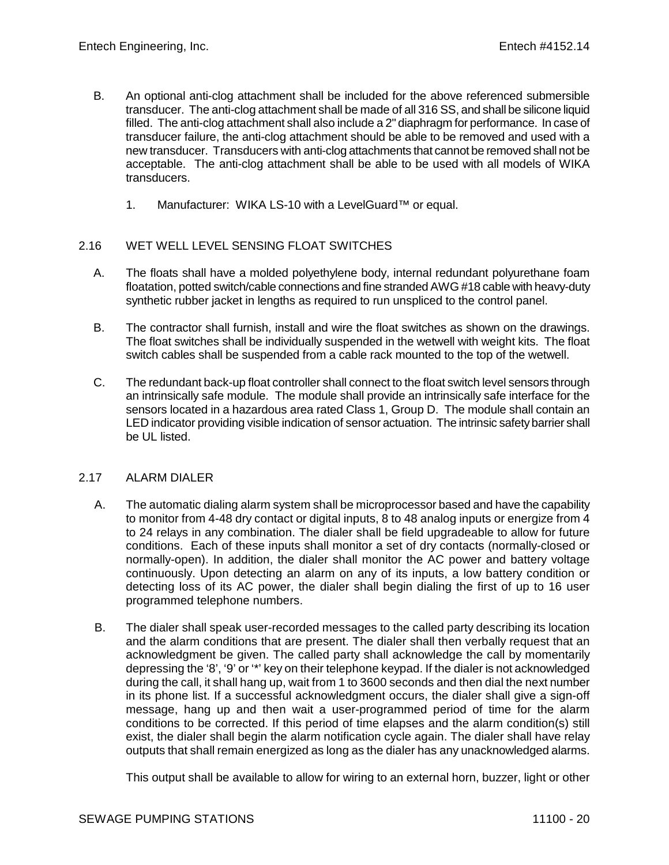- B. An optional anti-clog attachment shall be included for the above referenced submersible transducer. The anti-clog attachment shall be made of all 316 SS, and shall be silicone liquid filled. The anti-clog attachment shall also include a 2" diaphragm for performance. In case of transducer failure, the anti-clog attachment should be able to be removed and used with a new transducer. Transducers with anti-clog attachments that cannot be removed shall not be acceptable. The anti-clog attachment shall be able to be used with all models of WIKA transducers.
	- 1. Manufacturer: WIKA LS-10 with a LevelGuard™ or equal.

# 2.16 WET WELL LEVEL SENSING FLOAT SWITCHES

- A. The floats shall have a molded polyethylene body, internal redundant polyurethane foam floatation, potted switch/cable connections and fine stranded AWG #18 cable with heavy-duty synthetic rubber jacket in lengths as required to run unspliced to the control panel.
- B. The contractor shall furnish, install and wire the float switches as shown on the drawings. The float switches shall be individually suspended in the wetwell with weight kits. The float switch cables shall be suspended from a cable rack mounted to the top of the wetwell.
- C. The redundant back-up float controller shall connect to the float switch level sensors through an intrinsically safe module. The module shall provide an intrinsically safe interface for the sensors located in a hazardous area rated Class 1, Group D. The module shall contain an LED indicator providing visible indication of sensor actuation. The intrinsic safety barrier shall be UL listed.

### 2.17 ALARM DIALER

- A. The automatic dialing alarm system shall be microprocessor based and have the capability to monitor from 4-48 dry contact or digital inputs, 8 to 48 analog inputs or energize from 4 to 24 relays in any combination. The dialer shall be field upgradeable to allow for future conditions. Each of these inputs shall monitor a set of dry contacts (normally-closed or normally-open). In addition, the dialer shall monitor the AC power and battery voltage continuously. Upon detecting an alarm on any of its inputs, a low battery condition or detecting loss of its AC power, the dialer shall begin dialing the first of up to 16 user programmed telephone numbers.
- B. The dialer shall speak user-recorded messages to the called party describing its location and the alarm conditions that are present. The dialer shall then verbally request that an acknowledgment be given. The called party shall acknowledge the call by momentarily depressing the '8', '9' or '\*' key on their telephone keypad. If the dialer is not acknowledged during the call, it shall hang up, wait from 1 to 3600 seconds and then dial the next number in its phone list. If a successful acknowledgment occurs, the dialer shall give a sign-off message, hang up and then wait a user-programmed period of time for the alarm conditions to be corrected. If this period of time elapses and the alarm condition(s) still exist, the dialer shall begin the alarm notification cycle again. The dialer shall have relay outputs that shall remain energized as long as the dialer has any unacknowledged alarms.

This output shall be available to allow for wiring to an external horn, buzzer, light or other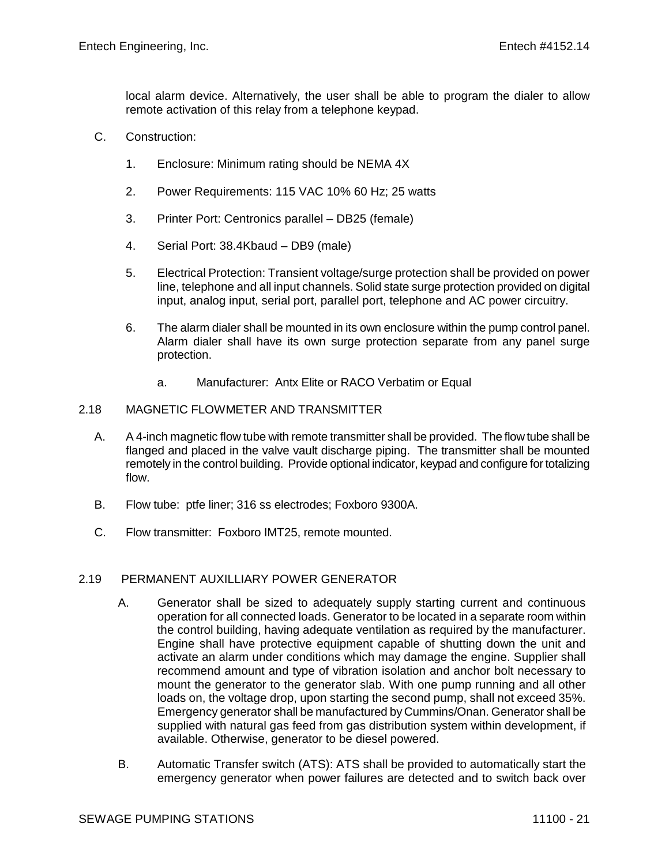local alarm device. Alternatively, the user shall be able to program the dialer to allow remote activation of this relay from a telephone keypad.

- C. Construction:
	- 1. Enclosure: Minimum rating should be NEMA 4X
	- 2. Power Requirements: 115 VAC 10% 60 Hz; 25 watts
	- 3. Printer Port: Centronics parallel DB25 (female)
	- 4. Serial Port: 38.4Kbaud DB9 (male)
	- 5. Electrical Protection: Transient voltage/surge protection shall be provided on power line, telephone and all input channels. Solid state surge protection provided on digital input, analog input, serial port, parallel port, telephone and AC power circuitry.
	- 6. The alarm dialer shall be mounted in its own enclosure within the pump control panel. Alarm dialer shall have its own surge protection separate from any panel surge protection.
		- a. Manufacturer: Antx Elite or RACO Verbatim or Equal

### 2.18 MAGNETIC FLOWMETER AND TRANSMITTER

- A. A 4-inch magnetic flow tube with remote transmitter shall be provided. The flow tube shall be flanged and placed in the valve vault discharge piping. The transmitter shall be mounted remotely in the control building. Provide optional indicator, keypad and configure for totalizing flow.
- B. Flow tube: ptfe liner; 316 ss electrodes; Foxboro 9300A.
- C. Flow transmitter: Foxboro IMT25, remote mounted.

# 2.19 PERMANENT AUXILLIARY POWER GENERATOR

- A. Generator shall be sized to adequately supply starting current and continuous operation for all connected loads. Generator to be located in a separate room within the control building, having adequate ventilation as required by the manufacturer. Engine shall have protective equipment capable of shutting down the unit and activate an alarm under conditions which may damage the engine. Supplier shall recommend amount and type of vibration isolation and anchor bolt necessary to mount the generator to the generator slab. With one pump running and all other loads on, the voltage drop, upon starting the second pump, shall not exceed 35%. Emergency generator shall be manufactured by Cummins/Onan. Generator shall be supplied with natural gas feed from gas distribution system within development, if available. Otherwise, generator to be diesel powered.
- B. Automatic Transfer switch (ATS): ATS shall be provided to automatically start the emergency generator when power failures are detected and to switch back over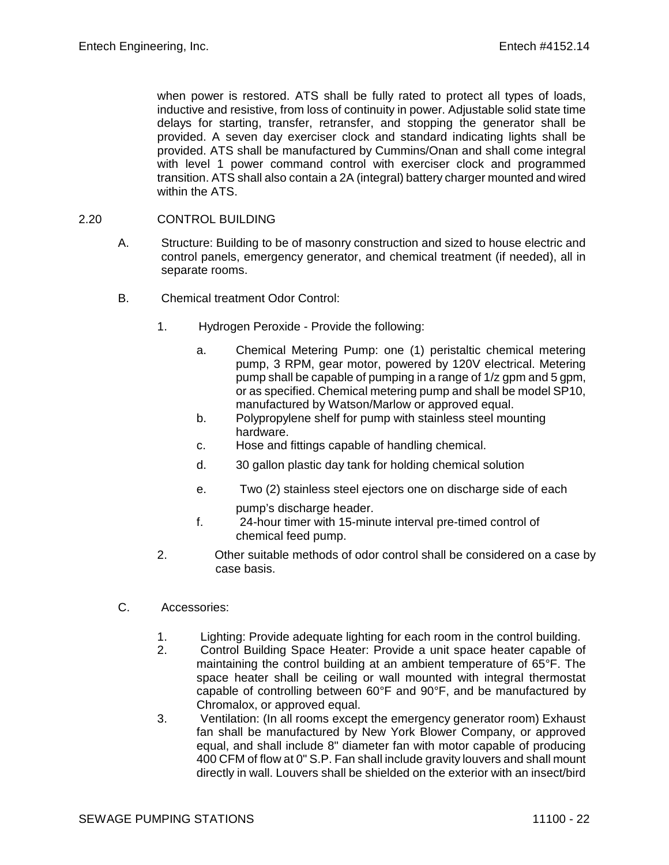when power is restored. ATS shall be fully rated to protect all types of loads, inductive and resistive, from loss of continuity in power. Adjustable solid state time delays for starting, transfer, retransfer, and stopping the generator shall be provided. A seven day exerciser clock and standard indicating lights shall be provided. ATS shall be manufactured by Cummins/Onan and shall come integral with level 1 power command control with exerciser clock and programmed transition. ATS shall also contain a 2A (integral) battery charger mounted and wired within the ATS.

### 2.20 CONTROL BUILDING

- A. Structure: Building to be of masonry construction and sized to house electric and control panels, emergency generator, and chemical treatment (if needed), all in separate rooms.
- B. Chemical treatment Odor Control:
	- 1. Hydrogen Peroxide Provide the following:
		- a. Chemical Metering Pump: one (1) peristaltic chemical metering pump, 3 RPM, gear motor, powered by 120V electrical. Metering pump shall be capable of pumping in a range of 1/z gpm and 5 gpm, or as specified. Chemical metering pump and shall be model SP10, manufactured by Watson/Marlow or approved equal.
		- b. Polypropylene shelf for pump with stainless steel mounting hardware.
		- c. Hose and fittings capable of handling chemical.
		- d. 30 gallon plastic day tank for holding chemical solution
		- e. Two (2) stainless steel ejectors one on discharge side of each pump's discharge header.
		- f. 24-hour timer with 15-minute interval pre-timed control of chemical feed pump.
	- 2. Other suitable methods of odor control shall be considered on a case by case basis.
- C. Accessories:
	- 1. Lighting: Provide adequate lighting for each room in the control building.
	- 2. Control Building Space Heater: Provide a unit space heater capable of maintaining the control building at an ambient temperature of 65°F. The space heater shall be ceiling or wall mounted with integral thermostat capable of controlling between 60°F and 90°F, and be manufactured by Chromalox, or approved equal.
	- 3. Ventilation: (In all rooms except the emergency generator room) Exhaust fan shall be manufactured by New York Blower Company, or approved equal, and shall include 8" diameter fan with motor capable of producing 400 CFM of flow at 0" S.P. Fan shall include gravity louvers and shall mount directly in wall. Louvers shall be shielded on the exterior with an insect/bird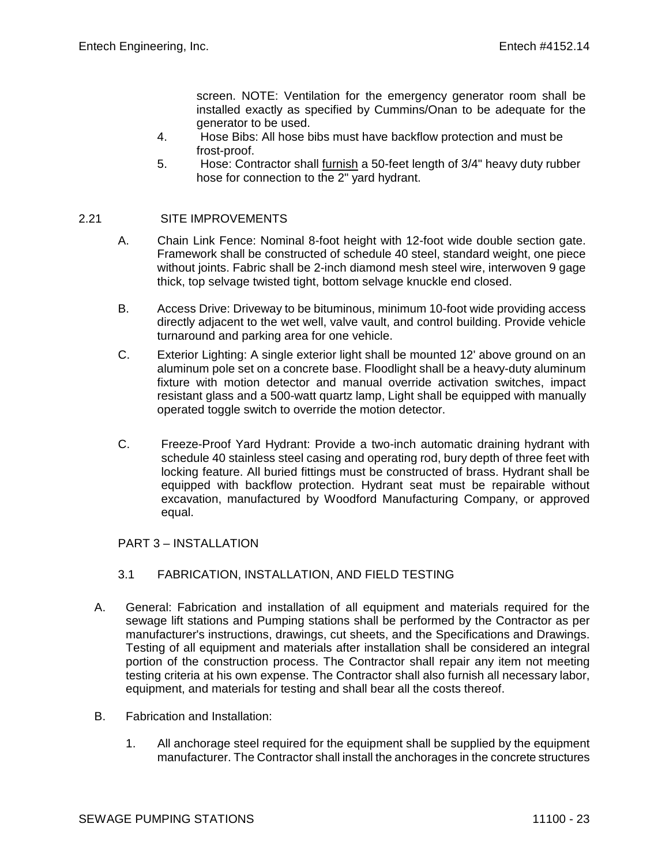screen. NOTE: Ventilation for the emergency generator room shall be installed exactly as specified by Cummins/Onan to be adequate for the generator to be used.

- 4. Hose Bibs: All hose bibs must have backflow protection and must be frost-proof.
- 5. Hose: Contractor shall furnish a 50-feet length of 3/4" heavy duty rubber hose for connection to the 2" yard hydrant.

# 2.21 SITE IMPROVEMENTS

- A. Chain Link Fence: Nominal 8-foot height with 12-foot wide double section gate. Framework shall be constructed of schedule 40 steel, standard weight, one piece without joints. Fabric shall be 2-inch diamond mesh steel wire, interwoven 9 gage thick, top selvage twisted tight, bottom selvage knuckle end closed.
- B. Access Drive: Driveway to be bituminous, minimum 10-foot wide providing access directly adjacent to the wet well, valve vault, and control building. Provide vehicle turnaround and parking area for one vehicle.
- C. Exterior Lighting: A single exterior light shall be mounted 12' above ground on an aluminum pole set on a concrete base. Floodlight shall be a heavy-duty aluminum fixture with motion detector and manual override activation switches, impact resistant glass and a 500-watt quartz lamp, Light shall be equipped with manually operated toggle switch to override the motion detector.
- C. Freeze-Proof Yard Hydrant: Provide a two-inch automatic draining hydrant with schedule 40 stainless steel casing and operating rod, bury depth of three feet with locking feature. All buried fittings must be constructed of brass. Hydrant shall be equipped with backflow protection. Hydrant seat must be repairable without excavation, manufactured by Woodford Manufacturing Company, or approved equal.

### PART 3 – INSTALLATION

- 3.1 FABRICATION, INSTALLATION, AND FIELD TESTING
- A. General: Fabrication and installation of all equipment and materials required for the sewage lift stations and Pumping stations shall be performed by the Contractor as per manufacturer's instructions, drawings, cut sheets, and the Specifications and Drawings. Testing of all equipment and materials after installation shall be considered an integral portion of the construction process. The Contractor shall repair any item not meeting testing criteria at his own expense. The Contractor shall also furnish all necessary labor, equipment, and materials for testing and shall bear all the costs thereof.
- B. Fabrication and Installation:
	- 1. All anchorage steel required for the equipment shall be supplied by the equipment manufacturer. The Contractor shall install the anchorages in the concrete structures